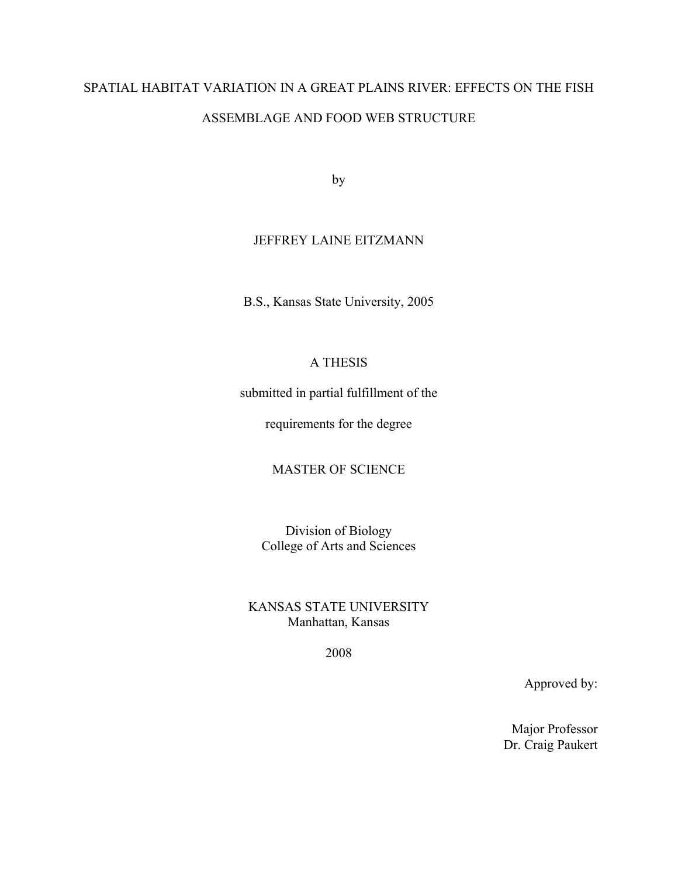# SPATIAL HABITAT VARIATION IN A GREAT PLAINS RIVER: EFFECTS ON THE FISH ASSEMBLAGE AND FOOD WEB STRUCTURE

by

# JEFFREY LAINE EITZMANN

B.S., Kansas State University, 2005

# A THESIS

submitted in partial fulfillment of the

requirements for the degree

MASTER OF SCIENCE

Division of Biology College of Arts and Sciences

KANSAS STATE UNIVERSITY Manhattan, Kansas

2008

Approved by:

Major Professor Dr. Craig Paukert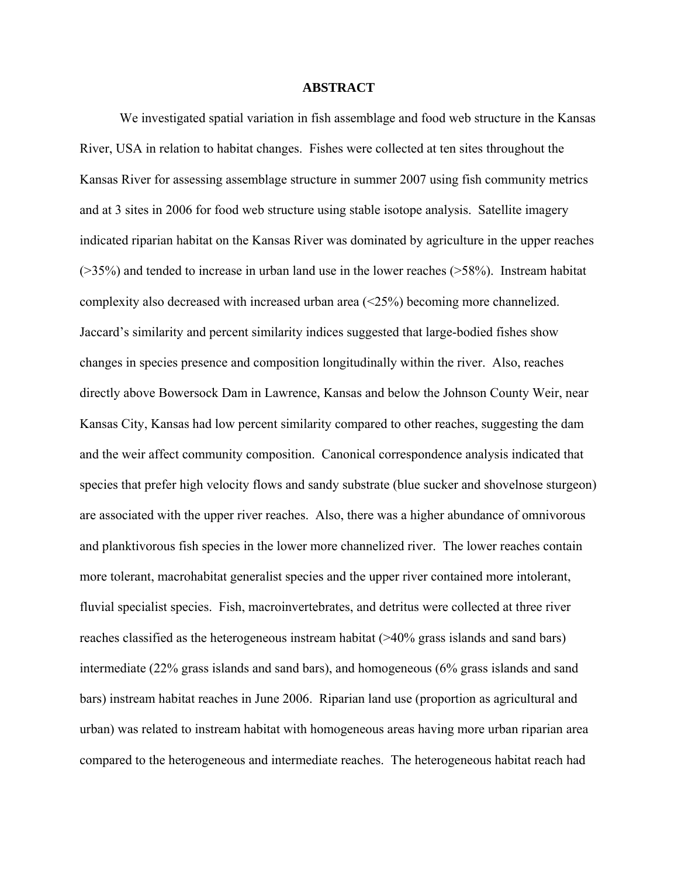### **ABSTRACT**

We investigated spatial variation in fish assemblage and food web structure in the Kansas River, USA in relation to habitat changes. Fishes were collected at ten sites throughout the Kansas River for assessing assemblage structure in summer 2007 using fish community metrics and at 3 sites in 2006 for food web structure using stable isotope analysis. Satellite imagery indicated riparian habitat on the Kansas River was dominated by agriculture in the upper reaches  $($ >35%) and tended to increase in urban land use in the lower reaches ( $>$ 58%). Instream habitat complexity also decreased with increased urban area (<25%) becoming more channelized. Jaccard's similarity and percent similarity indices suggested that large-bodied fishes show changes in species presence and composition longitudinally within the river. Also, reaches directly above Bowersock Dam in Lawrence, Kansas and below the Johnson County Weir, near Kansas City, Kansas had low percent similarity compared to other reaches, suggesting the dam and the weir affect community composition. Canonical correspondence analysis indicated that species that prefer high velocity flows and sandy substrate (blue sucker and shovelnose sturgeon) are associated with the upper river reaches. Also, there was a higher abundance of omnivorous and planktivorous fish species in the lower more channelized river. The lower reaches contain more tolerant, macrohabitat generalist species and the upper river contained more intolerant, fluvial specialist species. Fish, macroinvertebrates, and detritus were collected at three river reaches classified as the heterogeneous instream habitat (>40% grass islands and sand bars) intermediate (22% grass islands and sand bars), and homogeneous (6% grass islands and sand bars) instream habitat reaches in June 2006. Riparian land use (proportion as agricultural and urban) was related to instream habitat with homogeneous areas having more urban riparian area compared to the heterogeneous and intermediate reaches. The heterogeneous habitat reach had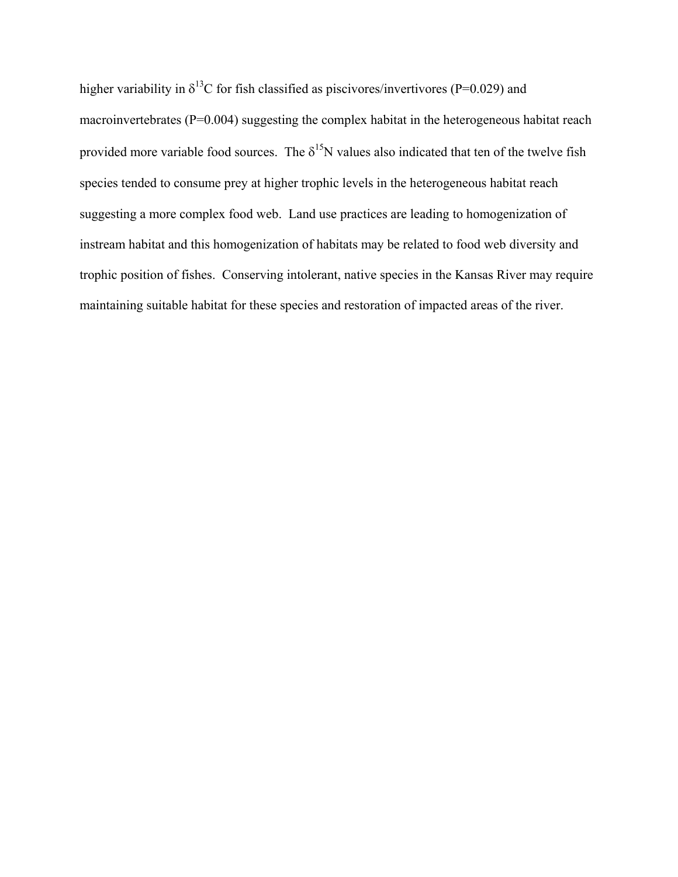higher variability in  $\delta^{13}$ C for fish classified as piscivores/invertivores (P=0.029) and macroinvertebrates (P=0.004) suggesting the complex habitat in the heterogeneous habitat reach provided more variable food sources. The  $\delta^{15}N$  values also indicated that ten of the twelve fish species tended to consume prey at higher trophic levels in the heterogeneous habitat reach suggesting a more complex food web. Land use practices are leading to homogenization of instream habitat and this homogenization of habitats may be related to food web diversity and trophic position of fishes. Conserving intolerant, native species in the Kansas River may require maintaining suitable habitat for these species and restoration of impacted areas of the river.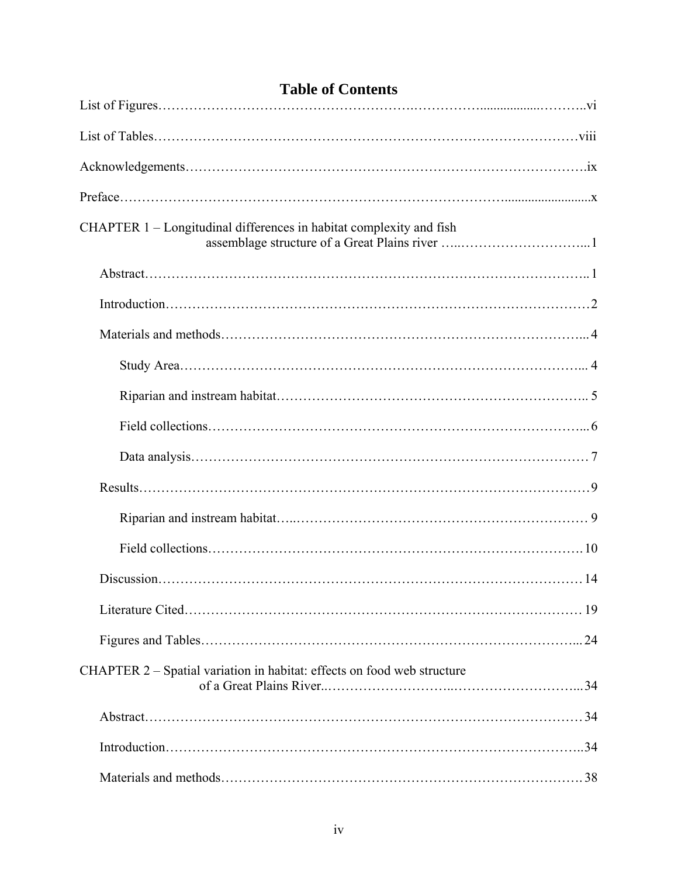| <b>Table of Contents</b>                                                |  |
|-------------------------------------------------------------------------|--|
|                                                                         |  |
|                                                                         |  |
|                                                                         |  |
|                                                                         |  |
| CHAPTER 1 - Longitudinal differences in habitat complexity and fish     |  |
|                                                                         |  |
|                                                                         |  |
|                                                                         |  |
|                                                                         |  |
|                                                                         |  |
|                                                                         |  |
|                                                                         |  |
|                                                                         |  |
|                                                                         |  |
|                                                                         |  |
|                                                                         |  |
|                                                                         |  |
|                                                                         |  |
| CHAPTER 2 – Spatial variation in habitat: effects on food web structure |  |
|                                                                         |  |
|                                                                         |  |
|                                                                         |  |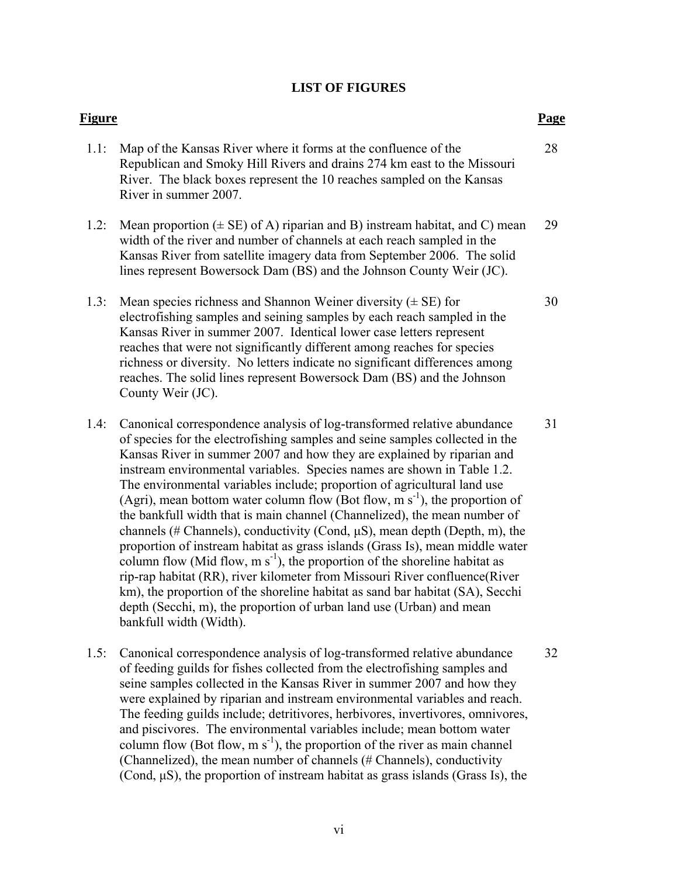# **LIST OF FIGURES**

| Figure |                                                                                                                                                                                                                                                                                                                                                                                                                                                                                                                                                                                                                                                                                                                                                                                                                                                                                                                                                                                                                                                                                     | Page |
|--------|-------------------------------------------------------------------------------------------------------------------------------------------------------------------------------------------------------------------------------------------------------------------------------------------------------------------------------------------------------------------------------------------------------------------------------------------------------------------------------------------------------------------------------------------------------------------------------------------------------------------------------------------------------------------------------------------------------------------------------------------------------------------------------------------------------------------------------------------------------------------------------------------------------------------------------------------------------------------------------------------------------------------------------------------------------------------------------------|------|
| 1.1:   | Map of the Kansas River where it forms at the confluence of the<br>Republican and Smoky Hill Rivers and drains 274 km east to the Missouri<br>River. The black boxes represent the 10 reaches sampled on the Kansas<br>River in summer 2007.                                                                                                                                                                                                                                                                                                                                                                                                                                                                                                                                                                                                                                                                                                                                                                                                                                        | 28   |
| 1.2:   | Mean proportion $(\pm \text{ SE})$ of A) riparian and B) instream habitat, and C) mean<br>width of the river and number of channels at each reach sampled in the<br>Kansas River from satellite imagery data from September 2006. The solid<br>lines represent Bowersock Dam (BS) and the Johnson County Weir (JC).                                                                                                                                                                                                                                                                                                                                                                                                                                                                                                                                                                                                                                                                                                                                                                 | 29   |
| 1.3:   | Mean species richness and Shannon Weiner diversity $(\pm \text{ SE})$ for<br>electrofishing samples and seining samples by each reach sampled in the<br>Kansas River in summer 2007. Identical lower case letters represent<br>reaches that were not significantly different among reaches for species<br>richness or diversity. No letters indicate no significant differences among<br>reaches. The solid lines represent Bowersock Dam (BS) and the Johnson<br>County Weir (JC).                                                                                                                                                                                                                                                                                                                                                                                                                                                                                                                                                                                                 | 30   |
| 1.4:   | Canonical correspondence analysis of log-transformed relative abundance<br>of species for the electrofishing samples and seine samples collected in the<br>Kansas River in summer 2007 and how they are explained by riparian and<br>instream environmental variables. Species names are shown in Table 1.2.<br>The environmental variables include; proportion of agricultural land use<br>(Agri), mean bottom water column flow (Bot flow, m $s^{-1}$ ), the proportion of<br>the bankfull width that is main channel (Channelized), the mean number of<br>channels (# Channels), conductivity (Cond, $\mu S$ ), mean depth (Depth, m), the<br>proportion of instream habitat as grass islands (Grass Is), mean middle water<br>column flow (Mid flow, $m s^{-1}$ ), the proportion of the shoreline habitat as<br>rip-rap habitat (RR), river kilometer from Missouri River confluence(River<br>km), the proportion of the shoreline habitat as sand bar habitat (SA), Secchi<br>depth (Secchi, m), the proportion of urban land use (Urban) and mean<br>bankfull width (Width). | 31   |
| 1.5:   | Canonical correspondence analysis of log-transformed relative abundance<br>of feeding guilds for fishes collected from the electrofishing samples and<br>seine samples collected in the Kansas River in summer 2007 and how they<br>were explained by riparian and instream environmental variables and reach.<br>The feeding guilds include; detritivores, herbivores, invertivores, omnivores,<br>and piscivores. The environmental variables include; mean bottom water<br>column flow (Bot flow, $m s^{-1}$ ), the proportion of the river as main channel                                                                                                                                                                                                                                                                                                                                                                                                                                                                                                                      | 32   |

(Channelized), the mean number of channels (# Channels), conductivity (Cond, μS), the proportion of instream habitat as grass islands (Grass Is), the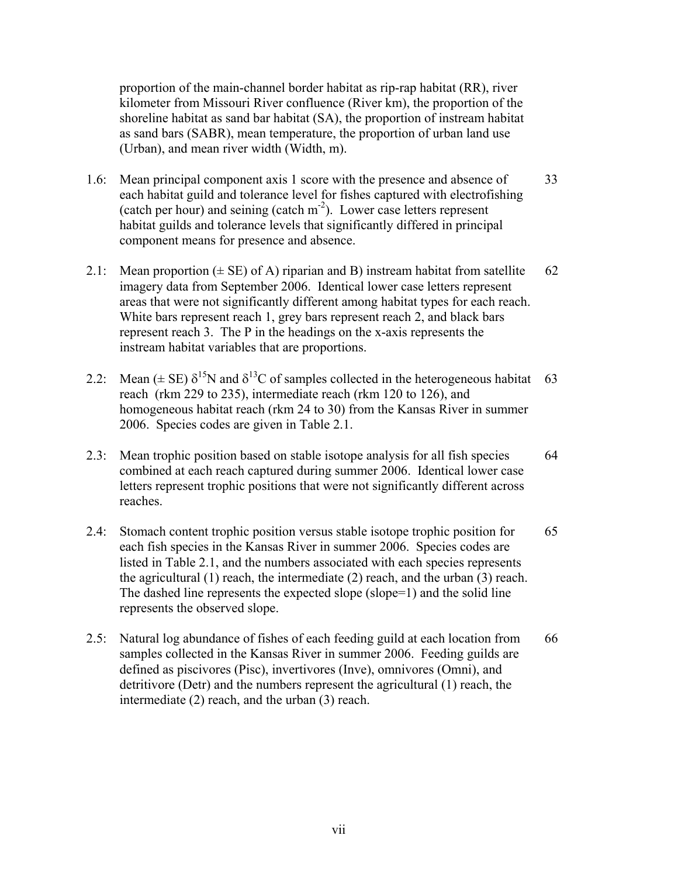proportion of the main-channel border habitat as rip-rap habitat (RR), river kilometer from Missouri River confluence (River km), the proportion of the shoreline habitat as sand bar habitat (SA), the proportion of instream habitat as sand bars (SABR), mean temperature, the proportion of urban land use (Urban), and mean river width (Width, m).

- 1.6: Mean principal component axis 1 score with the presence and absence of 33 each habitat guild and tolerance level for fishes captured with electrofishing (catch per hour) and seining (catch  $m<sup>2</sup>$ ). Lower case letters represent habitat guilds and tolerance levels that significantly differed in principal component means for presence and absence.
- 2.1: Mean proportion  $(\pm \text{ SE})$  of A) riparian and B) instream habitat from satellite 62 imagery data from September 2006. Identical lower case letters represent areas that were not significantly different among habitat types for each reach. White bars represent reach 1, grey bars represent reach 2, and black bars represent reach 3. The P in the headings on the x-axis represents the instream habitat variables that are proportions.
- 2.2: Mean ( $\pm$  SE)  $\delta^{15}N$  and  $\delta^{13}C$  of samples collected in the heterogeneous habitat 63 reach (rkm 229 to 235), intermediate reach (rkm 120 to 126), and homogeneous habitat reach (rkm 24 to 30) from the Kansas River in summer 2006. Species codes are given in Table 2.1.
- 2.3: Mean trophic position based on stable isotope analysis for all fish species 64 combined at each reach captured during summer 2006. Identical lower case letters represent trophic positions that were not significantly different across reaches.
- 2.4: Stomach content trophic position versus stable isotope trophic position for 65 each fish species in the Kansas River in summer 2006. Species codes are listed in Table 2.1, and the numbers associated with each species represents the agricultural (1) reach, the intermediate (2) reach, and the urban (3) reach. The dashed line represents the expected slope (slope=1) and the solid line represents the observed slope.
- 2.5: Natural log abundance of fishes of each feeding guild at each location from 66 samples collected in the Kansas River in summer 2006. Feeding guilds are defined as piscivores (Pisc), invertivores (Inve), omnivores (Omni), and detritivore (Detr) and the numbers represent the agricultural (1) reach, the intermediate (2) reach, and the urban (3) reach.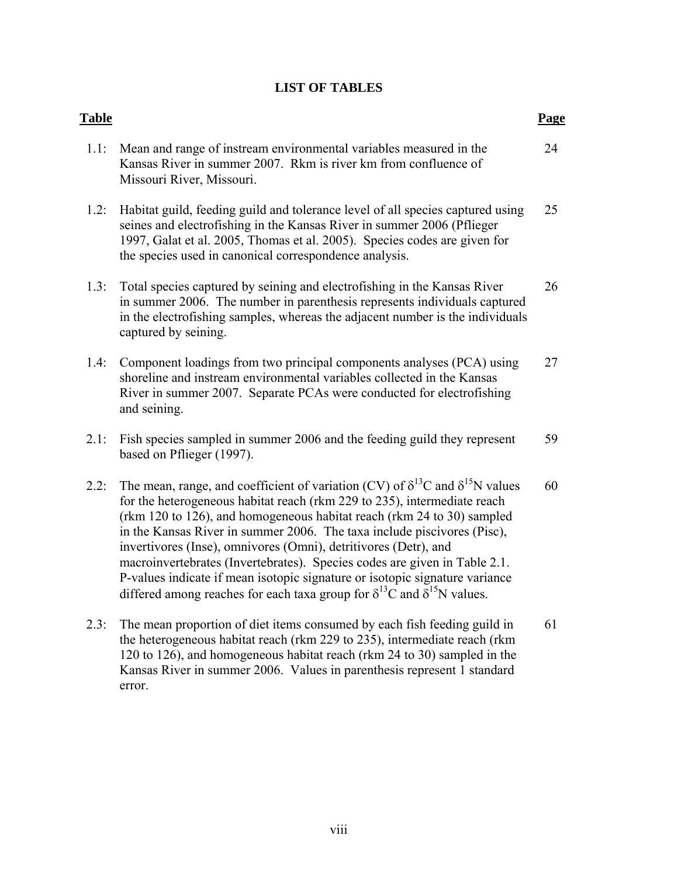# **LIST OF TABLES**

| <b>Table</b> |                                                                                                                                                                                                                                                                                                                                                                                                                                                                                                                                                                                                                                                                | Page |
|--------------|----------------------------------------------------------------------------------------------------------------------------------------------------------------------------------------------------------------------------------------------------------------------------------------------------------------------------------------------------------------------------------------------------------------------------------------------------------------------------------------------------------------------------------------------------------------------------------------------------------------------------------------------------------------|------|
| 1.1:         | Mean and range of instream environmental variables measured in the<br>Kansas River in summer 2007. Rkm is river km from confluence of<br>Missouri River, Missouri.                                                                                                                                                                                                                                                                                                                                                                                                                                                                                             | 24   |
| 1.2:         | Habitat guild, feeding guild and tolerance level of all species captured using<br>seines and electrofishing in the Kansas River in summer 2006 (Pflieger<br>1997, Galat et al. 2005, Thomas et al. 2005). Species codes are given for<br>the species used in canonical correspondence analysis.                                                                                                                                                                                                                                                                                                                                                                | 25   |
| 1.3:         | Total species captured by seining and electrofishing in the Kansas River<br>in summer 2006. The number in parenthesis represents individuals captured<br>in the electrofishing samples, whereas the adjacent number is the individuals<br>captured by seining.                                                                                                                                                                                                                                                                                                                                                                                                 | 26   |
| 1.4:         | Component loadings from two principal components analyses (PCA) using<br>shoreline and instream environmental variables collected in the Kansas<br>River in summer 2007. Separate PCAs were conducted for electrofishing<br>and seining.                                                                                                                                                                                                                                                                                                                                                                                                                       | 27   |
| 2.1:         | Fish species sampled in summer 2006 and the feeding guild they represent<br>based on Pflieger (1997).                                                                                                                                                                                                                                                                                                                                                                                                                                                                                                                                                          | 59   |
| 2.2:         | The mean, range, and coefficient of variation (CV) of $\delta^{13}$ C and $\delta^{15}$ N values<br>for the heterogeneous habitat reach (rkm 229 to 235), intermediate reach<br>(rkm 120 to 126), and homogeneous habitat reach (rkm 24 to 30) sampled<br>in the Kansas River in summer 2006. The taxa include piscivores (Pisc),<br>invertivores (Inse), omnivores (Omni), detritivores (Detr), and<br>macroinvertebrates (Invertebrates). Species codes are given in Table 2.1.<br>P-values indicate if mean isotopic signature or isotopic signature variance<br>differed among reaches for each taxa group for $\delta^{13}$ C and $\delta^{15}$ N values. | 60   |
| 2.3:         | The mean proportion of diet items consumed by each fish feeding guild in<br>the heterogeneous habitat reach (rkm 229 to 235), intermediate reach (rkm<br>120 to 126), and homogeneous habitat reach (rkm 24 to 30) sampled in the<br>Kansas River in summer 2006. Values in parenthesis represent 1 standard<br>error.                                                                                                                                                                                                                                                                                                                                         | 61   |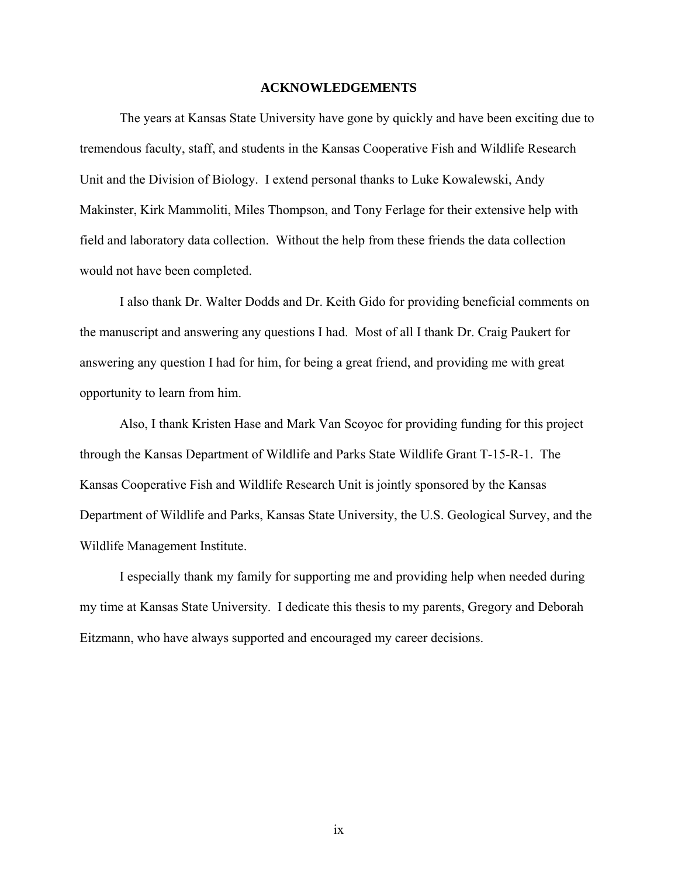### **ACKNOWLEDGEMENTS**

 The years at Kansas State University have gone by quickly and have been exciting due to tremendous faculty, staff, and students in the Kansas Cooperative Fish and Wildlife Research Unit and the Division of Biology. I extend personal thanks to Luke Kowalewski, Andy Makinster, Kirk Mammoliti, Miles Thompson, and Tony Ferlage for their extensive help with field and laboratory data collection. Without the help from these friends the data collection would not have been completed.

I also thank Dr. Walter Dodds and Dr. Keith Gido for providing beneficial comments on the manuscript and answering any questions I had. Most of all I thank Dr. Craig Paukert for answering any question I had for him, for being a great friend, and providing me with great opportunity to learn from him.

Also, I thank Kristen Hase and Mark Van Scoyoc for providing funding for this project through the Kansas Department of Wildlife and Parks State Wildlife Grant T-15-R-1. The Kansas Cooperative Fish and Wildlife Research Unit is jointly sponsored by the Kansas Department of Wildlife and Parks, Kansas State University, the U.S. Geological Survey, and the Wildlife Management Institute.

I especially thank my family for supporting me and providing help when needed during my time at Kansas State University. I dedicate this thesis to my parents, Gregory and Deborah Eitzmann, who have always supported and encouraged my career decisions.

ix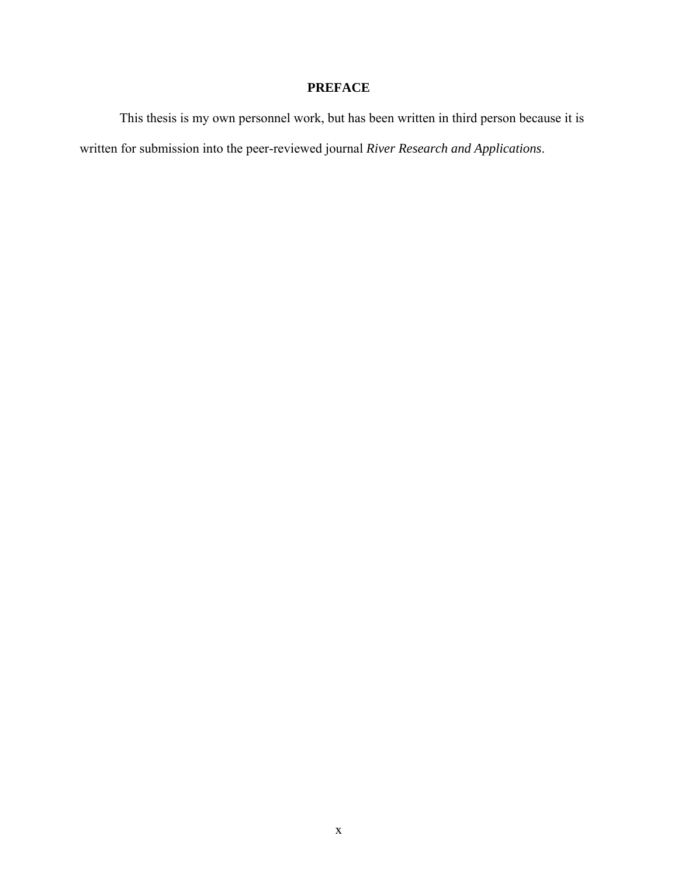# **PREFACE**

 This thesis is my own personnel work, but has been written in third person because it is written for submission into the peer-reviewed journal *River Research and Applications*.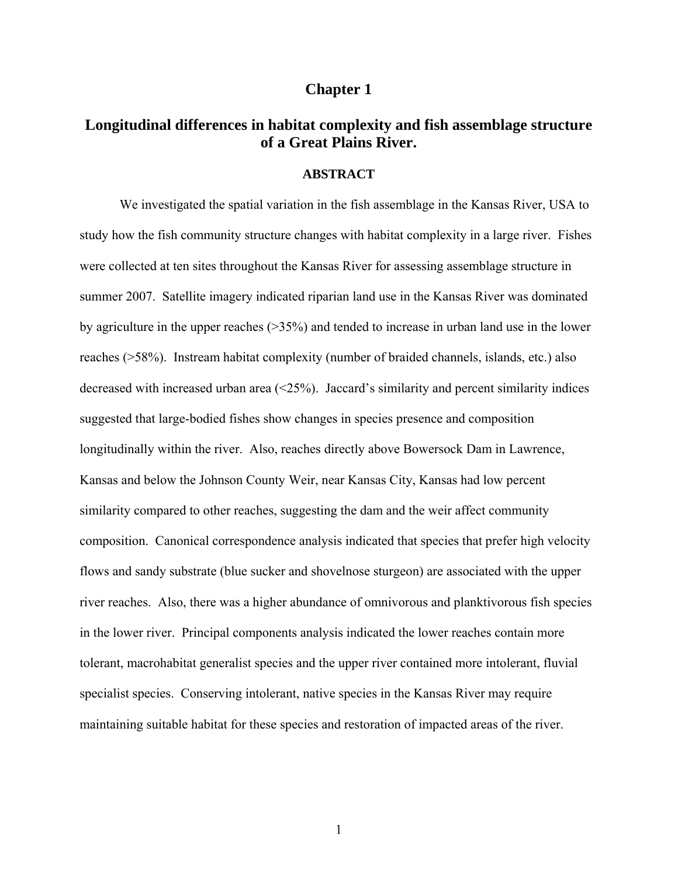### **Chapter 1**

# **Longitudinal differences in habitat complexity and fish assemblage structure of a Great Plains River.**

### **ABSTRACT**

We investigated the spatial variation in the fish assemblage in the Kansas River, USA to study how the fish community structure changes with habitat complexity in a large river. Fishes were collected at ten sites throughout the Kansas River for assessing assemblage structure in summer 2007. Satellite imagery indicated riparian land use in the Kansas River was dominated by agriculture in the upper reaches (>35%) and tended to increase in urban land use in the lower reaches (>58%). Instream habitat complexity (number of braided channels, islands, etc.) also decreased with increased urban area  $\langle 25\% \rangle$ . Jaccard's similarity and percent similarity indices suggested that large-bodied fishes show changes in species presence and composition longitudinally within the river. Also, reaches directly above Bowersock Dam in Lawrence, Kansas and below the Johnson County Weir, near Kansas City, Kansas had low percent similarity compared to other reaches, suggesting the dam and the weir affect community composition. Canonical correspondence analysis indicated that species that prefer high velocity flows and sandy substrate (blue sucker and shovelnose sturgeon) are associated with the upper river reaches. Also, there was a higher abundance of omnivorous and planktivorous fish species in the lower river. Principal components analysis indicated the lower reaches contain more tolerant, macrohabitat generalist species and the upper river contained more intolerant, fluvial specialist species. Conserving intolerant, native species in the Kansas River may require maintaining suitable habitat for these species and restoration of impacted areas of the river.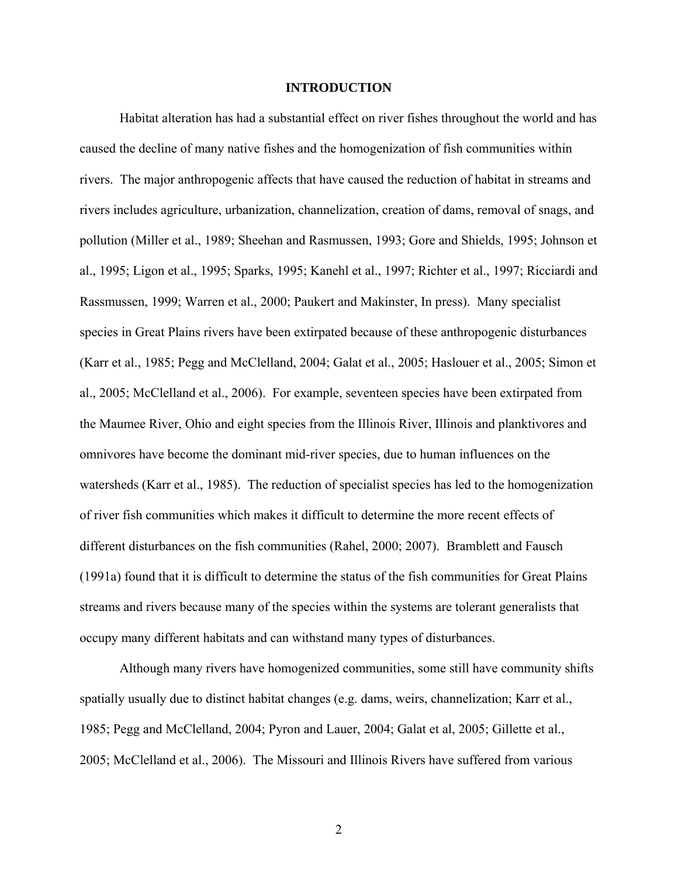### **INTRODUCTION**

Habitat alteration has had a substantial effect on river fishes throughout the world and has caused the decline of many native fishes and the homogenization of fish communities within rivers. The major anthropogenic affects that have caused the reduction of habitat in streams and rivers includes agriculture, urbanization, channelization, creation of dams, removal of snags, and pollution (Miller et al., 1989; Sheehan and Rasmussen, 1993; Gore and Shields, 1995; Johnson et al., 1995; Ligon et al., 1995; Sparks, 1995; Kanehl et al., 1997; Richter et al., 1997; Ricciardi and Rassmussen, 1999; Warren et al., 2000; Paukert and Makinster, In press). Many specialist species in Great Plains rivers have been extirpated because of these anthropogenic disturbances (Karr et al., 1985; Pegg and McClelland, 2004; Galat et al., 2005; Haslouer et al., 2005; Simon et al., 2005; McClelland et al., 2006). For example, seventeen species have been extirpated from the Maumee River, Ohio and eight species from the Illinois River, Illinois and planktivores and omnivores have become the dominant mid-river species, due to human influences on the watersheds (Karr et al., 1985). The reduction of specialist species has led to the homogenization of river fish communities which makes it difficult to determine the more recent effects of different disturbances on the fish communities (Rahel, 2000; 2007). Bramblett and Fausch (1991a) found that it is difficult to determine the status of the fish communities for Great Plains streams and rivers because many of the species within the systems are tolerant generalists that occupy many different habitats and can withstand many types of disturbances.

Although many rivers have homogenized communities, some still have community shifts spatially usually due to distinct habitat changes (e.g. dams, weirs, channelization; Karr et al., 1985; Pegg and McClelland, 2004; Pyron and Lauer, 2004; Galat et al, 2005; Gillette et al., 2005; McClelland et al., 2006). The Missouri and Illinois Rivers have suffered from various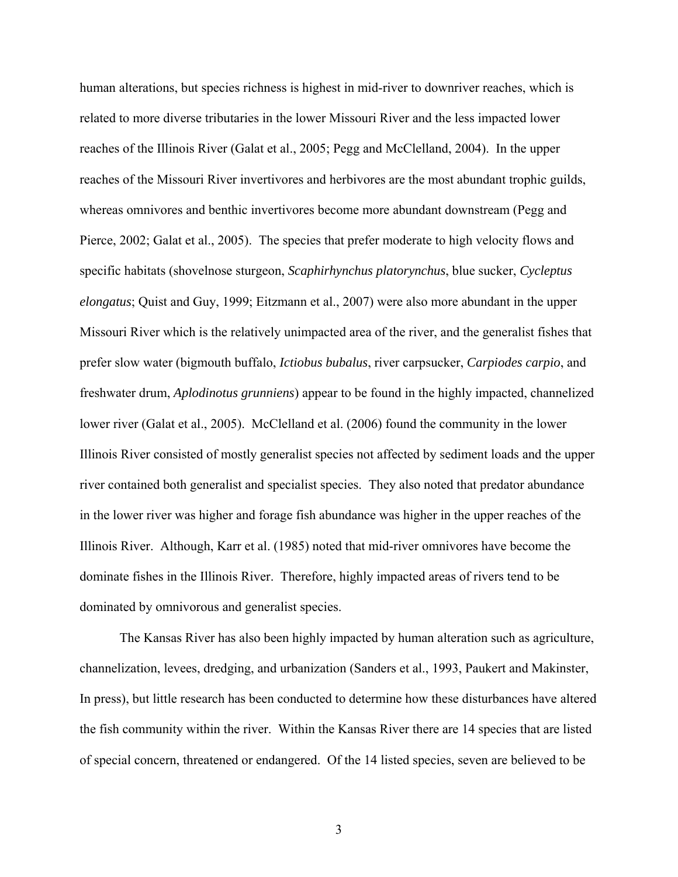human alterations, but species richness is highest in mid-river to downriver reaches, which is related to more diverse tributaries in the lower Missouri River and the less impacted lower reaches of the Illinois River (Galat et al., 2005; Pegg and McClelland, 2004). In the upper reaches of the Missouri River invertivores and herbivores are the most abundant trophic guilds, whereas omnivores and benthic invertivores become more abundant downstream (Pegg and Pierce, 2002; Galat et al., 2005). The species that prefer moderate to high velocity flows and specific habitats (shovelnose sturgeon, *Scaphirhynchus platorynchus*, blue sucker, *Cycleptus elongatus*; Quist and Guy, 1999; Eitzmann et al., 2007) were also more abundant in the upper Missouri River which is the relatively unimpacted area of the river, and the generalist fishes that prefer slow water (bigmouth buffalo, *Ictiobus bubalus*, river carpsucker, *Carpiodes carpio*, and freshwater drum, *Aplodinotus grunniens*) appear to be found in the highly impacted, channelized lower river (Galat et al., 2005). McClelland et al. (2006) found the community in the lower Illinois River consisted of mostly generalist species not affected by sediment loads and the upper river contained both generalist and specialist species. They also noted that predator abundance in the lower river was higher and forage fish abundance was higher in the upper reaches of the Illinois River. Although, Karr et al. (1985) noted that mid-river omnivores have become the dominate fishes in the Illinois River. Therefore, highly impacted areas of rivers tend to be dominated by omnivorous and generalist species.

The Kansas River has also been highly impacted by human alteration such as agriculture, channelization, levees, dredging, and urbanization (Sanders et al., 1993, Paukert and Makinster, In press), but little research has been conducted to determine how these disturbances have altered the fish community within the river. Within the Kansas River there are 14 species that are listed of special concern, threatened or endangered. Of the 14 listed species, seven are believed to be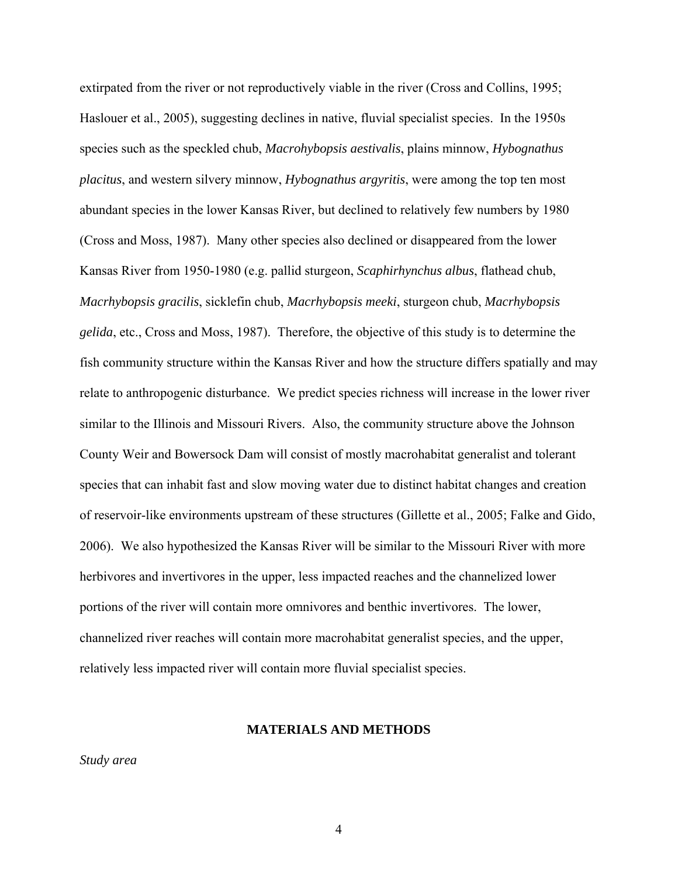extirpated from the river or not reproductively viable in the river (Cross and Collins, 1995; Haslouer et al., 2005), suggesting declines in native, fluvial specialist species. In the 1950s species such as the speckled chub, *Macrohybopsis aestivalis*, plains minnow, *Hybognathus placitus*, and western silvery minnow, *Hybognathus argyritis*, were among the top ten most abundant species in the lower Kansas River, but declined to relatively few numbers by 1980 (Cross and Moss, 1987). Many other species also declined or disappeared from the lower Kansas River from 1950-1980 (e.g. pallid sturgeon, *Scaphirhynchus albus*, flathead chub, *Macrhybopsis gracilis*, sicklefin chub, *Macrhybopsis meeki*, sturgeon chub, *Macrhybopsis gelida*, etc., Cross and Moss, 1987). Therefore, the objective of this study is to determine the fish community structure within the Kansas River and how the structure differs spatially and may relate to anthropogenic disturbance. We predict species richness will increase in the lower river similar to the Illinois and Missouri Rivers. Also, the community structure above the Johnson County Weir and Bowersock Dam will consist of mostly macrohabitat generalist and tolerant species that can inhabit fast and slow moving water due to distinct habitat changes and creation of reservoir-like environments upstream of these structures (Gillette et al., 2005; Falke and Gido, 2006). We also hypothesized the Kansas River will be similar to the Missouri River with more herbivores and invertivores in the upper, less impacted reaches and the channelized lower portions of the river will contain more omnivores and benthic invertivores. The lower, channelized river reaches will contain more macrohabitat generalist species, and the upper, relatively less impacted river will contain more fluvial specialist species.

#### **MATERIALS AND METHODS**

*Study area*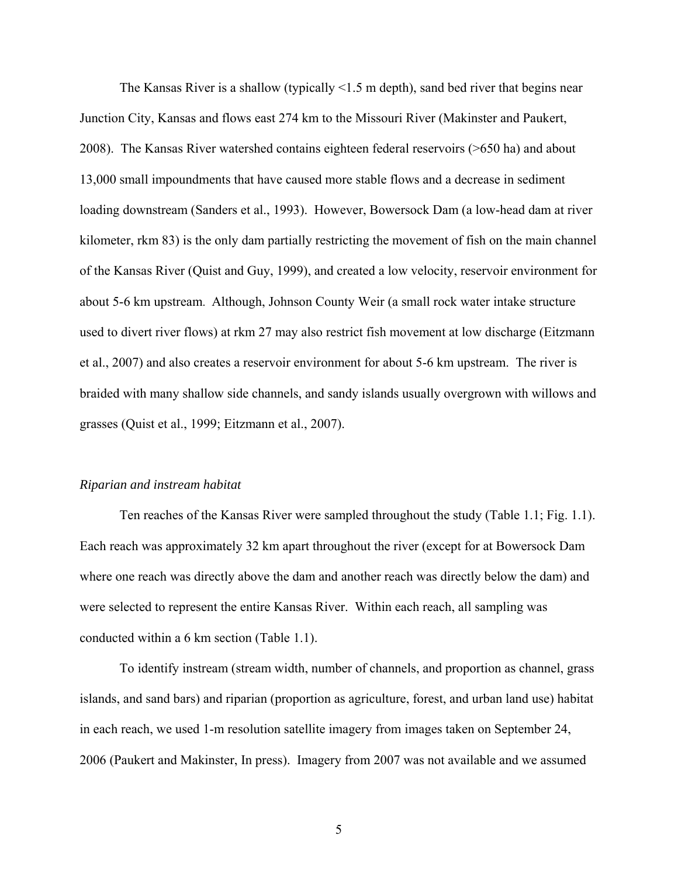The Kansas River is a shallow (typically <1.5 m depth), sand bed river that begins near Junction City, Kansas and flows east 274 km to the Missouri River (Makinster and Paukert, 2008). The Kansas River watershed contains eighteen federal reservoirs (>650 ha) and about 13,000 small impoundments that have caused more stable flows and a decrease in sediment loading downstream (Sanders et al., 1993). However, Bowersock Dam (a low-head dam at river kilometer, rkm 83) is the only dam partially restricting the movement of fish on the main channel of the Kansas River (Quist and Guy, 1999), and created a low velocity, reservoir environment for about 5-6 km upstream. Although, Johnson County Weir (a small rock water intake structure used to divert river flows) at rkm 27 may also restrict fish movement at low discharge (Eitzmann et al., 2007) and also creates a reservoir environment for about 5-6 km upstream. The river is braided with many shallow side channels, and sandy islands usually overgrown with willows and grasses (Quist et al., 1999; Eitzmann et al., 2007).

#### *Riparian and instream habitat*

Ten reaches of the Kansas River were sampled throughout the study (Table 1.1; Fig. 1.1). Each reach was approximately 32 km apart throughout the river (except for at Bowersock Dam where one reach was directly above the dam and another reach was directly below the dam) and were selected to represent the entire Kansas River. Within each reach, all sampling was conducted within a 6 km section (Table 1.1).

To identify instream (stream width, number of channels, and proportion as channel, grass islands, and sand bars) and riparian (proportion as agriculture, forest, and urban land use) habitat in each reach, we used 1-m resolution satellite imagery from images taken on September 24, 2006 (Paukert and Makinster, In press). Imagery from 2007 was not available and we assumed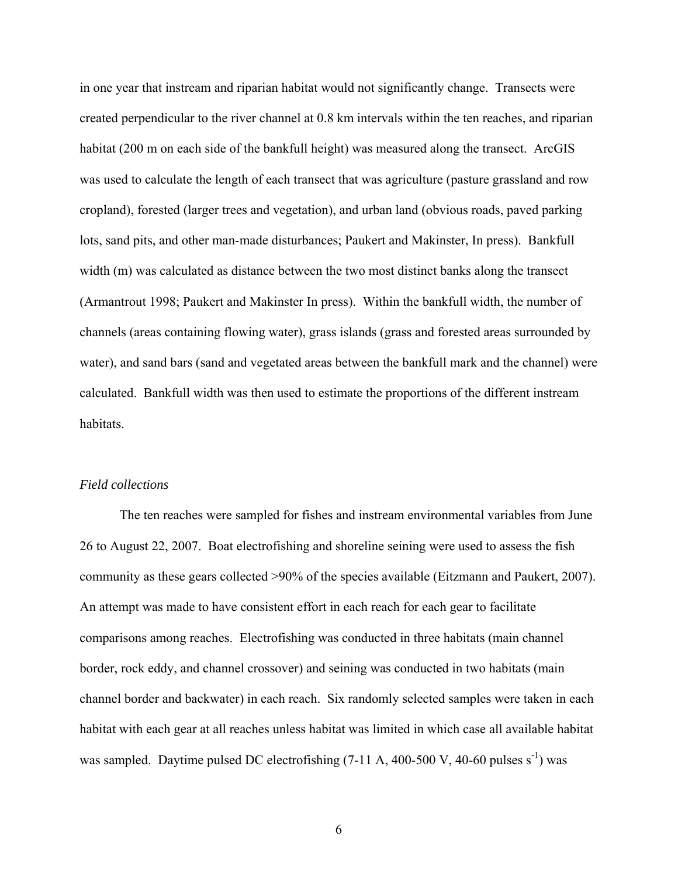in one year that instream and riparian habitat would not significantly change. Transects were created perpendicular to the river channel at 0.8 km intervals within the ten reaches, and riparian habitat (200 m on each side of the bankfull height) was measured along the transect. ArcGIS was used to calculate the length of each transect that was agriculture (pasture grassland and row cropland), forested (larger trees and vegetation), and urban land (obvious roads, paved parking lots, sand pits, and other man-made disturbances; Paukert and Makinster, In press). Bankfull width (m) was calculated as distance between the two most distinct banks along the transect (Armantrout 1998; Paukert and Makinster In press). Within the bankfull width, the number of channels (areas containing flowing water), grass islands (grass and forested areas surrounded by water), and sand bars (sand and vegetated areas between the bankfull mark and the channel) were calculated. Bankfull width was then used to estimate the proportions of the different instream habitats.

#### *Field collections*

The ten reaches were sampled for fishes and instream environmental variables from June 26 to August 22, 2007. Boat electrofishing and shoreline seining were used to assess the fish community as these gears collected >90% of the species available (Eitzmann and Paukert, 2007). An attempt was made to have consistent effort in each reach for each gear to facilitate comparisons among reaches. Electrofishing was conducted in three habitats (main channel border, rock eddy, and channel crossover) and seining was conducted in two habitats (main channel border and backwater) in each reach. Six randomly selected samples were taken in each habitat with each gear at all reaches unless habitat was limited in which case all available habitat was sampled. Daytime pulsed DC electrofishing  $(7-11 \text{ A}, 400-500 \text{ V}, 40-60 \text{ pulses s}^{-1})$  was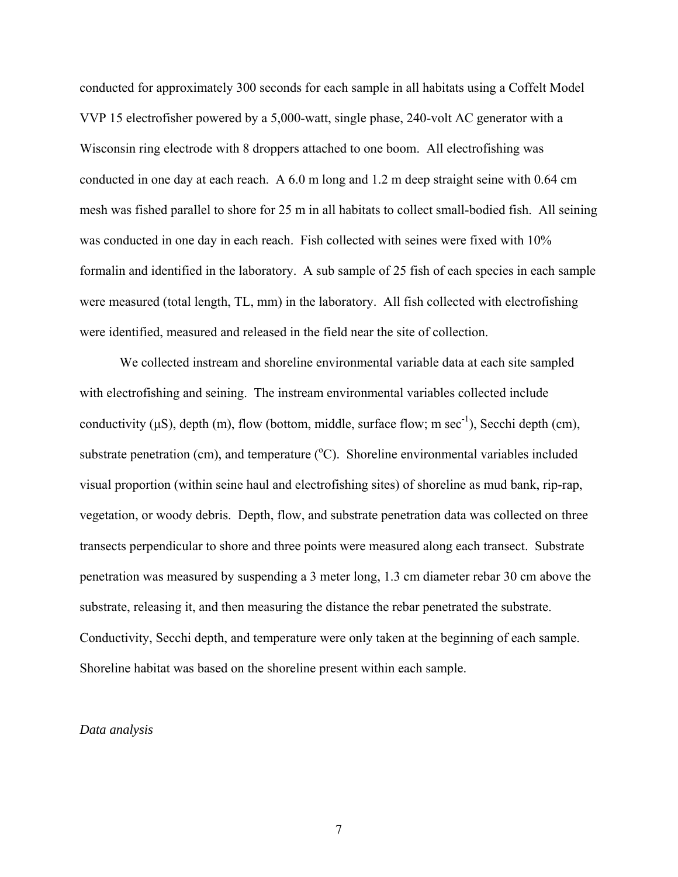conducted for approximately 300 seconds for each sample in all habitats using a Coffelt Model VVP 15 electrofisher powered by a 5,000-watt, single phase, 240-volt AC generator with a Wisconsin ring electrode with 8 droppers attached to one boom. All electrofishing was conducted in one day at each reach. A 6.0 m long and 1.2 m deep straight seine with 0.64 cm mesh was fished parallel to shore for 25 m in all habitats to collect small-bodied fish. All seining was conducted in one day in each reach. Fish collected with seines were fixed with  $10\%$ formalin and identified in the laboratory. A sub sample of 25 fish of each species in each sample were measured (total length, TL, mm) in the laboratory. All fish collected with electrofishing were identified, measured and released in the field near the site of collection.

We collected instream and shoreline environmental variable data at each site sampled with electrofishing and seining. The instream environmental variables collected include conductivity ( $\mu$ S), depth (m), flow (bottom, middle, surface flow; m sec<sup>-1</sup>), Secchi depth (cm), substrate penetration (cm), and temperature  $(^{\circ}C)$ . Shoreline environmental variables included visual proportion (within seine haul and electrofishing sites) of shoreline as mud bank, rip-rap, vegetation, or woody debris. Depth, flow, and substrate penetration data was collected on three transects perpendicular to shore and three points were measured along each transect. Substrate penetration was measured by suspending a 3 meter long, 1.3 cm diameter rebar 30 cm above the substrate, releasing it, and then measuring the distance the rebar penetrated the substrate. Conductivity, Secchi depth, and temperature were only taken at the beginning of each sample. Shoreline habitat was based on the shoreline present within each sample.

### *Data analysis*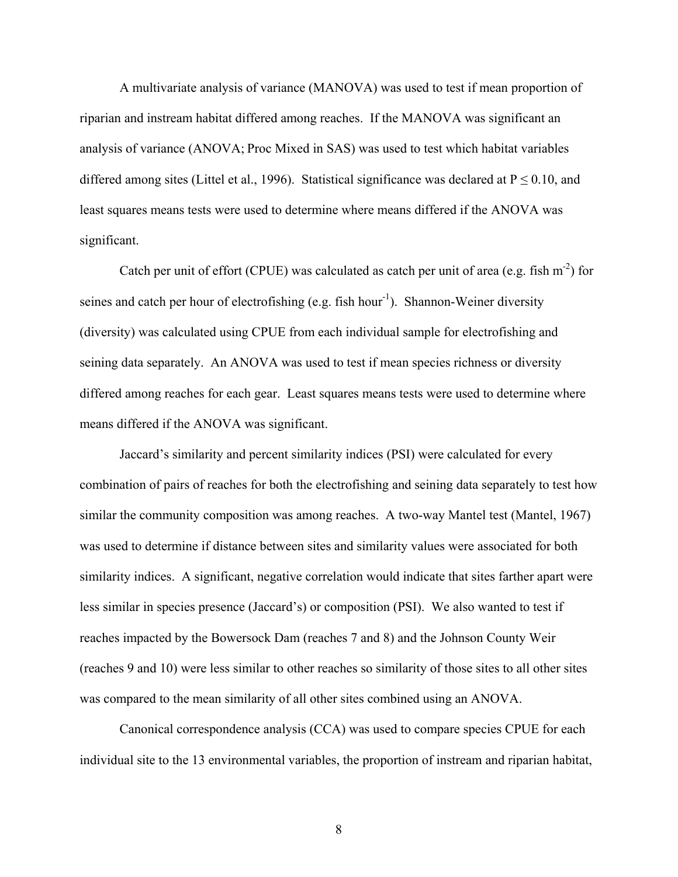A multivariate analysis of variance (MANOVA) was used to test if mean proportion of riparian and instream habitat differed among reaches. If the MANOVA was significant an analysis of variance (ANOVA; Proc Mixed in SAS) was used to test which habitat variables differed among sites (Littel et al., 1996). Statistical significance was declared at  $P \le 0.10$ , and least squares means tests were used to determine where means differed if the ANOVA was significant.

Catch per unit of effort (CPUE) was calculated as catch per unit of area (e.g. fish  $m<sup>-2</sup>$ ) for seines and catch per hour of electrofishing (e.g. fish hour<sup>-1</sup>). Shannon-Weiner diversity (diversity) was calculated using CPUE from each individual sample for electrofishing and seining data separately. An ANOVA was used to test if mean species richness or diversity differed among reaches for each gear. Least squares means tests were used to determine where means differed if the ANOVA was significant.

 Jaccard's similarity and percent similarity indices (PSI) were calculated for every combination of pairs of reaches for both the electrofishing and seining data separately to test how similar the community composition was among reaches. A two-way Mantel test (Mantel, 1967) was used to determine if distance between sites and similarity values were associated for both similarity indices. A significant, negative correlation would indicate that sites farther apart were less similar in species presence (Jaccard's) or composition (PSI). We also wanted to test if reaches impacted by the Bowersock Dam (reaches 7 and 8) and the Johnson County Weir (reaches 9 and 10) were less similar to other reaches so similarity of those sites to all other sites was compared to the mean similarity of all other sites combined using an ANOVA.

Canonical correspondence analysis (CCA) was used to compare species CPUE for each individual site to the 13 environmental variables, the proportion of instream and riparian habitat,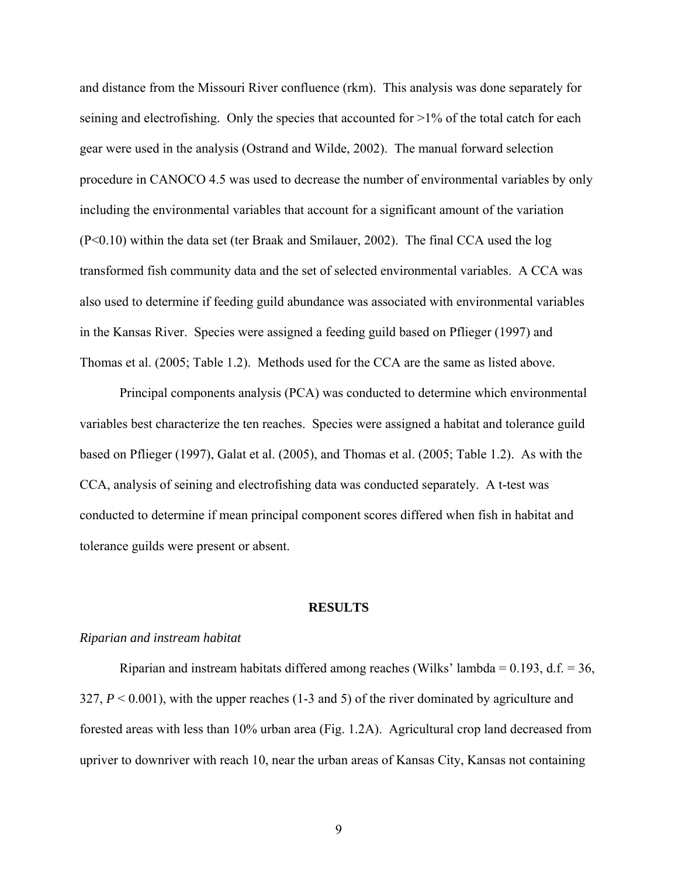and distance from the Missouri River confluence (rkm). This analysis was done separately for seining and electrofishing. Only the species that accounted for  $>1\%$  of the total catch for each gear were used in the analysis (Ostrand and Wilde, 2002). The manual forward selection procedure in CANOCO 4.5 was used to decrease the number of environmental variables by only including the environmental variables that account for a significant amount of the variation (P<0.10) within the data set (ter Braak and Smilauer, 2002). The final CCA used the log transformed fish community data and the set of selected environmental variables. A CCA was also used to determine if feeding guild abundance was associated with environmental variables in the Kansas River. Species were assigned a feeding guild based on Pflieger (1997) and Thomas et al. (2005; Table 1.2). Methods used for the CCA are the same as listed above.

 Principal components analysis (PCA) was conducted to determine which environmental variables best characterize the ten reaches. Species were assigned a habitat and tolerance guild based on Pflieger (1997), Galat et al. (2005), and Thomas et al. (2005; Table 1.2). As with the CCA, analysis of seining and electrofishing data was conducted separately. A t-test was conducted to determine if mean principal component scores differed when fish in habitat and tolerance guilds were present or absent.

#### **RESULTS**

#### *Riparian and instream habitat*

Riparian and instream habitats differed among reaches (Wilks' lambda =  $0.193$ , d.f. = 36, 327,  $P \le 0.001$ ), with the upper reaches (1-3 and 5) of the river dominated by agriculture and forested areas with less than 10% urban area (Fig. 1.2A). Agricultural crop land decreased from upriver to downriver with reach 10, near the urban areas of Kansas City, Kansas not containing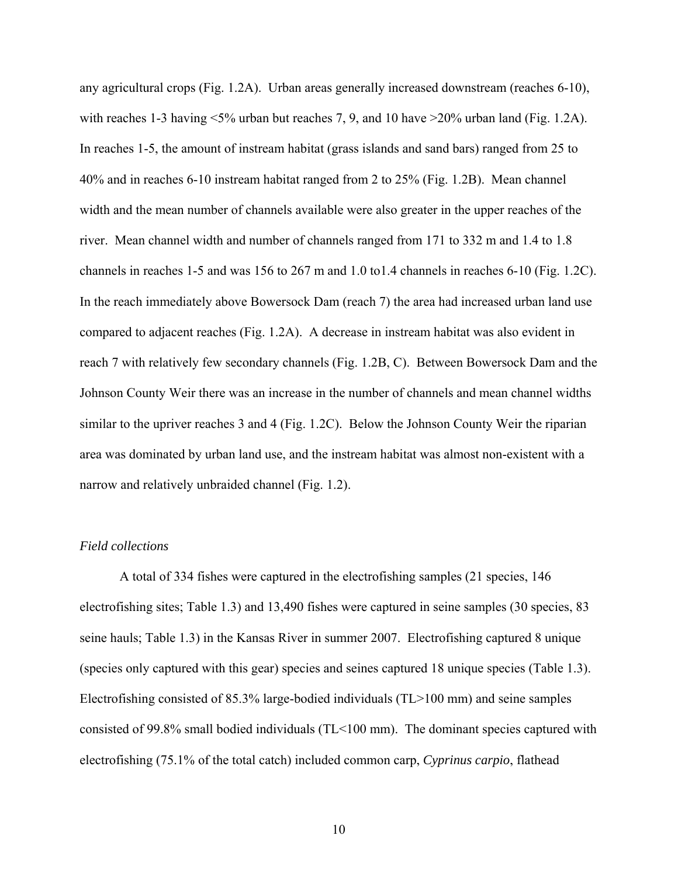any agricultural crops (Fig. 1.2A). Urban areas generally increased downstream (reaches 6-10), with reaches 1-3 having  $\leq 5\%$  urban but reaches 7, 9, and 10 have  $\geq 20\%$  urban land (Fig. 1.2A). In reaches 1-5, the amount of instream habitat (grass islands and sand bars) ranged from 25 to 40% and in reaches 6-10 instream habitat ranged from 2 to 25% (Fig. 1.2B). Mean channel width and the mean number of channels available were also greater in the upper reaches of the river. Mean channel width and number of channels ranged from 171 to 332 m and 1.4 to 1.8 channels in reaches 1-5 and was 156 to 267 m and 1.0 to1.4 channels in reaches 6-10 (Fig. 1.2C). In the reach immediately above Bowersock Dam (reach 7) the area had increased urban land use compared to adjacent reaches (Fig. 1.2A). A decrease in instream habitat was also evident in reach 7 with relatively few secondary channels (Fig. 1.2B, C). Between Bowersock Dam and the Johnson County Weir there was an increase in the number of channels and mean channel widths similar to the upriver reaches 3 and 4 (Fig. 1.2C). Below the Johnson County Weir the riparian area was dominated by urban land use, and the instream habitat was almost non-existent with a narrow and relatively unbraided channel (Fig. 1.2).

### *Field collections*

A total of 334 fishes were captured in the electrofishing samples (21 species, 146 electrofishing sites; Table 1.3) and 13,490 fishes were captured in seine samples (30 species, 83 seine hauls; Table 1.3) in the Kansas River in summer 2007. Electrofishing captured 8 unique (species only captured with this gear) species and seines captured 18 unique species (Table 1.3). Electrofishing consisted of 85.3% large-bodied individuals (TL>100 mm) and seine samples consisted of 99.8% small bodied individuals (TL<100 mm). The dominant species captured with electrofishing (75.1% of the total catch) included common carp, *Cyprinus carpio*, flathead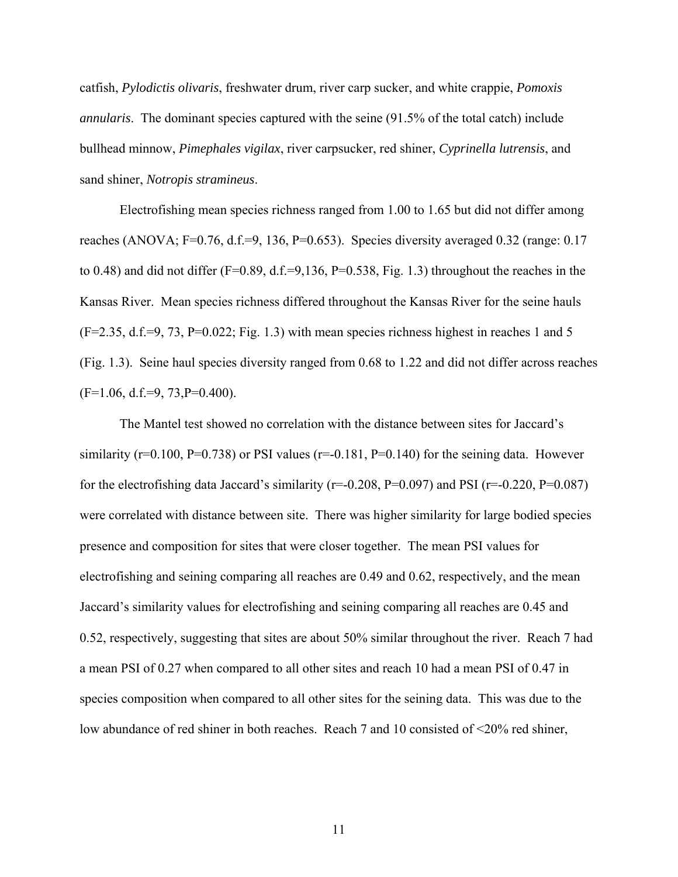catfish, *Pylodictis olivaris*, freshwater drum, river carp sucker, and white crappie, *Pomoxis annularis*. The dominant species captured with the seine (91.5% of the total catch) include bullhead minnow, *Pimephales vigilax*, river carpsucker, red shiner, *Cyprinella lutrensis*, and sand shiner, *Notropis stramineus*.

Electrofishing mean species richness ranged from 1.00 to 1.65 but did not differ among reaches (ANOVA; F=0.76, d.f.=9, 136, P=0.653). Species diversity averaged 0.32 (range: 0.17 to 0.48) and did not differ (F=0.89, d.f.=9,136, P=0.538, Fig. 1.3) throughout the reaches in the Kansas River. Mean species richness differed throughout the Kansas River for the seine hauls  $(F=2.35, d.f.=9, 73, P=0.022; Fig. 1.3)$  with mean species richness highest in reaches 1 and 5 (Fig. 1.3). Seine haul species diversity ranged from 0.68 to 1.22 and did not differ across reaches  $(F=1.06, d.f.=9, 73, P=0.400).$ 

The Mantel test showed no correlation with the distance between sites for Jaccard's similarity ( $r=0.100$ ,  $P=0.738$ ) or PSI values ( $r=-0.181$ ,  $P=0.140$ ) for the seining data. However for the electrofishing data Jaccard's similarity ( $r=0.208$ ,  $P=0.097$ ) and PSI ( $r=-0.220$ ,  $P=0.087$ ) were correlated with distance between site. There was higher similarity for large bodied species presence and composition for sites that were closer together. The mean PSI values for electrofishing and seining comparing all reaches are 0.49 and 0.62, respectively, and the mean Jaccard's similarity values for electrofishing and seining comparing all reaches are 0.45 and 0.52, respectively, suggesting that sites are about 50% similar throughout the river. Reach 7 had a mean PSI of 0.27 when compared to all other sites and reach 10 had a mean PSI of 0.47 in species composition when compared to all other sites for the seining data. This was due to the low abundance of red shiner in both reaches. Reach 7 and 10 consisted of <20% red shiner,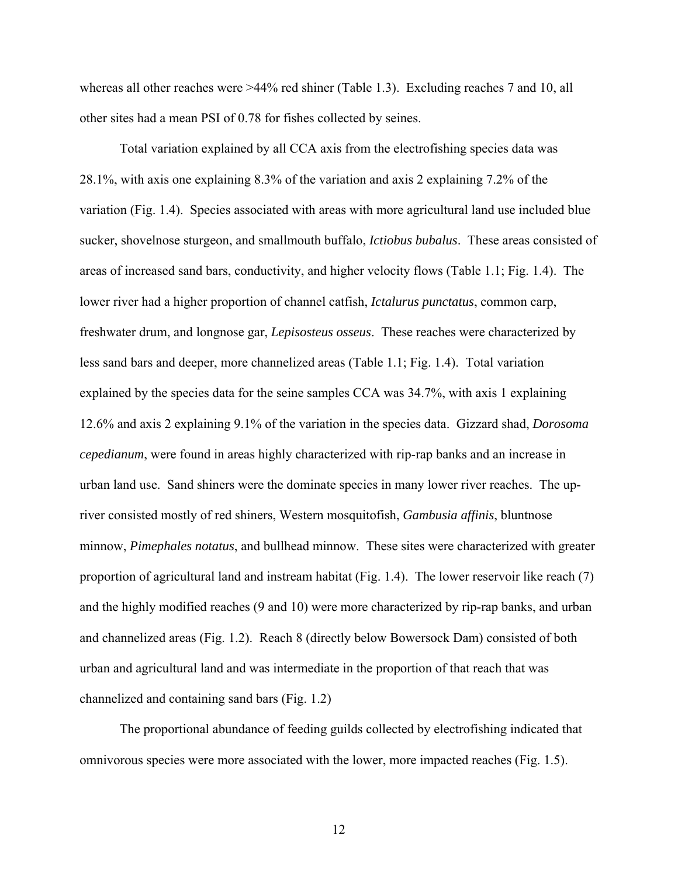whereas all other reaches were >44% red shiner (Table 1.3). Excluding reaches 7 and 10, all other sites had a mean PSI of 0.78 for fishes collected by seines.

Total variation explained by all CCA axis from the electrofishing species data was 28.1%, with axis one explaining 8.3% of the variation and axis 2 explaining 7.2% of the variation (Fig. 1.4). Species associated with areas with more agricultural land use included blue sucker, shovelnose sturgeon, and smallmouth buffalo, *Ictiobus bubalus*. These areas consisted of areas of increased sand bars, conductivity, and higher velocity flows (Table 1.1; Fig. 1.4). The lower river had a higher proportion of channel catfish, *Ictalurus punctatus*, common carp, freshwater drum, and longnose gar, *Lepisosteus osseus*. These reaches were characterized by less sand bars and deeper, more channelized areas (Table 1.1; Fig. 1.4). Total variation explained by the species data for the seine samples CCA was 34.7%, with axis 1 explaining 12.6% and axis 2 explaining 9.1% of the variation in the species data. Gizzard shad, *Dorosoma cepedianum*, were found in areas highly characterized with rip-rap banks and an increase in urban land use. Sand shiners were the dominate species in many lower river reaches. The upriver consisted mostly of red shiners, Western mosquitofish, *Gambusia affinis*, bluntnose minnow, *Pimephales notatus*, and bullhead minnow. These sites were characterized with greater proportion of agricultural land and instream habitat (Fig. 1.4). The lower reservoir like reach (7) and the highly modified reaches (9 and 10) were more characterized by rip-rap banks, and urban and channelized areas (Fig. 1.2). Reach 8 (directly below Bowersock Dam) consisted of both urban and agricultural land and was intermediate in the proportion of that reach that was channelized and containing sand bars (Fig. 1.2)

The proportional abundance of feeding guilds collected by electrofishing indicated that omnivorous species were more associated with the lower, more impacted reaches (Fig. 1.5).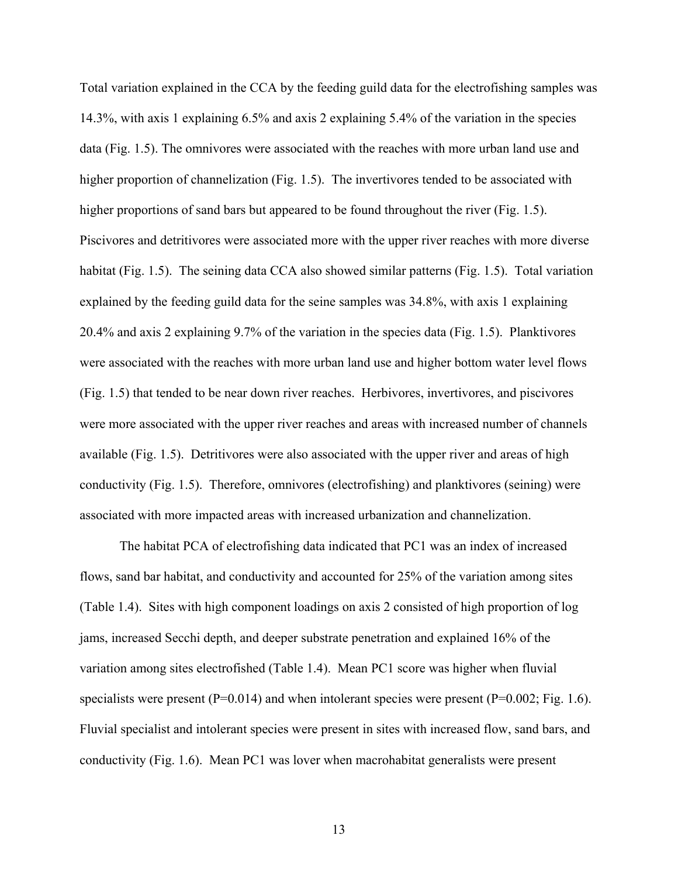Total variation explained in the CCA by the feeding guild data for the electrofishing samples was 14.3%, with axis 1 explaining 6.5% and axis 2 explaining 5.4% of the variation in the species data (Fig. 1.5). The omnivores were associated with the reaches with more urban land use and higher proportion of channelization (Fig. 1.5). The invertivores tended to be associated with higher proportions of sand bars but appeared to be found throughout the river (Fig. 1.5). Piscivores and detritivores were associated more with the upper river reaches with more diverse habitat (Fig. 1.5). The seining data CCA also showed similar patterns (Fig. 1.5). Total variation explained by the feeding guild data for the seine samples was 34.8%, with axis 1 explaining 20.4% and axis 2 explaining 9.7% of the variation in the species data (Fig. 1.5). Planktivores were associated with the reaches with more urban land use and higher bottom water level flows (Fig. 1.5) that tended to be near down river reaches. Herbivores, invertivores, and piscivores were more associated with the upper river reaches and areas with increased number of channels available (Fig. 1.5). Detritivores were also associated with the upper river and areas of high conductivity (Fig. 1.5). Therefore, omnivores (electrofishing) and planktivores (seining) were associated with more impacted areas with increased urbanization and channelization.

The habitat PCA of electrofishing data indicated that PC1 was an index of increased flows, sand bar habitat, and conductivity and accounted for 25% of the variation among sites (Table 1.4). Sites with high component loadings on axis 2 consisted of high proportion of log jams, increased Secchi depth, and deeper substrate penetration and explained 16% of the variation among sites electrofished (Table 1.4). Mean PC1 score was higher when fluvial specialists were present  $(P=0.014)$  and when intolerant species were present  $(P=0.002; Fig. 1.6)$ . Fluvial specialist and intolerant species were present in sites with increased flow, sand bars, and conductivity (Fig. 1.6). Mean PC1 was lover when macrohabitat generalists were present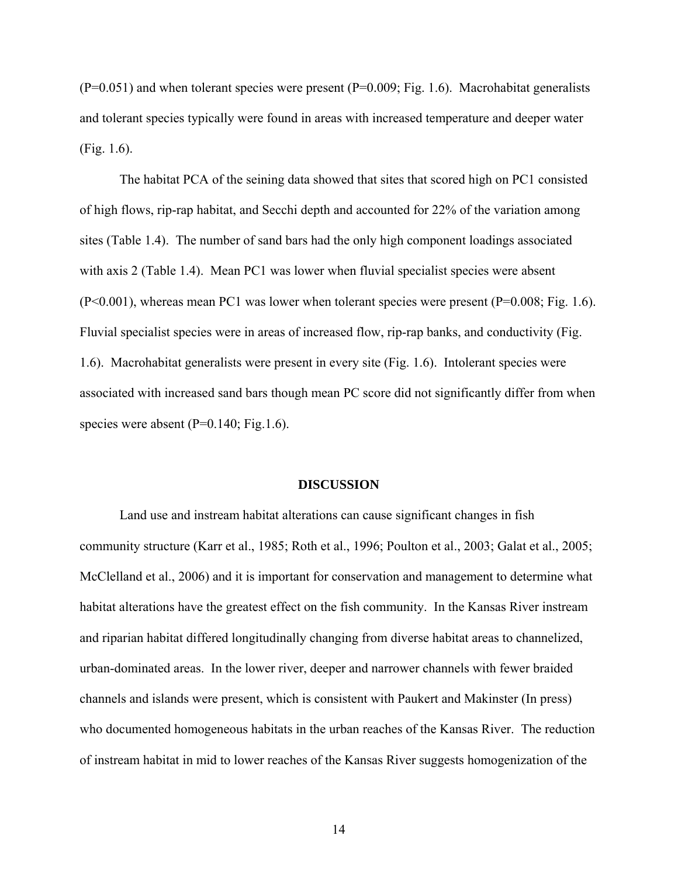$(P=0.051)$  and when tolerant species were present  $(P=0.009; Fig. 1.6)$ . Macrohabitat generalists and tolerant species typically were found in areas with increased temperature and deeper water (Fig. 1.6).

The habitat PCA of the seining data showed that sites that scored high on PC1 consisted of high flows, rip-rap habitat, and Secchi depth and accounted for 22% of the variation among sites (Table 1.4). The number of sand bars had the only high component loadings associated with axis 2 (Table 1.4). Mean PC1 was lower when fluvial specialist species were absent  $(P<0.001)$ , whereas mean PC1 was lower when tolerant species were present  $(P=0.008; Fig. 1.6)$ . Fluvial specialist species were in areas of increased flow, rip-rap banks, and conductivity (Fig. 1.6). Macrohabitat generalists were present in every site (Fig. 1.6). Intolerant species were associated with increased sand bars though mean PC score did not significantly differ from when species were absent  $(P=0.140; Fig.1.6)$ .

#### **DISCUSSION**

Land use and instream habitat alterations can cause significant changes in fish community structure (Karr et al., 1985; Roth et al., 1996; Poulton et al., 2003; Galat et al., 2005; McClelland et al., 2006) and it is important for conservation and management to determine what habitat alterations have the greatest effect on the fish community. In the Kansas River instream and riparian habitat differed longitudinally changing from diverse habitat areas to channelized, urban-dominated areas. In the lower river, deeper and narrower channels with fewer braided channels and islands were present, which is consistent with Paukert and Makinster (In press) who documented homogeneous habitats in the urban reaches of the Kansas River. The reduction of instream habitat in mid to lower reaches of the Kansas River suggests homogenization of the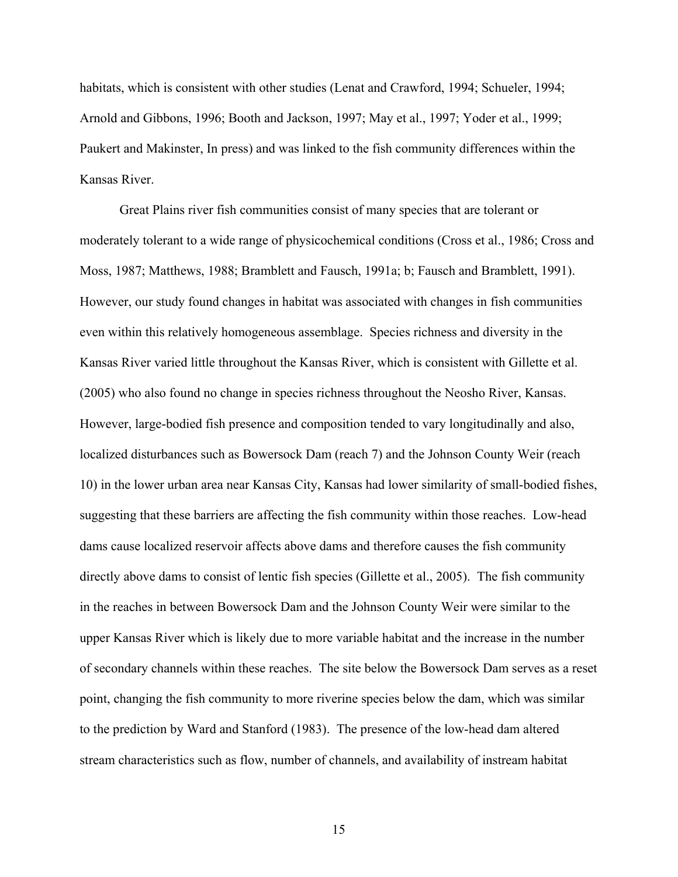habitats, which is consistent with other studies (Lenat and Crawford, 1994; Schueler, 1994; Arnold and Gibbons, 1996; Booth and Jackson, 1997; May et al., 1997; Yoder et al., 1999; Paukert and Makinster, In press) and was linked to the fish community differences within the Kansas River.

 Great Plains river fish communities consist of many species that are tolerant or moderately tolerant to a wide range of physicochemical conditions (Cross et al., 1986; Cross and Moss, 1987; Matthews, 1988; Bramblett and Fausch, 1991a; b; Fausch and Bramblett, 1991). However, our study found changes in habitat was associated with changes in fish communities even within this relatively homogeneous assemblage. Species richness and diversity in the Kansas River varied little throughout the Kansas River, which is consistent with Gillette et al. (2005) who also found no change in species richness throughout the Neosho River, Kansas. However, large-bodied fish presence and composition tended to vary longitudinally and also, localized disturbances such as Bowersock Dam (reach 7) and the Johnson County Weir (reach 10) in the lower urban area near Kansas City, Kansas had lower similarity of small-bodied fishes, suggesting that these barriers are affecting the fish community within those reaches. Low-head dams cause localized reservoir affects above dams and therefore causes the fish community directly above dams to consist of lentic fish species (Gillette et al., 2005). The fish community in the reaches in between Bowersock Dam and the Johnson County Weir were similar to the upper Kansas River which is likely due to more variable habitat and the increase in the number of secondary channels within these reaches. The site below the Bowersock Dam serves as a reset point, changing the fish community to more riverine species below the dam, which was similar to the prediction by Ward and Stanford (1983). The presence of the low-head dam altered stream characteristics such as flow, number of channels, and availability of instream habitat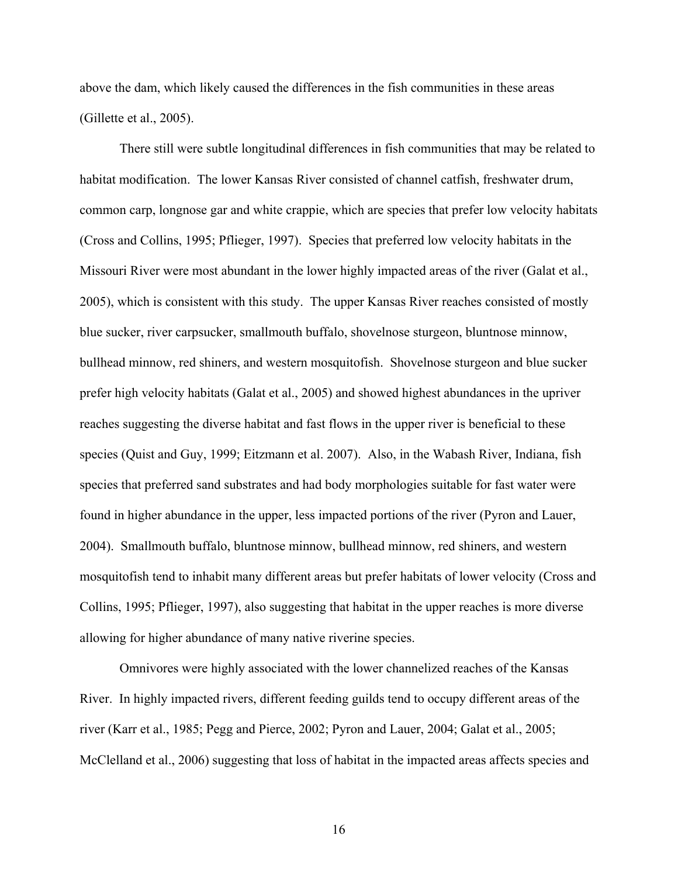above the dam, which likely caused the differences in the fish communities in these areas (Gillette et al., 2005).

There still were subtle longitudinal differences in fish communities that may be related to habitat modification. The lower Kansas River consisted of channel catfish, freshwater drum, common carp, longnose gar and white crappie, which are species that prefer low velocity habitats (Cross and Collins, 1995; Pflieger, 1997). Species that preferred low velocity habitats in the Missouri River were most abundant in the lower highly impacted areas of the river (Galat et al., 2005), which is consistent with this study. The upper Kansas River reaches consisted of mostly blue sucker, river carpsucker, smallmouth buffalo, shovelnose sturgeon, bluntnose minnow, bullhead minnow, red shiners, and western mosquitofish. Shovelnose sturgeon and blue sucker prefer high velocity habitats (Galat et al., 2005) and showed highest abundances in the upriver reaches suggesting the diverse habitat and fast flows in the upper river is beneficial to these species (Quist and Guy, 1999; Eitzmann et al. 2007). Also, in the Wabash River, Indiana, fish species that preferred sand substrates and had body morphologies suitable for fast water were found in higher abundance in the upper, less impacted portions of the river (Pyron and Lauer, 2004). Smallmouth buffalo, bluntnose minnow, bullhead minnow, red shiners, and western mosquitofish tend to inhabit many different areas but prefer habitats of lower velocity (Cross and Collins, 1995; Pflieger, 1997), also suggesting that habitat in the upper reaches is more diverse allowing for higher abundance of many native riverine species.

Omnivores were highly associated with the lower channelized reaches of the Kansas River. In highly impacted rivers, different feeding guilds tend to occupy different areas of the river (Karr et al., 1985; Pegg and Pierce, 2002; Pyron and Lauer, 2004; Galat et al., 2005; McClelland et al., 2006) suggesting that loss of habitat in the impacted areas affects species and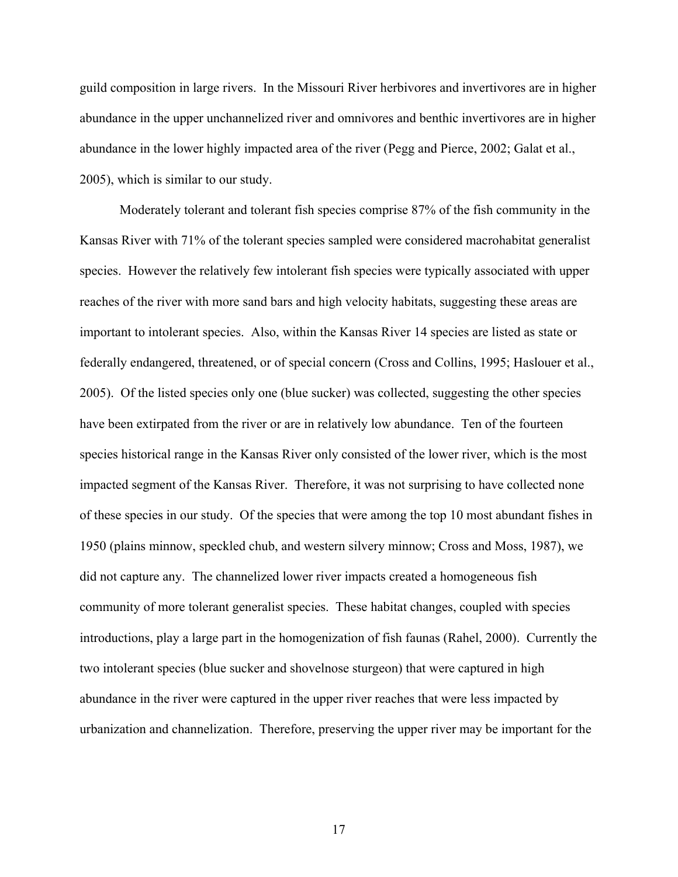guild composition in large rivers. In the Missouri River herbivores and invertivores are in higher abundance in the upper unchannelized river and omnivores and benthic invertivores are in higher abundance in the lower highly impacted area of the river (Pegg and Pierce, 2002; Galat et al., 2005), which is similar to our study.

Moderately tolerant and tolerant fish species comprise 87% of the fish community in the Kansas River with 71% of the tolerant species sampled were considered macrohabitat generalist species. However the relatively few intolerant fish species were typically associated with upper reaches of the river with more sand bars and high velocity habitats, suggesting these areas are important to intolerant species. Also, within the Kansas River 14 species are listed as state or federally endangered, threatened, or of special concern (Cross and Collins, 1995; Haslouer et al., 2005). Of the listed species only one (blue sucker) was collected, suggesting the other species have been extirpated from the river or are in relatively low abundance. Ten of the fourteen species historical range in the Kansas River only consisted of the lower river, which is the most impacted segment of the Kansas River. Therefore, it was not surprising to have collected none of these species in our study. Of the species that were among the top 10 most abundant fishes in 1950 (plains minnow, speckled chub, and western silvery minnow; Cross and Moss, 1987), we did not capture any. The channelized lower river impacts created a homogeneous fish community of more tolerant generalist species. These habitat changes, coupled with species introductions, play a large part in the homogenization of fish faunas (Rahel, 2000). Currently the two intolerant species (blue sucker and shovelnose sturgeon) that were captured in high abundance in the river were captured in the upper river reaches that were less impacted by urbanization and channelization. Therefore, preserving the upper river may be important for the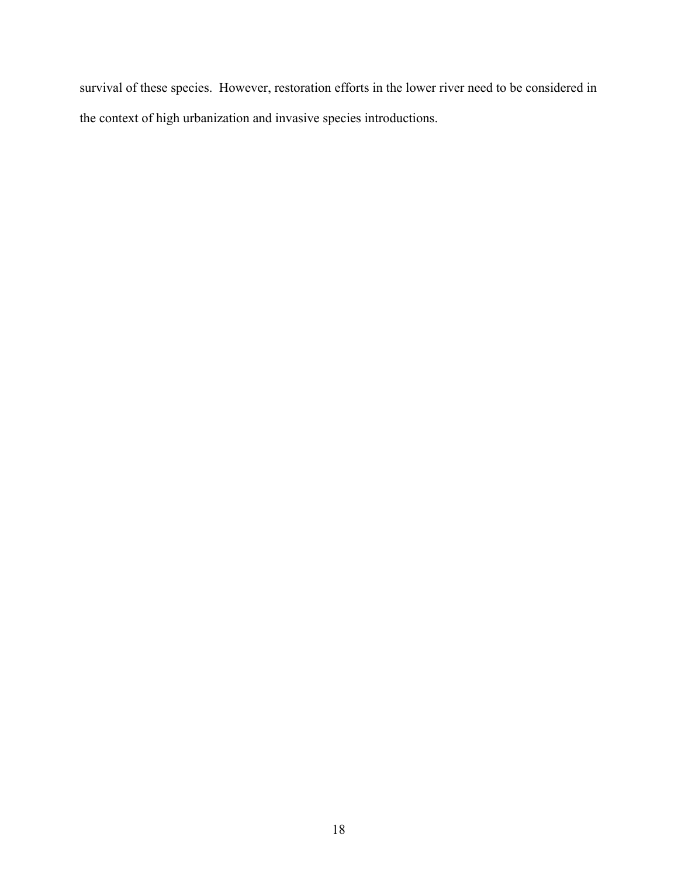survival of these species. However, restoration efforts in the lower river need to be considered in the context of high urbanization and invasive species introductions.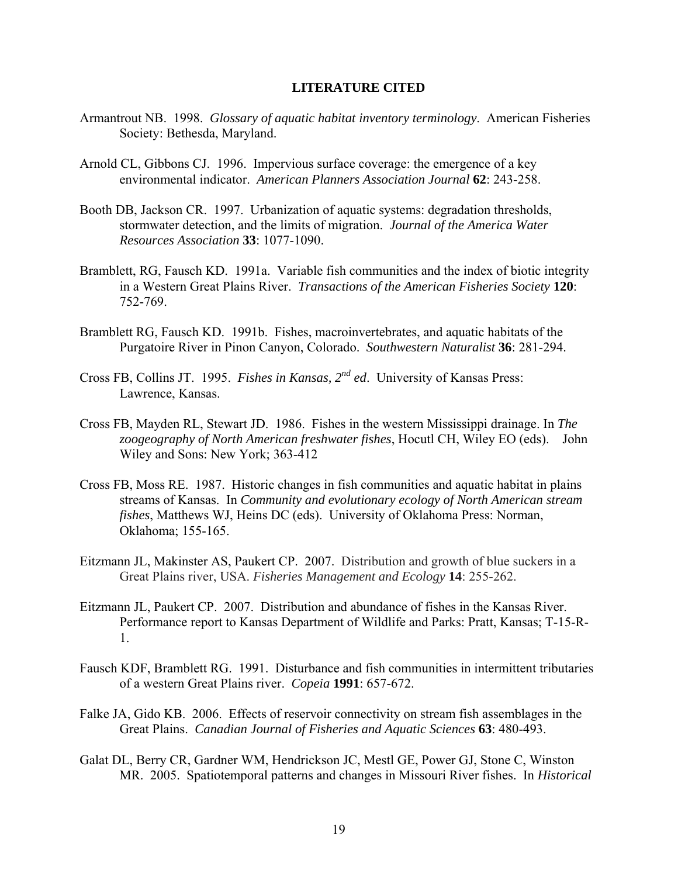### **LITERATURE CITED**

- Armantrout NB. 1998. *Glossary of aquatic habitat inventory terminology*. American Fisheries Society: Bethesda, Maryland.
- Arnold CL, Gibbons CJ. 1996. Impervious surface coverage: the emergence of a key environmental indicator. *American Planners Association Journal* **62**: 243-258.
- Booth DB, Jackson CR. 1997. Urbanization of aquatic systems: degradation thresholds, stormwater detection, and the limits of migration. *Journal of the America Water Resources Association* **33**: 1077-1090.
- Bramblett, RG, Fausch KD. 1991a. Variable fish communities and the index of biotic integrity in a Western Great Plains River. *Transactions of the American Fisheries Society* **120**: 752-769.
- Bramblett RG, Fausch KD. 1991b. Fishes, macroinvertebrates, and aquatic habitats of the Purgatoire River in Pinon Canyon, Colorado. *Southwestern Naturalist* **36**: 281-294.
- Cross FB, Collins JT. 1995. *Fishes in Kansas, 2nd ed*. University of Kansas Press: Lawrence, Kansas.
- Cross FB, Mayden RL, Stewart JD. 1986. Fishes in the western Mississippi drainage. In *The zoogeography of North American freshwater fishes*, Hocutl CH, Wiley EO (eds). John Wiley and Sons: New York; 363-412
- Cross FB, Moss RE. 1987. Historic changes in fish communities and aquatic habitat in plains streams of Kansas. In *Community and evolutionary ecology of North American stream fishes*, Matthews WJ, Heins DC (eds). University of Oklahoma Press: Norman, Oklahoma; 155-165.
- Eitzmann JL, Makinster AS, Paukert CP. 2007. Distribution and growth of blue suckers in a Great Plains river, USA. *Fisheries Management and Ecology* **14**: 255-262.
- Eitzmann JL, Paukert CP. 2007. Distribution and abundance of fishes in the Kansas River. Performance report to Kansas Department of Wildlife and Parks: Pratt, Kansas; T-15-R-1.
- Fausch KDF, Bramblett RG. 1991. Disturbance and fish communities in intermittent tributaries of a western Great Plains river. *Copeia* **1991**: 657-672.
- Falke JA, Gido KB. 2006. Effects of reservoir connectivity on stream fish assemblages in the Great Plains. *Canadian Journal of Fisheries and Aquatic Sciences* **63**: 480-493.
- Galat DL, Berry CR, Gardner WM, Hendrickson JC, Mestl GE, Power GJ, Stone C, Winston MR. 2005. Spatiotemporal patterns and changes in Missouri River fishes. In *Historical*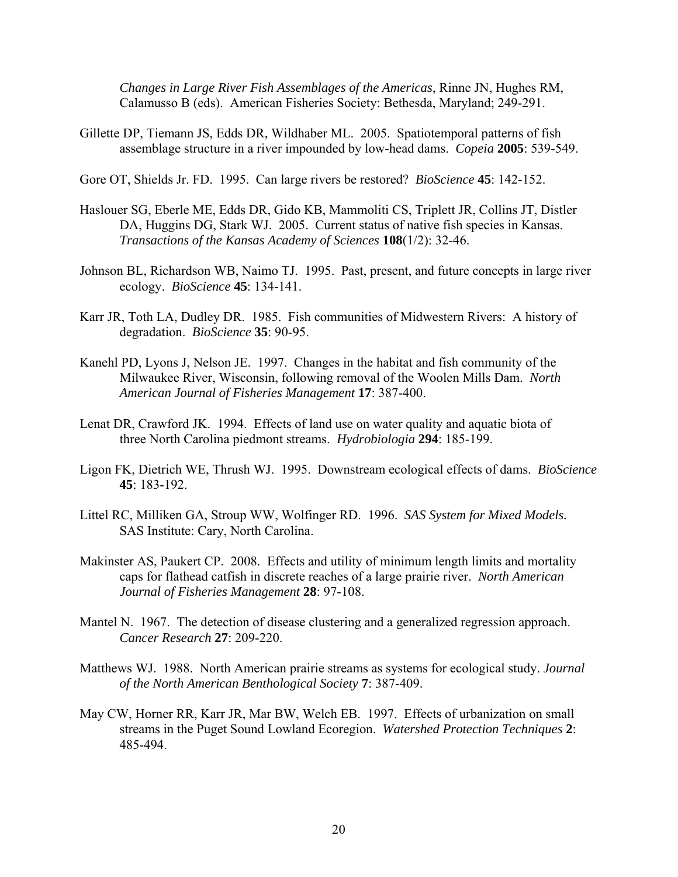*Changes in Large River Fish Assemblages of the Americas*, Rinne JN, Hughes RM, Calamusso B (eds). American Fisheries Society: Bethesda, Maryland; 249-291.

- Gillette DP, Tiemann JS, Edds DR, Wildhaber ML. 2005. Spatiotemporal patterns of fish assemblage structure in a river impounded by low-head dams. *Copeia* **2005**: 539-549.
- Gore OT, Shields Jr. FD. 1995. Can large rivers be restored? *BioScience* **45**: 142-152.
- Haslouer SG, Eberle ME, Edds DR, Gido KB, Mammoliti CS, Triplett JR, Collins JT, Distler DA, Huggins DG, Stark WJ. 2005. Current status of native fish species in Kansas. *Transactions of the Kansas Academy of Sciences* **108**(1/2): 32-46.
- Johnson BL, Richardson WB, Naimo TJ. 1995. Past, present, and future concepts in large river ecology. *BioScience* **45**: 134-141.
- Karr JR, Toth LA, Dudley DR. 1985. Fish communities of Midwestern Rivers: A history of degradation. *BioScience* **35**: 90-95.
- Kanehl PD, Lyons J, Nelson JE. 1997. Changes in the habitat and fish community of the Milwaukee River, Wisconsin, following removal of the Woolen Mills Dam. *North American Journal of Fisheries Management* **17**: 387-400.
- Lenat DR, Crawford JK. 1994. Effects of land use on water quality and aquatic biota of three North Carolina piedmont streams. *Hydrobiologia* **294**: 185-199.
- Ligon FK, Dietrich WE, Thrush WJ. 1995. Downstream ecological effects of dams. *BioScience* **45**: 183-192.
- Littel RC, Milliken GA, Stroup WW, Wolfinger RD. 1996. *SAS System for Mixed Models.* SAS Institute: Cary, North Carolina.
- Makinster AS, Paukert CP. 2008. Effects and utility of minimum length limits and mortality caps for flathead catfish in discrete reaches of a large prairie river. *North American Journal of Fisheries Management* **28**: 97-108.
- Mantel N. 1967. The detection of disease clustering and a generalized regression approach. *Cancer Research* **27**: 209-220.
- Matthews WJ. 1988. North American prairie streams as systems for ecological study. *Journal of the North American Benthological Society* **7**: 387-409.
- May CW, Horner RR, Karr JR, Mar BW, Welch EB. 1997. Effects of urbanization on small streams in the Puget Sound Lowland Ecoregion. *Watershed Protection Techniques* **2**: 485-494.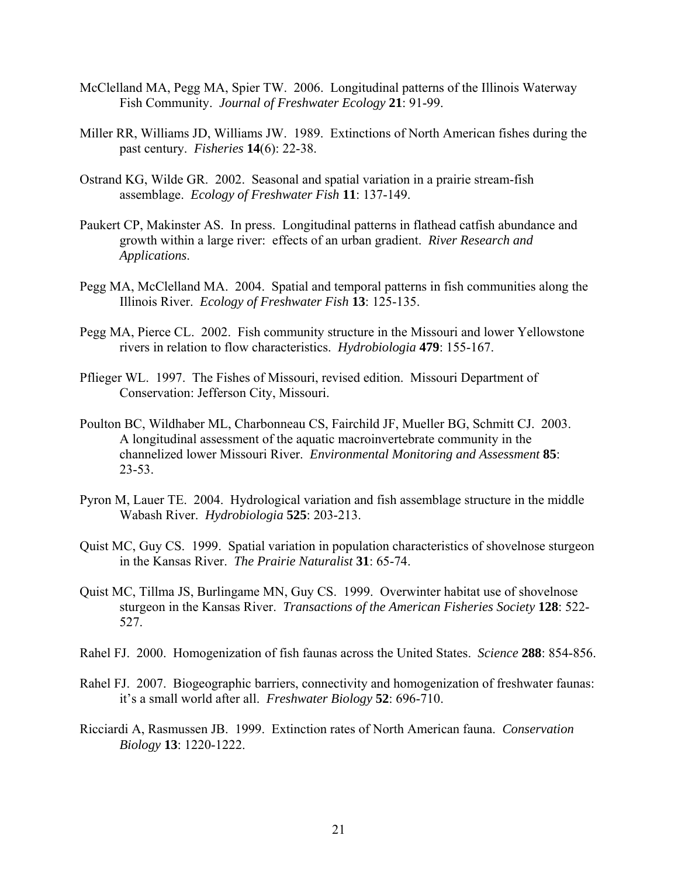- McClelland MA, Pegg MA, Spier TW. 2006. Longitudinal patterns of the Illinois Waterway Fish Community. *Journal of Freshwater Ecology* **21**: 91-99.
- Miller RR, Williams JD, Williams JW. 1989. Extinctions of North American fishes during the past century. *Fisheries* **14**(6): 22-38.
- Ostrand KG, Wilde GR. 2002. Seasonal and spatial variation in a prairie stream-fish assemblage. *Ecology of Freshwater Fish* **11**: 137-149.
- Paukert CP, Makinster AS. In press. Longitudinal patterns in flathead catfish abundance and growth within a large river: effects of an urban gradient. *River Research and Applications*.
- Pegg MA, McClelland MA. 2004. Spatial and temporal patterns in fish communities along the Illinois River. *Ecology of Freshwater Fish* **13**: 125-135.
- Pegg MA, Pierce CL. 2002. Fish community structure in the Missouri and lower Yellowstone rivers in relation to flow characteristics. *Hydrobiologia* **479**: 155-167.
- Pflieger WL. 1997. The Fishes of Missouri, revised edition. Missouri Department of Conservation: Jefferson City, Missouri.
- Poulton BC, Wildhaber ML, Charbonneau CS, Fairchild JF, Mueller BG, Schmitt CJ. 2003. A longitudinal assessment of the aquatic macroinvertebrate community in the channelized lower Missouri River. *Environmental Monitoring and Assessment* **85**: 23-53.
- Pyron M, Lauer TE. 2004. Hydrological variation and fish assemblage structure in the middle Wabash River. *Hydrobiologia* **525**: 203-213.
- Quist MC, Guy CS. 1999. Spatial variation in population characteristics of shovelnose sturgeon in the Kansas River. *The Prairie Naturalist* **31**: 65-74.
- Quist MC, Tillma JS, Burlingame MN, Guy CS. 1999. Overwinter habitat use of shovelnose sturgeon in the Kansas River. *Transactions of the American Fisheries Society* **128**: 522- 527.
- Rahel FJ. 2000. Homogenization of fish faunas across the United States. *Science* **288**: 854-856.
- Rahel FJ. 2007. Biogeographic barriers, connectivity and homogenization of freshwater faunas: it's a small world after all. *Freshwater Biology* **52**: 696-710.
- Ricciardi A, Rasmussen JB. 1999. Extinction rates of North American fauna. *Conservation Biology* **13**: 1220-1222.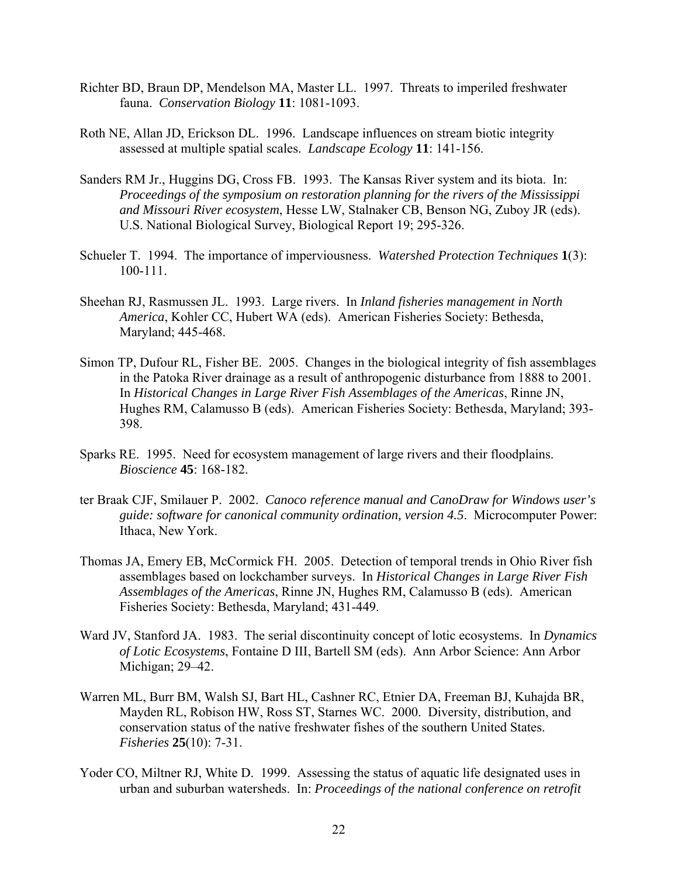- Richter BD, Braun DP, Mendelson MA, Master LL. 1997. Threats to imperiled freshwater fauna. *Conservation Biology* **11**: 1081-1093.
- Roth NE, Allan JD, Erickson DL. 1996. Landscape influences on stream biotic integrity assessed at multiple spatial scales. *Landscape Ecology* **11**: 141-156.
- Sanders RM Jr., Huggins DG, Cross FB. 1993. The Kansas River system and its biota. In: *Proceedings of the symposium on restoration planning for the rivers of the Mississippi and Missouri River ecosystem*, Hesse LW, Stalnaker CB, Benson NG, Zuboy JR (eds). U.S. National Biological Survey, Biological Report 19; 295-326.
- Schueler T. 1994. The importance of imperviousness. *Watershed Protection Techniques* **1**(3): 100-111.
- Sheehan RJ, Rasmussen JL. 1993. Large rivers. In *Inland fisheries management in North America*, Kohler CC, Hubert WA (eds). American Fisheries Society: Bethesda, Maryland; 445-468.
- Simon TP, Dufour RL, Fisher BE. 2005. Changes in the biological integrity of fish assemblages in the Patoka River drainage as a result of anthropogenic disturbance from 1888 to 2001. In *Historical Changes in Large River Fish Assemblages of the Americas*, Rinne JN, Hughes RM, Calamusso B (eds). American Fisheries Society: Bethesda, Maryland; 393- 398.
- Sparks RE. 1995. Need for ecosystem management of large rivers and their floodplains. *Bioscience* **45**: 168-182.
- ter Braak CJF, Smilauer P. 2002. *Canoco reference manual and CanoDraw for Windows user's guide: software for canonical community ordination, version 4.5*. Microcomputer Power: Ithaca, New York.
- Thomas JA, Emery EB, McCormick FH. 2005. Detection of temporal trends in Ohio River fish assemblages based on lockchamber surveys. In *Historical Changes in Large River Fish Assemblages of the Americas*, Rinne JN, Hughes RM, Calamusso B (eds). American Fisheries Society: Bethesda, Maryland; 431-449.
- Ward JV, Stanford JA. 1983. The serial discontinuity concept of lotic ecosystems. In *Dynamics of Lotic Ecosystems*, Fontaine D III, Bartell SM (eds). Ann Arbor Science: Ann Arbor Michigan; 29–42.
- Warren ML, Burr BM, Walsh SJ, Bart HL, Cashner RC, Etnier DA, Freeman BJ, Kuhajda BR, Mayden RL, Robison HW, Ross ST, Starnes WC. 2000. Diversity, distribution, and conservation status of the native freshwater fishes of the southern United States. *Fisheries* **25**(10): 7-31.
- Yoder CO, Miltner RJ, White D. 1999. Assessing the status of aquatic life designated uses in urban and suburban watersheds. In: *Proceedings of the national conference on retrofit*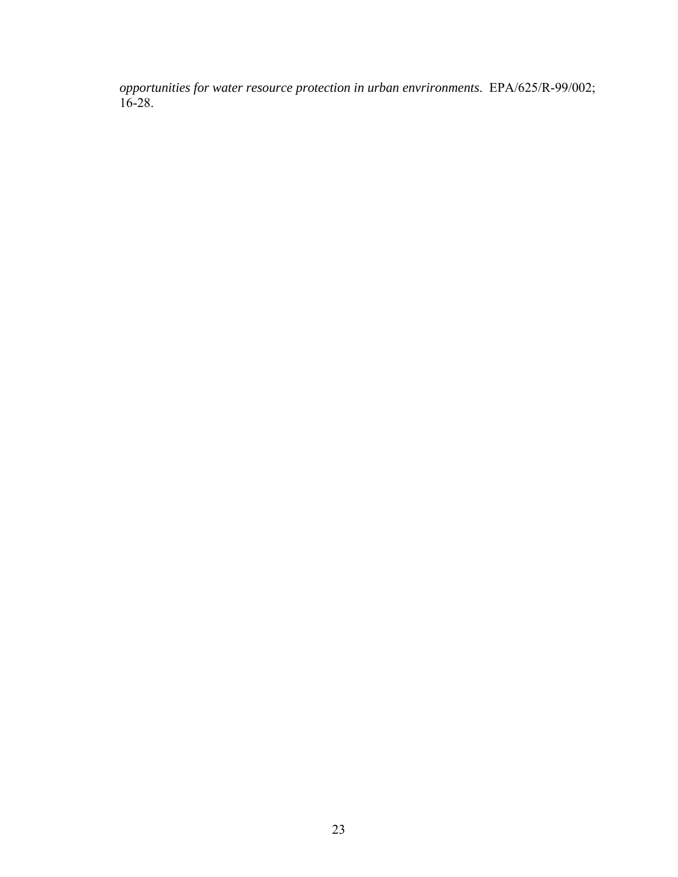*opportunities for water resource protection in urban envrironments*. EPA/625/R-99/002; 16-28.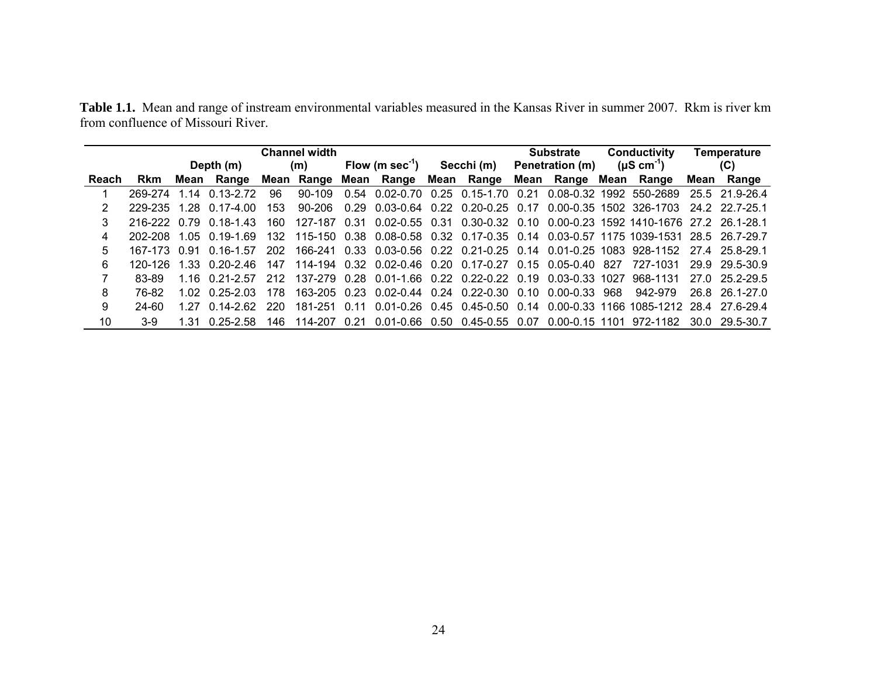|       |              | <b>Channel width</b> |                  |      |                  |      |                       |  |                                              | <b>Substrate</b> |                            | Conductivity |                                                                                   | <b>Temperature</b> |                |  |
|-------|--------------|----------------------|------------------|------|------------------|------|-----------------------|--|----------------------------------------------|------------------|----------------------------|--------------|-----------------------------------------------------------------------------------|--------------------|----------------|--|
|       |              |                      | Depth (m)        |      | (m)              |      | Flow (m sec $^{-1}$ ) |  |                                              |                  | Secchi (m) Penetration (m) |              | $(\mu S \text{ cm}^{-1})$                                                         |                    | (C)            |  |
| Reach | <b>Rkm</b>   |                      | Mean Range       |      | Mean Range       |      | Mean Range Mean Range |  |                                              |                  | Mean Range Mean Range      |              |                                                                                   | Mean               | Range          |  |
|       | 269-274      | 1 14                 | $0.13 - 2.72$    | 96   | $90-109$         | 0.54 |                       |  |                                              |                  |                            |              | 0.02-0.70  0.25  0.15-1.70  0.21  0.08-0.32  1992  550-2689                       |                    | 25.5 21.9-26.4 |  |
|       | 229-235      | 1 28                 | $0.17 - 4.00$    | 153. | 90-206           | 0.29 | 0.03-0.64             |  | 0.22 0.20-0.25 0.17                          |                  |                            |              | 0.00-0.35 1502 326-1703                                                           |                    | 24 2 22 7-25 1 |  |
| 3     | 216-222 0.79 |                      | $0.18 - 1.43$    | 160. | 127-187          | 0.31 |                       |  |                                              |                  |                            |              | 0.02-0.55  0.31  0.30-0.32  0.10  0.00-0.23  1592  1410-1676  27.2  26.1-28.1     |                    |                |  |
| 4     | 202-208      | 1 05                 | 0.19-1.69        | 132  | 115-150          | 0.38 |                       |  |                                              |                  |                            |              | 0.08-0.58 0.32 0.17-0.35 0.14 0.03-0.57 1175 1039-1531 28.5 26.7-29.7             |                    |                |  |
| 5     | 167-173 0.91 |                      | $0.16 - 1.57$    | 202  |                  |      |                       |  |                                              |                  |                            |              | 166-241 0.33 0.03-0.56 0.22 0.21-0.25 0.14 0.01-0.25 1083 928-1152 27.4 25.8-29.1 |                    |                |  |
| 6     | 120-126      | 1.33                 | በ 20-2 46        | 147  | 114-194          | 0.32 |                       |  | 0.02-0.46 0.20 0.17-0.27 0.15 0.05-0.40 827  |                  |                            |              | 727-1031                                                                          |                    | 29.9 29.5-30.9 |  |
|       | 83-89        |                      | 1 16 0 21 - 2 57 |      | 212 137-279 0.28 |      |                       |  | 0.01-1.66 0.22 0.22-0.22 0.19 0.03-0.33 1027 |                  |                            |              | 968-1131                                                                          |                    | 27.0 25.2-29.5 |  |
| 8     | 76-82        |                      | 1 02 0 25-2 03   | 178. | $163 - 205$ 0.23 |      |                       |  | $0.02 - 0.44$ $0.24$ $0.22 - 0.30$ $0.10$    |                  | $0.00 - 0.33$              | 968          | 942-979                                                                           |                    | 268 261-270    |  |
| 9     | 24-60        | 1 27                 | በ 14-2 62        | 220. | 181-251          | 0.11 |                       |  |                                              |                  |                            |              | 0.01-0.26 0.45 0.45-0.50 0.14 0.00-0.33 1166 1085-1212 28.4 27.6-29.4             |                    |                |  |
| 10    | 3-9          | 1 31                 | 0 25-2 58        | 146. | 114-207          | 0.21 |                       |  | 0.01-0.66 0.50 0.45-0.55 0.07                |                  | 0.00-0.15 1101             |              | 972-1182                                                                          |                    | 30.0 29.5-30.7 |  |

**Table 1.1.** Mean and range of instream environmental variables measured in the Kansas River in summer 2007. Rkm is river km from confluence of Missouri River.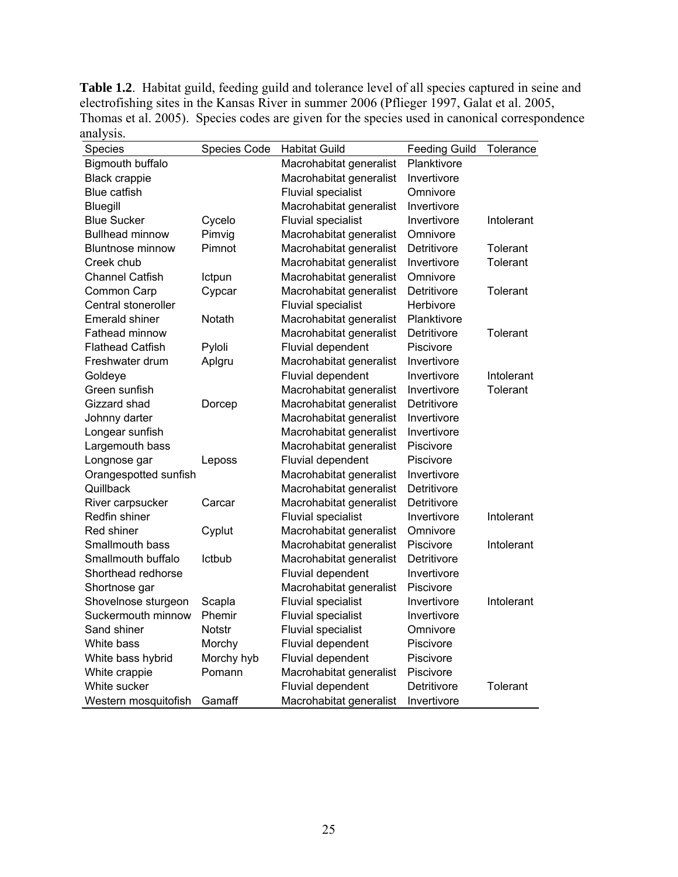**Table 1.2**. Habitat guild, feeding guild and tolerance level of all species captured in seine and electrofishing sites in the Kansas River in summer 2006 (Pflieger 1997, Galat et al. 2005, Thomas et al. 2005). Species codes are given for the species used in canonical correspondence analysis.

| Species                 | <b>Species Code</b> | <b>Habitat Guild</b>      | <b>Feeding Guild</b> | Tolerance       |
|-------------------------|---------------------|---------------------------|----------------------|-----------------|
| Bigmouth buffalo        |                     | Macrohabitat generalist   | Planktivore          |                 |
| <b>Black crappie</b>    |                     | Macrohabitat generalist   | Invertivore          |                 |
| <b>Blue catfish</b>     |                     | <b>Fluvial specialist</b> | Omnivore             |                 |
| <b>Bluegill</b>         |                     | Macrohabitat generalist   | Invertivore          |                 |
| <b>Blue Sucker</b>      | Cycelo              | <b>Fluvial specialist</b> | Invertivore          | Intolerant      |
| <b>Bullhead minnow</b>  | Pimvig              | Macrohabitat generalist   | Omnivore             |                 |
| <b>Bluntnose minnow</b> | Pimnot              | Macrohabitat generalist   | Detritivore          | Tolerant        |
| Creek chub              |                     | Macrohabitat generalist   | Invertivore          | Tolerant        |
| <b>Channel Catfish</b>  | Ictpun              | Macrohabitat generalist   | Omnivore             |                 |
| Common Carp             | Cypcar              | Macrohabitat generalist   | Detritivore          | Tolerant        |
| Central stoneroller     |                     | <b>Fluvial specialist</b> | Herbivore            |                 |
| <b>Emerald shiner</b>   | <b>Notath</b>       | Macrohabitat generalist   | Planktivore          |                 |
| Fathead minnow          |                     | Macrohabitat generalist   | Detritivore          | <b>Tolerant</b> |
| <b>Flathead Catfish</b> | Pyloli              | <b>Fluvial dependent</b>  | Piscivore            |                 |
| Freshwater drum         | Aplgru              | Macrohabitat generalist   | Invertivore          |                 |
| Goldeye                 |                     | <b>Fluvial dependent</b>  | Invertivore          | Intolerant      |
| Green sunfish           |                     | Macrohabitat generalist   | Invertivore          | Tolerant        |
| Gizzard shad            | Dorcep              | Macrohabitat generalist   | Detritivore          |                 |
| Johnny darter           |                     | Macrohabitat generalist   | Invertivore          |                 |
| Longear sunfish         |                     | Macrohabitat generalist   | Invertivore          |                 |
| Largemouth bass         |                     | Macrohabitat generalist   | Piscivore            |                 |
| Longnose gar            | Leposs              | Fluvial dependent         | Piscivore            |                 |
| Orangespotted sunfish   |                     | Macrohabitat generalist   | Invertivore          |                 |
| Quillback               |                     | Macrohabitat generalist   | Detritivore          |                 |
| River carpsucker        | Carcar              | Macrohabitat generalist   | Detritivore          |                 |
| Redfin shiner           |                     | <b>Fluvial specialist</b> | Invertivore          | Intolerant      |
| Red shiner              | Cyplut              | Macrohabitat generalist   | Omnivore             |                 |
| Smallmouth bass         |                     | Macrohabitat generalist   | Piscivore            | Intolerant      |
| Smallmouth buffalo      | <b>Ictbub</b>       | Macrohabitat generalist   | Detritivore          |                 |
| Shorthead redhorse      |                     | Fluvial dependent         | Invertivore          |                 |
| Shortnose gar           |                     | Macrohabitat generalist   | Piscivore            |                 |
| Shovelnose sturgeon     | Scapla              | <b>Fluvial specialist</b> | Invertivore          | Intolerant      |
| Suckermouth minnow      | Phemir              | <b>Fluvial specialist</b> | Invertivore          |                 |
| Sand shiner             | <b>Notstr</b>       | <b>Fluvial specialist</b> | Omnivore             |                 |
| White bass              | Morchy              | <b>Fluvial dependent</b>  | Piscivore            |                 |
| White bass hybrid       | Morchy hyb          | Fluvial dependent         | Piscivore            |                 |
| White crappie           | Pomann              | Macrohabitat generalist   | Piscivore            |                 |
| White sucker            |                     | <b>Fluvial dependent</b>  | Detritivore          | Tolerant        |
| Western mosquitofish    | Gamaff              | Macrohabitat generalist   | Invertivore          |                 |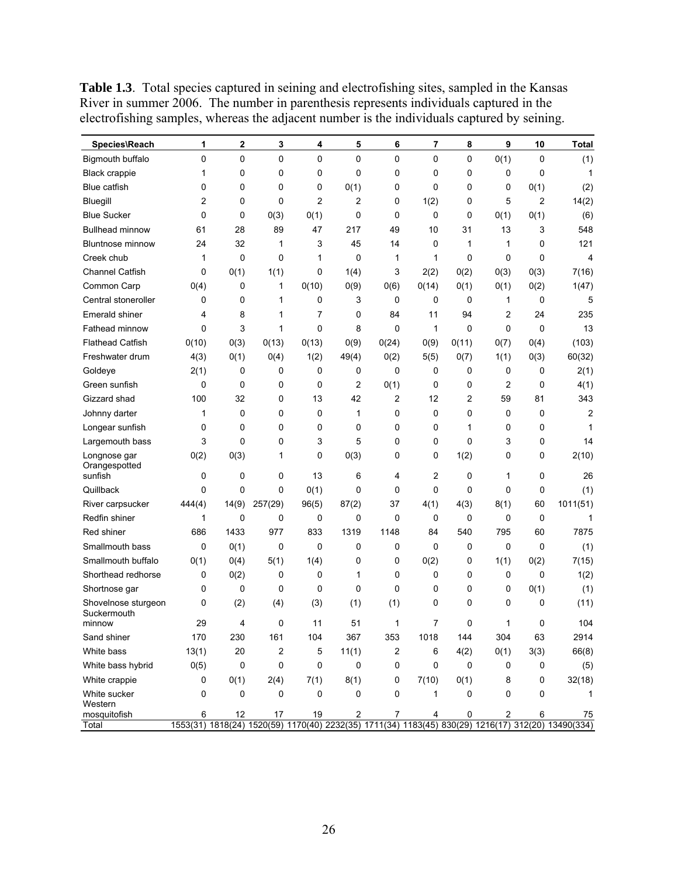| 0<br>0<br>0<br>0<br>0<br>0<br>0<br>0<br>0(1)<br>$\mathbf 0$<br>Bigmouth buffalo<br>0<br>0<br>0<br>0<br>0<br>0<br>0<br>0<br>0<br><b>Black crappie</b><br>1<br><b>Blue catfish</b><br>0<br>0<br>0<br>0<br>0(1)<br>0<br>0<br>0<br>0<br>0(1)<br>2<br>2<br>Bluegill<br>2<br>0<br>0<br>1(2)<br>5<br>2<br>0<br>0<br><b>Blue Sucker</b><br>$\Omega$<br>0<br>0(3)<br>0(1)<br>0<br>0<br>0<br>0<br>0(1)<br>0(1)<br>47<br>13<br><b>Bullhead minnow</b><br>28<br>89<br>217<br>49<br>10<br>31<br>3<br>61 |  |  |  |  |  |          |
|--------------------------------------------------------------------------------------------------------------------------------------------------------------------------------------------------------------------------------------------------------------------------------------------------------------------------------------------------------------------------------------------------------------------------------------------------------------------------------------------|--|--|--|--|--|----------|
|                                                                                                                                                                                                                                                                                                                                                                                                                                                                                            |  |  |  |  |  | (1)      |
|                                                                                                                                                                                                                                                                                                                                                                                                                                                                                            |  |  |  |  |  | 1        |
|                                                                                                                                                                                                                                                                                                                                                                                                                                                                                            |  |  |  |  |  | (2)      |
|                                                                                                                                                                                                                                                                                                                                                                                                                                                                                            |  |  |  |  |  | 14(2)    |
|                                                                                                                                                                                                                                                                                                                                                                                                                                                                                            |  |  |  |  |  | (6)      |
|                                                                                                                                                                                                                                                                                                                                                                                                                                                                                            |  |  |  |  |  | 548      |
| 32<br>45<br><b>Bluntnose minnow</b><br>24<br>1<br>3<br>14<br>0<br>1<br>1<br>0                                                                                                                                                                                                                                                                                                                                                                                                              |  |  |  |  |  | 121      |
| 0<br>Creek chub<br>1<br>0<br>0<br>1<br>1<br>0<br>0<br>0<br>1                                                                                                                                                                                                                                                                                                                                                                                                                               |  |  |  |  |  | 4        |
| <b>Channel Catfish</b><br>0<br>0(1)<br>1(1)<br>0<br>1(4)<br>3<br>2(2)<br>0(2)<br>0(3)<br>0(3)                                                                                                                                                                                                                                                                                                                                                                                              |  |  |  |  |  | 7(16)    |
| Common Carp<br>0<br>1<br>0(10)<br>0(9)<br>0(14)<br>0(1)<br>0(2)<br>0(4)<br>0(6)<br>0(1)                                                                                                                                                                                                                                                                                                                                                                                                    |  |  |  |  |  | 1(47)    |
| Central stoneroller<br>0<br>0<br>0<br>3<br>0<br>0<br>0<br>1<br>0<br>1                                                                                                                                                                                                                                                                                                                                                                                                                      |  |  |  |  |  | 5        |
| <b>Emerald shiner</b><br>8<br>1<br>7<br>0<br>84<br>94<br>2<br>24<br>4<br>11                                                                                                                                                                                                                                                                                                                                                                                                                |  |  |  |  |  | 235      |
| 3<br>0<br>Fathead minnow<br>0<br>1<br>8<br>0<br>1<br>0<br>0<br>0                                                                                                                                                                                                                                                                                                                                                                                                                           |  |  |  |  |  | 13       |
| <b>Flathead Catfish</b><br>0(10)<br>0(3)<br>0(13)<br>0(13)<br>0(9)<br>0(24)<br>0(9)<br>0(11)<br>0(4)<br>0(7)                                                                                                                                                                                                                                                                                                                                                                               |  |  |  |  |  | (103)    |
| Freshwater drum<br>4(3)<br>0(1)<br>0(4)<br>1(2)<br>49(4)<br>0(2)<br>0(7)<br>1(1)<br>0(3)<br>5(5)                                                                                                                                                                                                                                                                                                                                                                                           |  |  |  |  |  | 60(32)   |
| 0<br>0<br>2(1)<br>0<br>0<br>0<br>0<br>0<br>0<br>Goldeye<br>0                                                                                                                                                                                                                                                                                                                                                                                                                               |  |  |  |  |  | 2(1)     |
| 2<br>$\overline{2}$<br>Green sunfish<br>0<br>0<br>0<br>0<br>0(1)<br>0<br>0<br>0                                                                                                                                                                                                                                                                                                                                                                                                            |  |  |  |  |  | 4(1)     |
| 42<br>2<br>Gizzard shad<br>100<br>32<br>0<br>13<br>12<br>2<br>59<br>81                                                                                                                                                                                                                                                                                                                                                                                                                     |  |  |  |  |  | 343      |
| Johnny darter<br>0<br>0<br>0<br>1<br>0<br>0<br>0<br>0<br>0<br>1                                                                                                                                                                                                                                                                                                                                                                                                                            |  |  |  |  |  | 2        |
| 0<br>0<br>0<br>0<br>0<br>0<br>0<br>Longear sunfish<br>0<br>0<br>1                                                                                                                                                                                                                                                                                                                                                                                                                          |  |  |  |  |  | 1        |
| 3<br>0<br>0<br>3<br>5<br>0<br>0<br>0<br>3<br>0<br>Largemouth bass                                                                                                                                                                                                                                                                                                                                                                                                                          |  |  |  |  |  | 14       |
| 1(2)<br>0(2)<br>0(3)<br>0<br>0(3)<br>0<br>0<br>0<br>Longnose gar<br>1<br>0<br>Orangespotted                                                                                                                                                                                                                                                                                                                                                                                                |  |  |  |  |  | 2(10)    |
| $\overline{2}$<br>sunfish<br>0<br>0<br>0<br>13<br>6<br>0<br>0<br>4<br>1                                                                                                                                                                                                                                                                                                                                                                                                                    |  |  |  |  |  | 26       |
| Quillback<br>0<br>0(1)<br>0<br>0<br>0<br>0<br>0<br>0<br>0<br>0                                                                                                                                                                                                                                                                                                                                                                                                                             |  |  |  |  |  | (1)      |
| 14(9)<br>96(5)<br>87(2)<br>37<br>4(3)<br>8(1)<br>River carpsucker<br>444(4)<br>257(29)<br>4(1)<br>60                                                                                                                                                                                                                                                                                                                                                                                       |  |  |  |  |  | 1011(51) |
| 0<br>0<br>0<br>0<br>0<br>Redfin shiner<br>1<br>0<br>0<br>0<br>0                                                                                                                                                                                                                                                                                                                                                                                                                            |  |  |  |  |  | 1        |
| Red shiner<br>686<br>1433<br>977<br>833<br>1319<br>1148<br>84<br>540<br>795<br>60                                                                                                                                                                                                                                                                                                                                                                                                          |  |  |  |  |  | 7875     |
| Smallmouth bass<br>0<br>0<br>0<br>0(1)<br>0<br>0<br>0<br>0<br>0<br>0                                                                                                                                                                                                                                                                                                                                                                                                                       |  |  |  |  |  | (1)      |
| Smallmouth buffalo<br>0(1)<br>0(4)<br>5(1)<br>1(4)<br>0<br>0(2)<br>1(1)<br>0(2)<br>0<br>0                                                                                                                                                                                                                                                                                                                                                                                                  |  |  |  |  |  | 7(15)    |
| Shorthead redhorse<br>0<br>0(2)<br>0<br>0<br>0<br>0<br>0<br>0<br>0<br>1                                                                                                                                                                                                                                                                                                                                                                                                                    |  |  |  |  |  | 1(2)     |
| 0<br>0<br>0<br>0<br>0<br>0<br>0<br>0<br>0<br>0(1)<br>Shortnose gar                                                                                                                                                                                                                                                                                                                                                                                                                         |  |  |  |  |  | (1)      |
| (2)<br>(3)<br>(1)<br>(1)<br>0<br>0<br>0<br>0<br>Shovelnose sturgeon<br>0<br>(4)<br>Suckermouth                                                                                                                                                                                                                                                                                                                                                                                             |  |  |  |  |  | (11)     |
| 29<br>0<br>51<br>7<br>0<br>1<br>0<br>4<br>11<br>1<br>minnow                                                                                                                                                                                                                                                                                                                                                                                                                                |  |  |  |  |  | 104      |
| 170<br>230<br>161<br>104<br>367<br>353<br>1018<br>144<br>304<br>63<br>Sand shiner                                                                                                                                                                                                                                                                                                                                                                                                          |  |  |  |  |  | 2914     |
| White bass<br>13(1)<br>20<br>2<br>5<br>2<br>11(1)<br>6<br>4(2)<br>0(1)<br>3(3)                                                                                                                                                                                                                                                                                                                                                                                                             |  |  |  |  |  | 66(8)    |
| 0(5)<br>0<br>0<br>0<br>White bass hybrid<br>0<br>0<br>0<br>0<br>0<br>0                                                                                                                                                                                                                                                                                                                                                                                                                     |  |  |  |  |  | (5)      |
| 8(1)<br>White crappie<br>0<br>0(1)<br>2(4)<br>7(1)<br>0<br>7(10)<br>0(1)<br>0<br>8                                                                                                                                                                                                                                                                                                                                                                                                         |  |  |  |  |  | 32(18)   |
| White sucker<br>0<br>0<br>0<br>0<br>0<br>0<br>0<br>0<br>1<br>0<br>Western                                                                                                                                                                                                                                                                                                                                                                                                                  |  |  |  |  |  | 1        |
| $\overline{c}$<br>mosquitofish<br>12<br>19<br>0<br>2<br>6<br>6<br>17<br>4<br>7<br>1553(31) 1818(24) 1520(59) 1170(40) 2232(35) 1711(34) 1183(45) 830(29) 1216(17) 312(20) 13490(334)<br>Total                                                                                                                                                                                                                                                                                              |  |  |  |  |  | 75       |

Table 1.3. Total species captured in seining and electrofishing sites, sampled in the Kansas River in summer 2006. The number in parenthesis represents individuals captured in the electrofishing samples, whereas the adjacent number is the individuals captured by seining.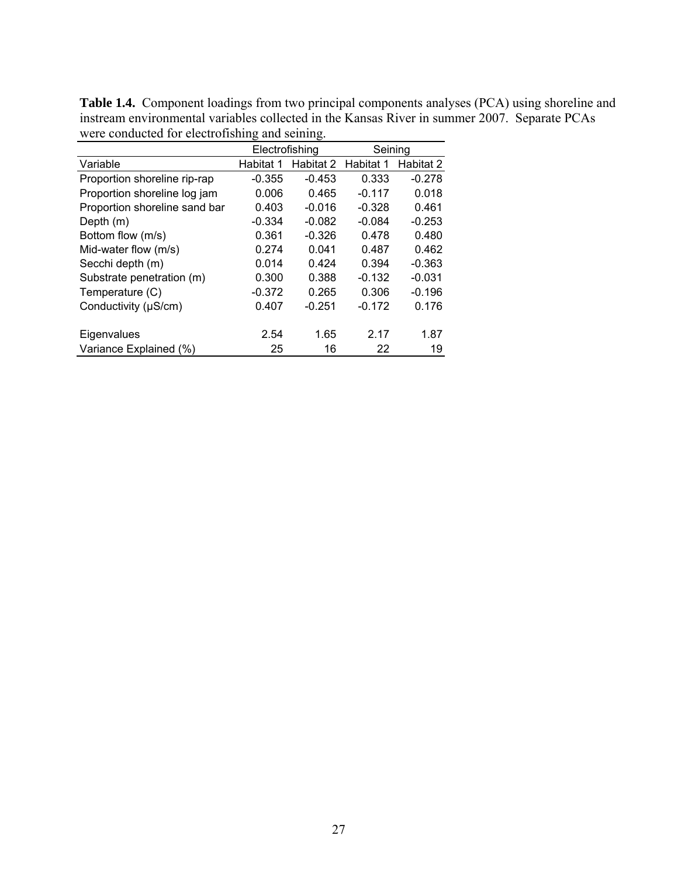|                               | Electrofishing |           | Seining   |           |  |
|-------------------------------|----------------|-----------|-----------|-----------|--|
| Variable                      | Habitat 1      | Habitat 2 | Habitat 1 | Habitat 2 |  |
| Proportion shoreline rip-rap  | $-0.355$       | $-0.453$  | 0.333     | $-0.278$  |  |
| Proportion shoreline log jam  | 0.006          | 0.465     | $-0.117$  | 0.018     |  |
| Proportion shoreline sand bar | 0.403          | $-0.016$  | $-0.328$  | 0.461     |  |
| Depth (m)                     | $-0.334$       | $-0.082$  | $-0.084$  | $-0.253$  |  |
| Bottom flow (m/s)             | 0.361          | $-0.326$  | 0.478     | 0.480     |  |
| Mid-water flow (m/s)          | 0.274          | 0.041     | 0.487     | 0.462     |  |
| Secchi depth (m)              | 0.014          | 0.424     | 0.394     | $-0.363$  |  |
| Substrate penetration (m)     | 0.300          | 0.388     | $-0.132$  | $-0.031$  |  |
| Temperature (C)               | $-0.372$       | 0.265     | 0.306     | $-0.196$  |  |
| Conductivity (µS/cm)          | 0.407          | $-0.251$  | $-0.172$  | 0.176     |  |
| Eigenvalues                   | 2.54           | 1.65      | 2.17      | 1.87      |  |
| Variance Explained (%)        | 25             | 16        | 22        | 19        |  |

**Table 1.4.** Component loadings from two principal components analyses (PCA) using shoreline and instream environmental variables collected in the Kansas River in summer 2007. Separate PCAs were conducted for electrofishing and seining.  $\overline{\phantom{a}}$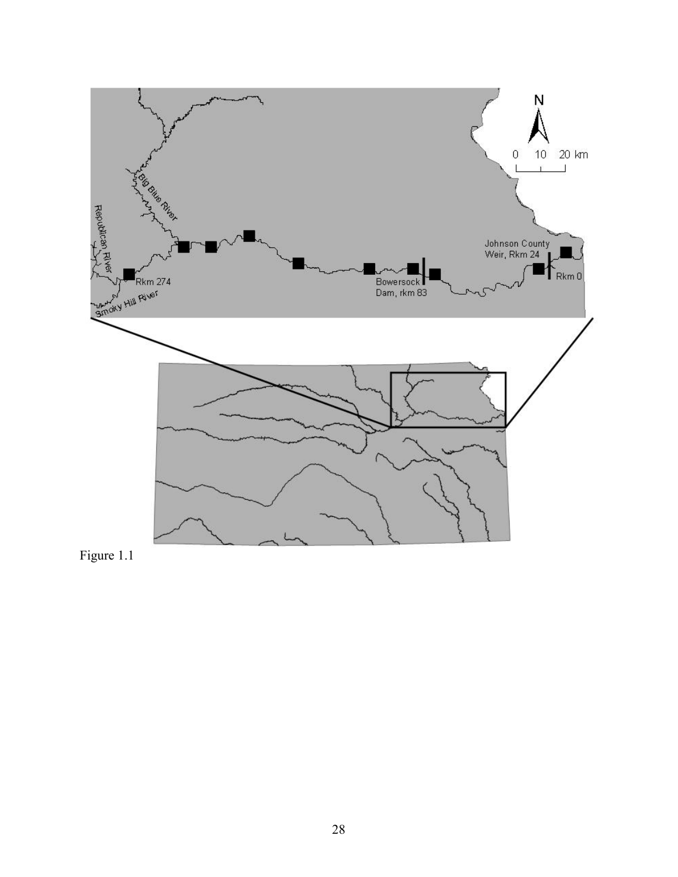

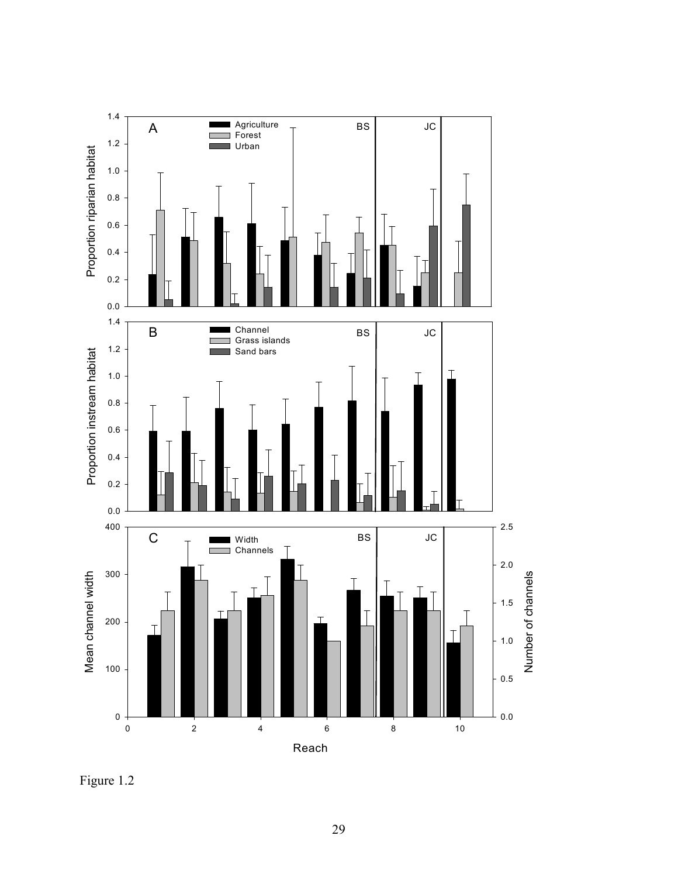

Figure 1.2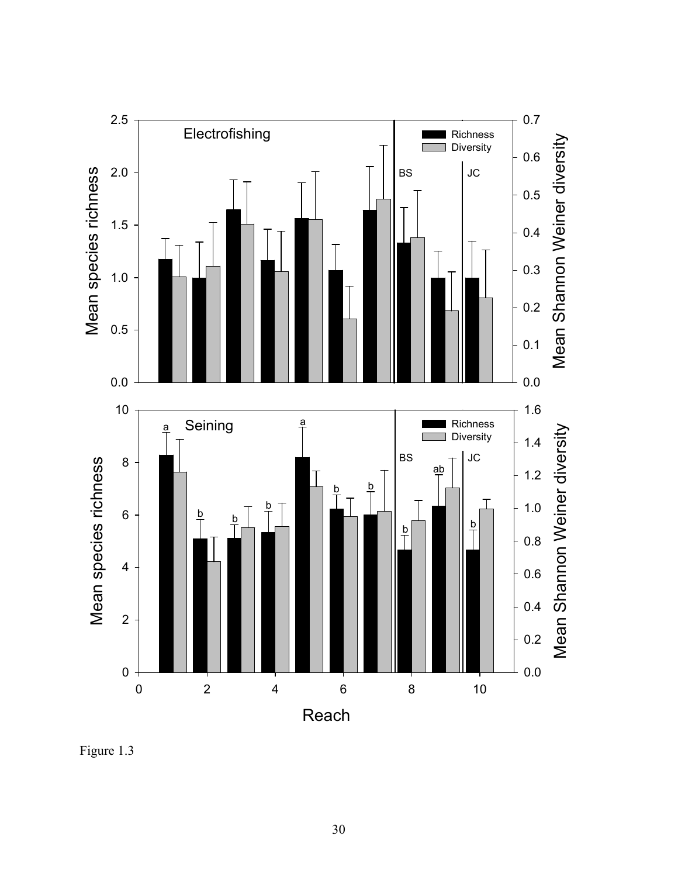

Figure 1.3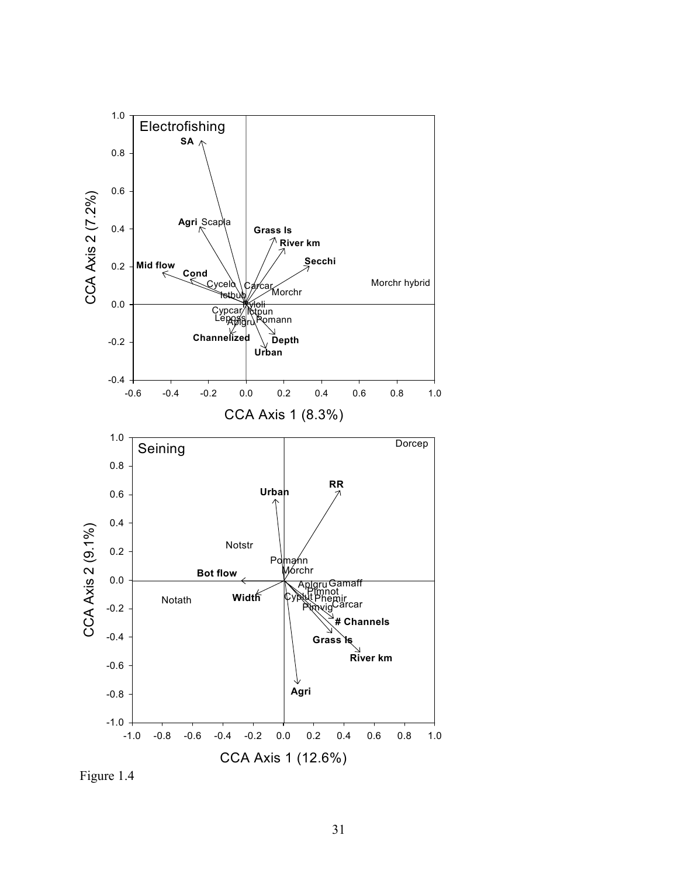

Figure 1.4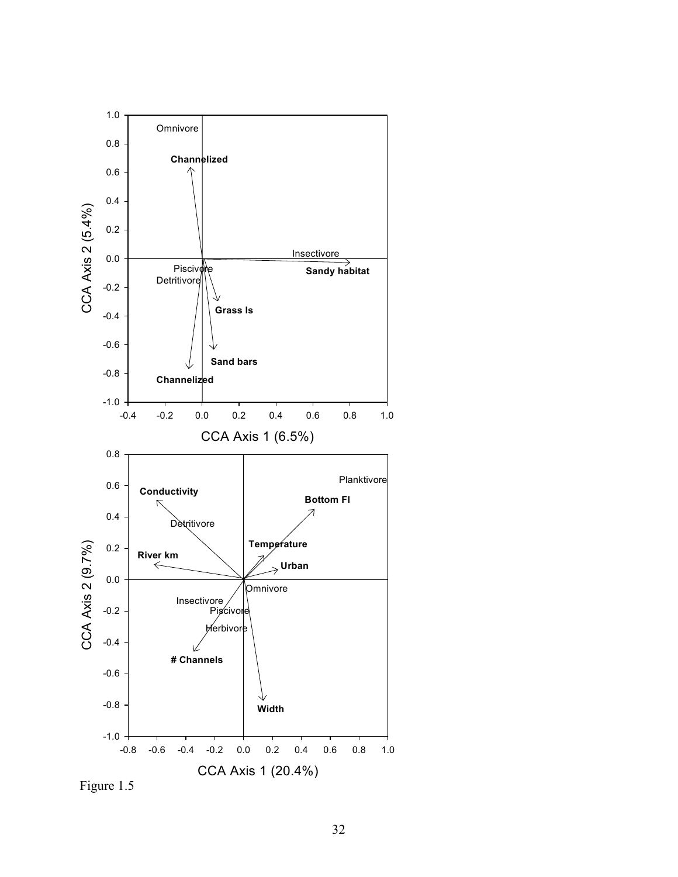

Figure 1.5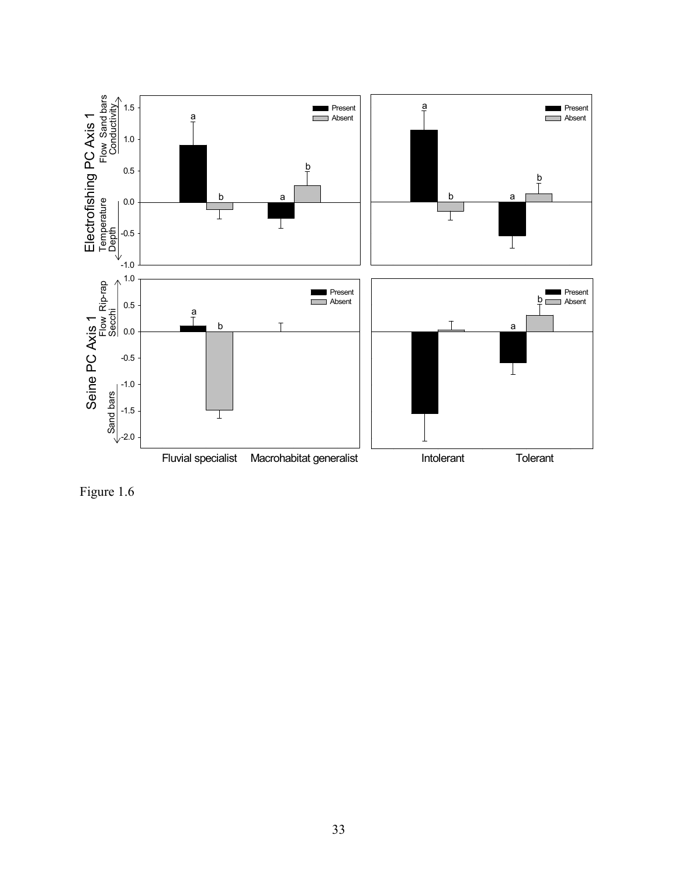

Figure 1.6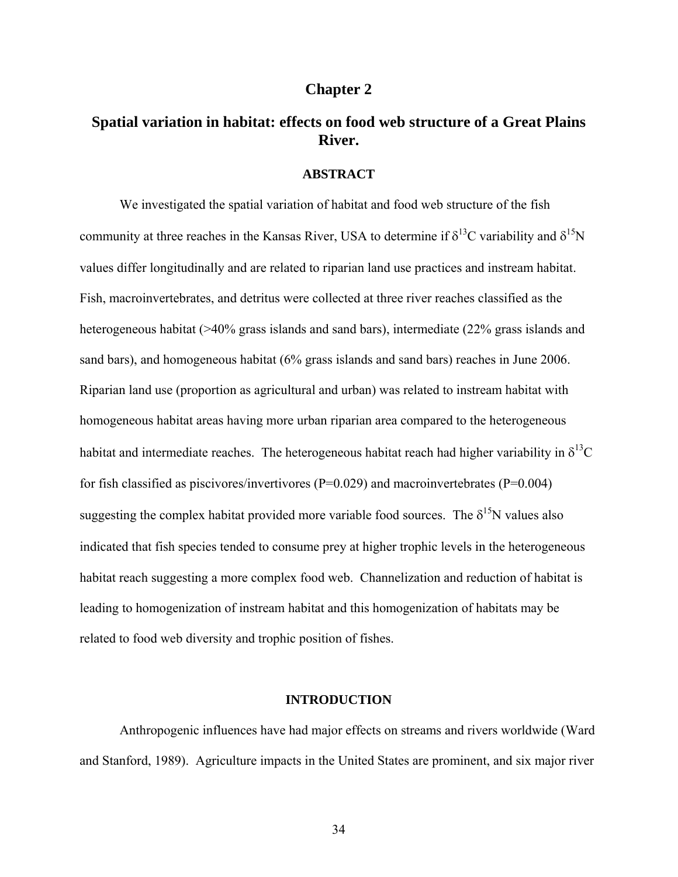# **Chapter 2**

# **Spatial variation in habitat: effects on food web structure of a Great Plains River.**

#### **ABSTRACT**

We investigated the spatial variation of habitat and food web structure of the fish community at three reaches in the Kansas River, USA to determine if  $\delta^{13}C$  variability and  $\delta^{15}N$ values differ longitudinally and are related to riparian land use practices and instream habitat. Fish, macroinvertebrates, and detritus were collected at three river reaches classified as the heterogeneous habitat (>40% grass islands and sand bars), intermediate (22% grass islands and sand bars), and homogeneous habitat (6% grass islands and sand bars) reaches in June 2006. Riparian land use (proportion as agricultural and urban) was related to instream habitat with homogeneous habitat areas having more urban riparian area compared to the heterogeneous habitat and intermediate reaches. The heterogeneous habitat reach had higher variability in  $\delta^{13}C$ for fish classified as piscivores/invertivores ( $P=0.029$ ) and macroinvertebrates ( $P=0.004$ ) suggesting the complex habitat provided more variable food sources. The  $\delta^{15}N$  values also indicated that fish species tended to consume prey at higher trophic levels in the heterogeneous habitat reach suggesting a more complex food web. Channelization and reduction of habitat is leading to homogenization of instream habitat and this homogenization of habitats may be related to food web diversity and trophic position of fishes.

# **INTRODUCTION**

Anthropogenic influences have had major effects on streams and rivers worldwide (Ward and Stanford, 1989). Agriculture impacts in the United States are prominent, and six major river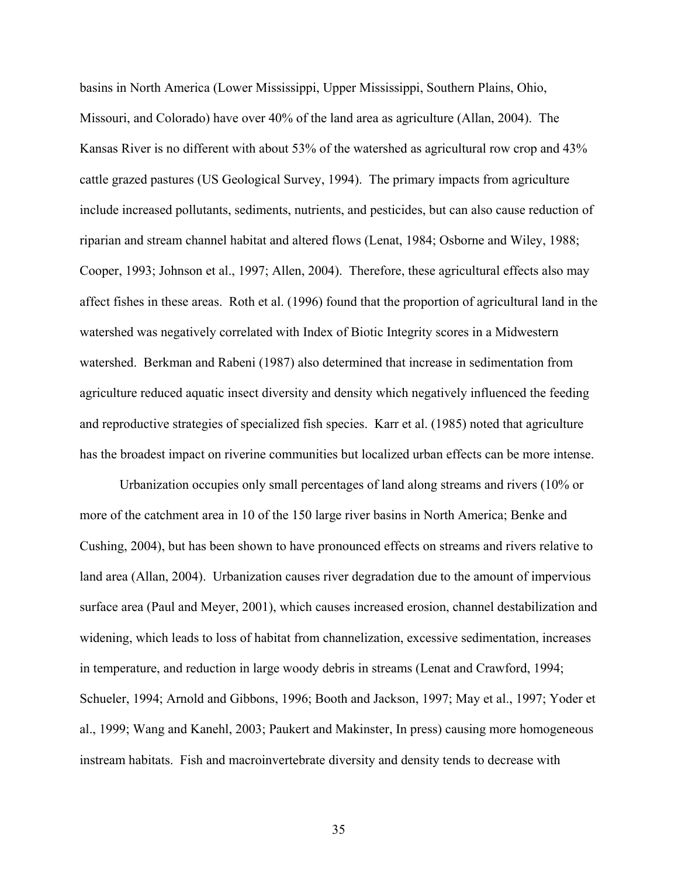basins in North America (Lower Mississippi, Upper Mississippi, Southern Plains, Ohio, Missouri, and Colorado) have over 40% of the land area as agriculture (Allan, 2004). The Kansas River is no different with about 53% of the watershed as agricultural row crop and 43% cattle grazed pastures (US Geological Survey, 1994). The primary impacts from agriculture include increased pollutants, sediments, nutrients, and pesticides, but can also cause reduction of riparian and stream channel habitat and altered flows (Lenat, 1984; Osborne and Wiley, 1988; Cooper, 1993; Johnson et al., 1997; Allen, 2004). Therefore, these agricultural effects also may affect fishes in these areas. Roth et al. (1996) found that the proportion of agricultural land in the watershed was negatively correlated with Index of Biotic Integrity scores in a Midwestern watershed. Berkman and Rabeni (1987) also determined that increase in sedimentation from agriculture reduced aquatic insect diversity and density which negatively influenced the feeding and reproductive strategies of specialized fish species. Karr et al. (1985) noted that agriculture has the broadest impact on riverine communities but localized urban effects can be more intense.

Urbanization occupies only small percentages of land along streams and rivers (10% or more of the catchment area in 10 of the 150 large river basins in North America; Benke and Cushing, 2004), but has been shown to have pronounced effects on streams and rivers relative to land area (Allan, 2004). Urbanization causes river degradation due to the amount of impervious surface area (Paul and Meyer, 2001), which causes increased erosion, channel destabilization and widening, which leads to loss of habitat from channelization, excessive sedimentation, increases in temperature, and reduction in large woody debris in streams (Lenat and Crawford, 1994; Schueler, 1994; Arnold and Gibbons, 1996; Booth and Jackson, 1997; May et al., 1997; Yoder et al., 1999; Wang and Kanehl, 2003; Paukert and Makinster, In press) causing more homogeneous instream habitats. Fish and macroinvertebrate diversity and density tends to decrease with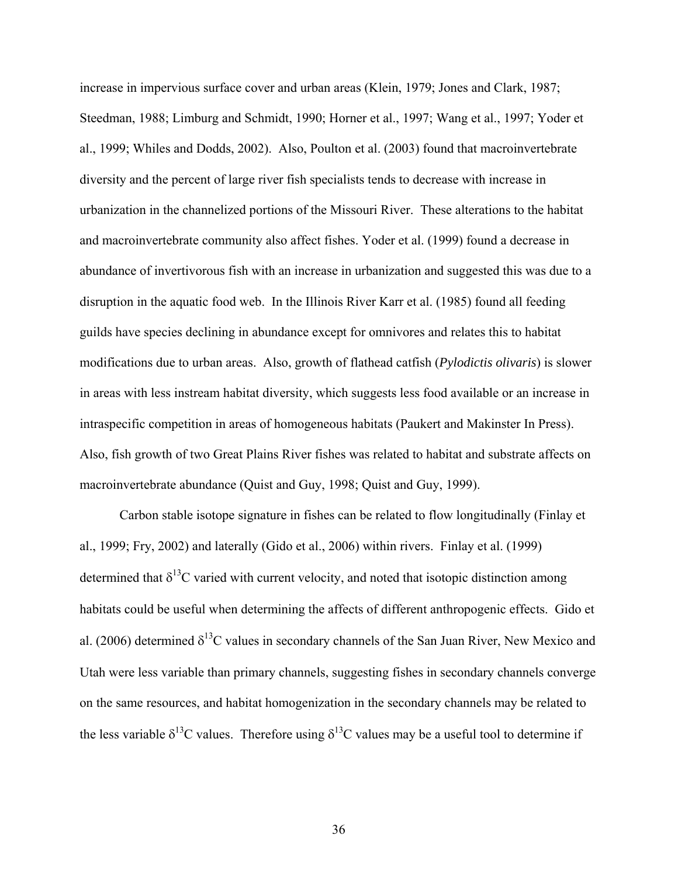increase in impervious surface cover and urban areas (Klein, 1979; Jones and Clark, 1987; Steedman, 1988; Limburg and Schmidt, 1990; Horner et al., 1997; Wang et al., 1997; Yoder et al., 1999; Whiles and Dodds, 2002). Also, Poulton et al. (2003) found that macroinvertebrate diversity and the percent of large river fish specialists tends to decrease with increase in urbanization in the channelized portions of the Missouri River. These alterations to the habitat and macroinvertebrate community also affect fishes. Yoder et al. (1999) found a decrease in abundance of invertivorous fish with an increase in urbanization and suggested this was due to a disruption in the aquatic food web. In the Illinois River Karr et al. (1985) found all feeding guilds have species declining in abundance except for omnivores and relates this to habitat modifications due to urban areas. Also, growth of flathead catfish (*Pylodictis olivaris*) is slower in areas with less instream habitat diversity, which suggests less food available or an increase in intraspecific competition in areas of homogeneous habitats (Paukert and Makinster In Press). Also, fish growth of two Great Plains River fishes was related to habitat and substrate affects on macroinvertebrate abundance (Quist and Guy, 1998; Quist and Guy, 1999).

Carbon stable isotope signature in fishes can be related to flow longitudinally (Finlay et al., 1999; Fry, 2002) and laterally (Gido et al., 2006) within rivers. Finlay et al. (1999) determined that  $\delta^{13}$ C varied with current velocity, and noted that isotopic distinction among habitats could be useful when determining the affects of different anthropogenic effects. Gido et al. (2006) determined  $\delta^{13}$ C values in secondary channels of the San Juan River, New Mexico and Utah were less variable than primary channels, suggesting fishes in secondary channels converge on the same resources, and habitat homogenization in the secondary channels may be related to the less variable  $\delta^{13}$ C values. Therefore using  $\delta^{13}$ C values may be a useful tool to determine if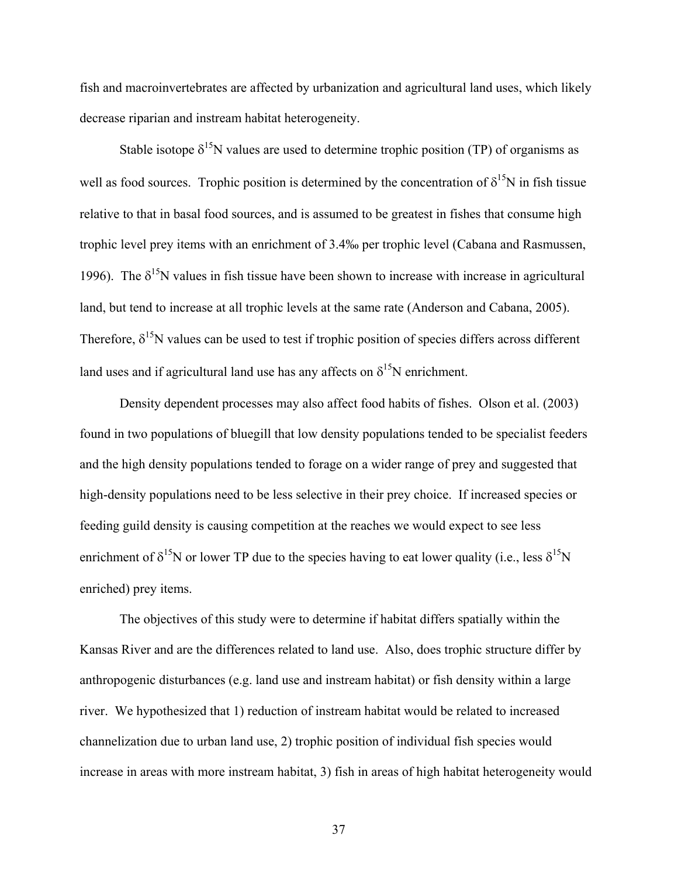fish and macroinvertebrates are affected by urbanization and agricultural land uses, which likely decrease riparian and instream habitat heterogeneity.

Stable isotope  $\delta^{15}N$  values are used to determine trophic position (TP) of organisms as well as food sources. Trophic position is determined by the concentration of  $\delta^{15}N$  in fish tissue relative to that in basal food sources, and is assumed to be greatest in fishes that consume high trophic level prey items with an enrichment of 3.4‰ per trophic level (Cabana and Rasmussen, 1996). The  $\delta^{15}N$  values in fish tissue have been shown to increase with increase in agricultural land, but tend to increase at all trophic levels at the same rate (Anderson and Cabana, 2005). Therefore,  $\delta^{15}N$  values can be used to test if trophic position of species differs across different land uses and if agricultural land use has any affects on  $\delta^{15}N$  enrichment.

Density dependent processes may also affect food habits of fishes. Olson et al. (2003) found in two populations of bluegill that low density populations tended to be specialist feeders and the high density populations tended to forage on a wider range of prey and suggested that high-density populations need to be less selective in their prey choice. If increased species or feeding guild density is causing competition at the reaches we would expect to see less enrichment of  $\delta^{15}N$  or lower TP due to the species having to eat lower quality (i.e., less  $\delta^{15}N$ enriched) prey items.

The objectives of this study were to determine if habitat differs spatially within the Kansas River and are the differences related to land use. Also, does trophic structure differ by anthropogenic disturbances (e.g. land use and instream habitat) or fish density within a large river. We hypothesized that 1) reduction of instream habitat would be related to increased channelization due to urban land use, 2) trophic position of individual fish species would increase in areas with more instream habitat, 3) fish in areas of high habitat heterogeneity would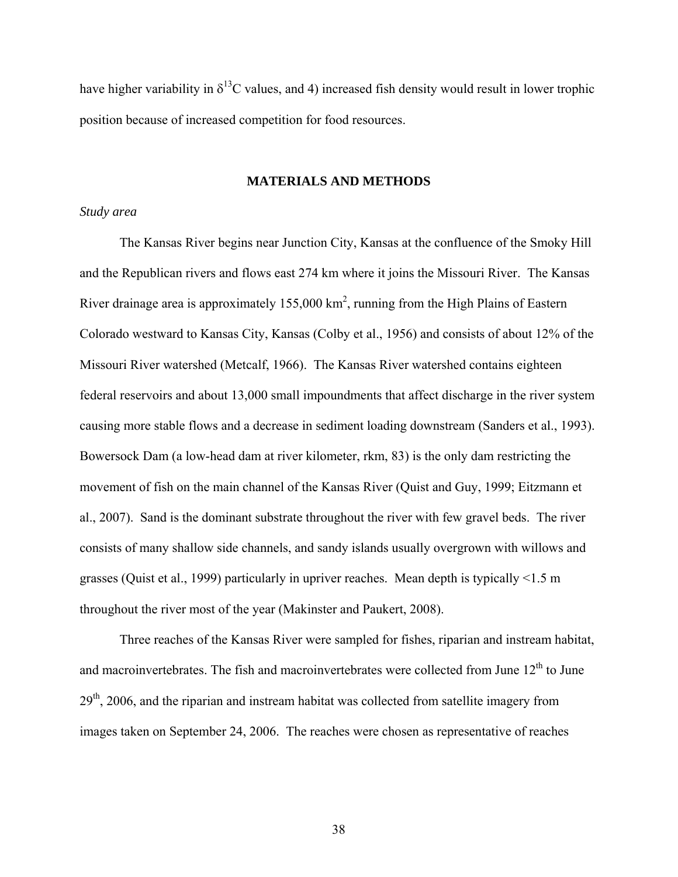have higher variability in  $\delta^{13}$ C values, and 4) increased fish density would result in lower trophic position because of increased competition for food resources.

### **MATERIALS AND METHODS**

## *Study area*

The Kansas River begins near Junction City, Kansas at the confluence of the Smoky Hill and the Republican rivers and flows east 274 km where it joins the Missouri River. The Kansas River drainage area is approximately  $155,000 \text{ km}^2$ , running from the High Plains of Eastern Colorado westward to Kansas City, Kansas (Colby et al., 1956) and consists of about 12% of the Missouri River watershed (Metcalf, 1966). The Kansas River watershed contains eighteen federal reservoirs and about 13,000 small impoundments that affect discharge in the river system causing more stable flows and a decrease in sediment loading downstream (Sanders et al., 1993). Bowersock Dam (a low-head dam at river kilometer, rkm, 83) is the only dam restricting the movement of fish on the main channel of the Kansas River (Quist and Guy, 1999; Eitzmann et al., 2007). Sand is the dominant substrate throughout the river with few gravel beds. The river consists of many shallow side channels, and sandy islands usually overgrown with willows and grasses (Quist et al., 1999) particularly in upriver reaches. Mean depth is typically <1.5 m throughout the river most of the year (Makinster and Paukert, 2008).

Three reaches of the Kansas River were sampled for fishes, riparian and instream habitat, and macroinvertebrates. The fish and macroinvertebrates were collected from June  $12<sup>th</sup>$  to June  $29<sup>th</sup>$ , 2006, and the riparian and instream habitat was collected from satellite imagery from images taken on September 24, 2006. The reaches were chosen as representative of reaches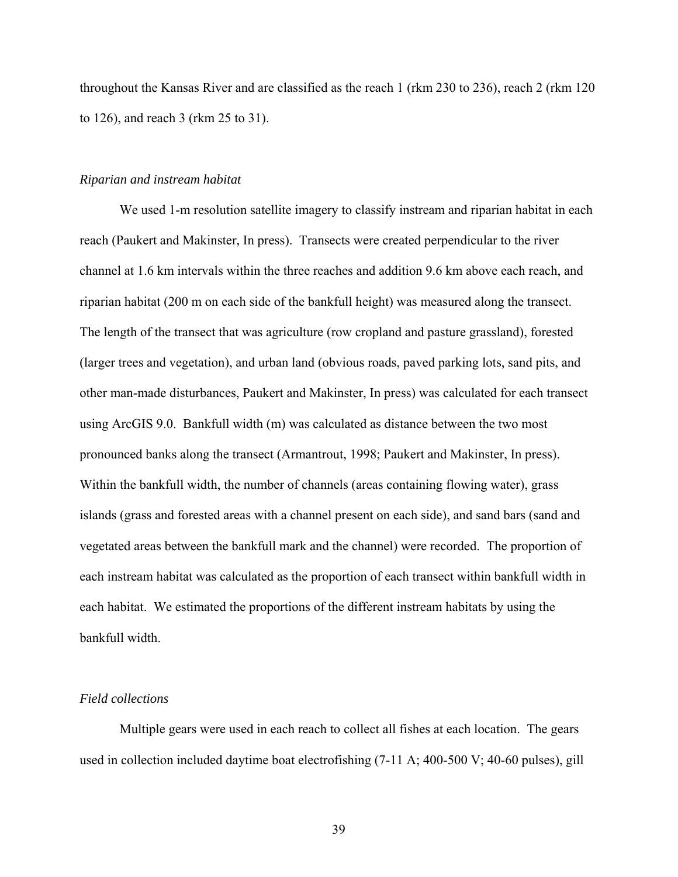throughout the Kansas River and are classified as the reach 1 (rkm 230 to 236), reach 2 (rkm 120 to 126), and reach 3 (rkm 25 to 31).

# *Riparian and instream habitat*

We used 1-m resolution satellite imagery to classify instream and riparian habitat in each reach (Paukert and Makinster, In press). Transects were created perpendicular to the river channel at 1.6 km intervals within the three reaches and addition 9.6 km above each reach, and riparian habitat (200 m on each side of the bankfull height) was measured along the transect. The length of the transect that was agriculture (row cropland and pasture grassland), forested (larger trees and vegetation), and urban land (obvious roads, paved parking lots, sand pits, and other man-made disturbances, Paukert and Makinster, In press) was calculated for each transect using ArcGIS 9.0. Bankfull width (m) was calculated as distance between the two most pronounced banks along the transect (Armantrout, 1998; Paukert and Makinster, In press). Within the bankfull width, the number of channels (areas containing flowing water), grass islands (grass and forested areas with a channel present on each side), and sand bars (sand and vegetated areas between the bankfull mark and the channel) were recorded. The proportion of each instream habitat was calculated as the proportion of each transect within bankfull width in each habitat. We estimated the proportions of the different instream habitats by using the bankfull width.

#### *Field collections*

Multiple gears were used in each reach to collect all fishes at each location. The gears used in collection included daytime boat electrofishing (7-11 A; 400-500 V; 40-60 pulses), gill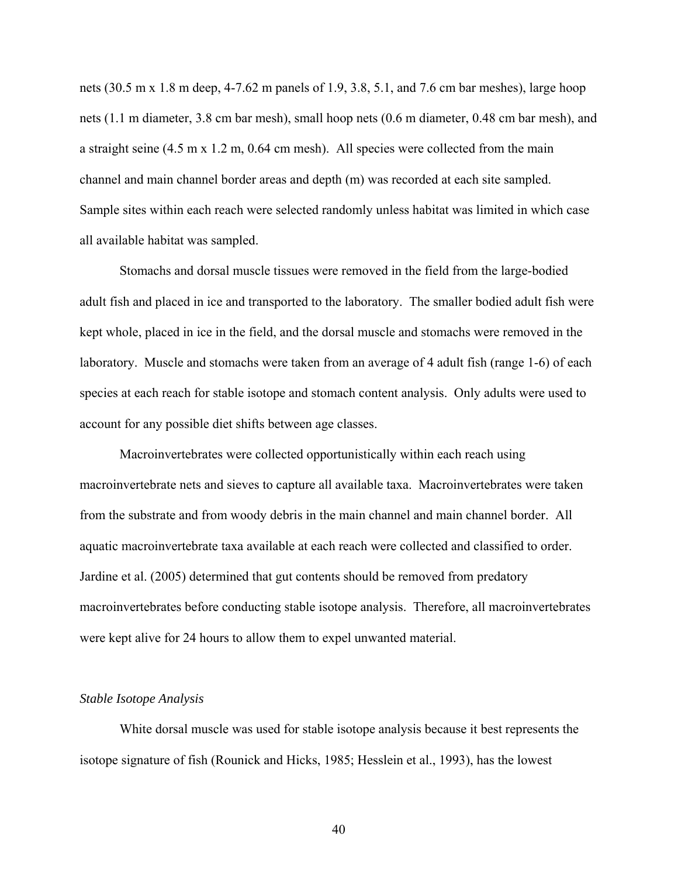nets (30.5 m x 1.8 m deep, 4-7.62 m panels of 1.9, 3.8, 5.1, and 7.6 cm bar meshes), large hoop nets (1.1 m diameter, 3.8 cm bar mesh), small hoop nets (0.6 m diameter, 0.48 cm bar mesh), and a straight seine (4.5 m x 1.2 m, 0.64 cm mesh). All species were collected from the main channel and main channel border areas and depth (m) was recorded at each site sampled. Sample sites within each reach were selected randomly unless habitat was limited in which case all available habitat was sampled.

Stomachs and dorsal muscle tissues were removed in the field from the large-bodied adult fish and placed in ice and transported to the laboratory. The smaller bodied adult fish were kept whole, placed in ice in the field, and the dorsal muscle and stomachs were removed in the laboratory. Muscle and stomachs were taken from an average of 4 adult fish (range 1-6) of each species at each reach for stable isotope and stomach content analysis. Only adults were used to account for any possible diet shifts between age classes.

Macroinvertebrates were collected opportunistically within each reach using macroinvertebrate nets and sieves to capture all available taxa. Macroinvertebrates were taken from the substrate and from woody debris in the main channel and main channel border. All aquatic macroinvertebrate taxa available at each reach were collected and classified to order. Jardine et al. (2005) determined that gut contents should be removed from predatory macroinvertebrates before conducting stable isotope analysis. Therefore, all macroinvertebrates were kept alive for 24 hours to allow them to expel unwanted material.

#### *Stable Isotope Analysis*

White dorsal muscle was used for stable isotope analysis because it best represents the isotope signature of fish (Rounick and Hicks, 1985; Hesslein et al., 1993), has the lowest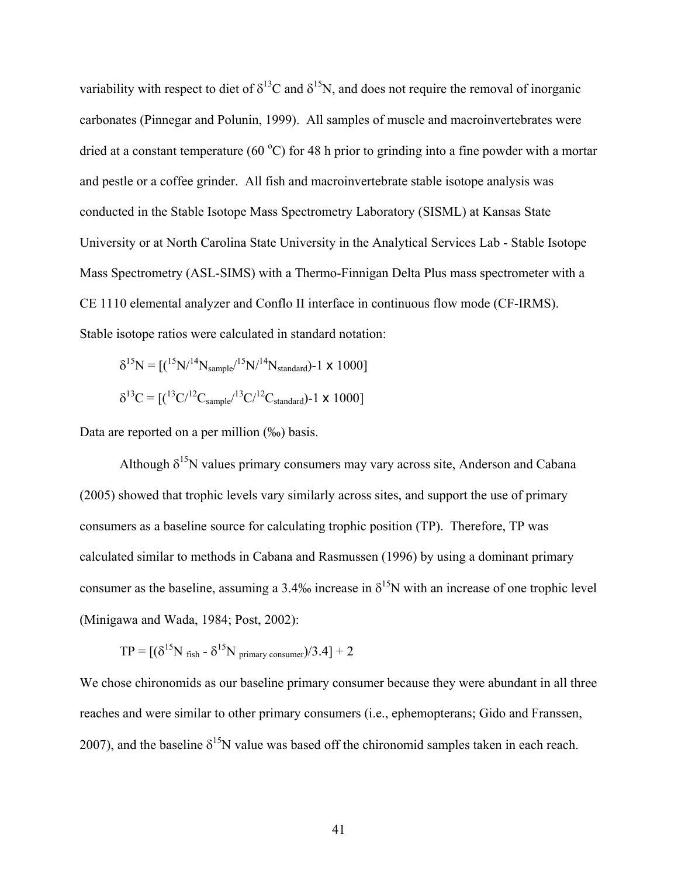variability with respect to diet of  $\delta^{13}C$  and  $\delta^{15}N$ , and does not require the removal of inorganic carbonates (Pinnegar and Polunin, 1999). All samples of muscle and macroinvertebrates were dried at a constant temperature (60 °C) for 48 h prior to grinding into a fine powder with a mortar and pestle or a coffee grinder. All fish and macroinvertebrate stable isotope analysis was conducted in the Stable Isotope Mass Spectrometry Laboratory (SISML) at Kansas State University or at North Carolina State University in the Analytical Services Lab - Stable Isotope Mass Spectrometry (ASL-SIMS) with a Thermo-Finnigan Delta Plus mass spectrometer with a CE 1110 elemental analyzer and Conflo II interface in continuous flow mode (CF-IRMS). Stable isotope ratios were calculated in standard notation:

$$
\delta^{15}N = [({}^{15}N/{}^{14}N_{sample}/{}^{15}N/{}^{14}N_{standard})-1 \times 1000]
$$
  

$$
\delta^{13}C = [({}^{13}C/{}^{12}C_{sample}/{}^{13}C/{}^{12}C_{standard})-1 \times 1000]
$$

Data are reported on a per million (‰) basis.

Although  $\delta^{15}N$  values primary consumers may vary across site, Anderson and Cabana (2005) showed that trophic levels vary similarly across sites, and support the use of primary consumers as a baseline source for calculating trophic position (TP). Therefore, TP was calculated similar to methods in Cabana and Rasmussen (1996) by using a dominant primary consumer as the baseline, assuming a 3.4‰ increase in  $\delta^{15}N$  with an increase of one trophic level (Minigawa and Wada, 1984; Post, 2002):

$$
TP = [(\delta^{15}N_{fish} - \delta^{15}N_{primary \, consumer})/3.4] + 2
$$

We chose chironomids as our baseline primary consumer because they were abundant in all three reaches and were similar to other primary consumers (i.e., ephemopterans; Gido and Franssen, 2007), and the baseline  $\delta^{15}N$  value was based off the chironomid samples taken in each reach.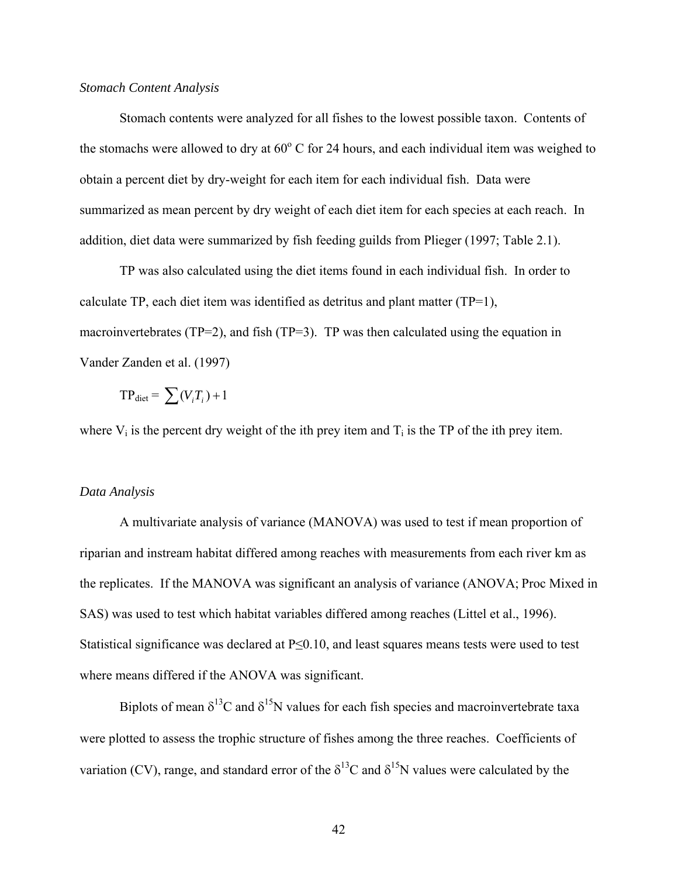# *Stomach Content Analysis*

 Stomach contents were analyzed for all fishes to the lowest possible taxon. Contents of the stomachs were allowed to dry at  $60^{\circ}$  C for 24 hours, and each individual item was weighed to obtain a percent diet by dry-weight for each item for each individual fish. Data were summarized as mean percent by dry weight of each diet item for each species at each reach. In addition, diet data were summarized by fish feeding guilds from Plieger (1997; Table 2.1).

TP was also calculated using the diet items found in each individual fish. In order to calculate TP, each diet item was identified as detritus and plant matter (TP=1), macroinvertebrates (TP=2), and fish (TP=3). TP was then calculated using the equation in Vander Zanden et al. (1997)

$$
TP_{\text{dict}} = \sum (V_i T_i) + 1
$$

where  $V_i$  is the percent dry weight of the ith prey item and  $T_i$  is the TP of the ith prey item.

#### *Data Analysis*

A multivariate analysis of variance (MANOVA) was used to test if mean proportion of riparian and instream habitat differed among reaches with measurements from each river km as the replicates. If the MANOVA was significant an analysis of variance (ANOVA; Proc Mixed in SAS) was used to test which habitat variables differed among reaches (Littel et al., 1996). Statistical significance was declared at P≤0.10, and least squares means tests were used to test where means differed if the ANOVA was significant.

Biplots of mean  $\delta^{13}C$  and  $\delta^{15}N$  values for each fish species and macroinvertebrate taxa were plotted to assess the trophic structure of fishes among the three reaches. Coefficients of variation (CV), range, and standard error of the  $\delta^{13}$ C and  $\delta^{15}$ N values were calculated by the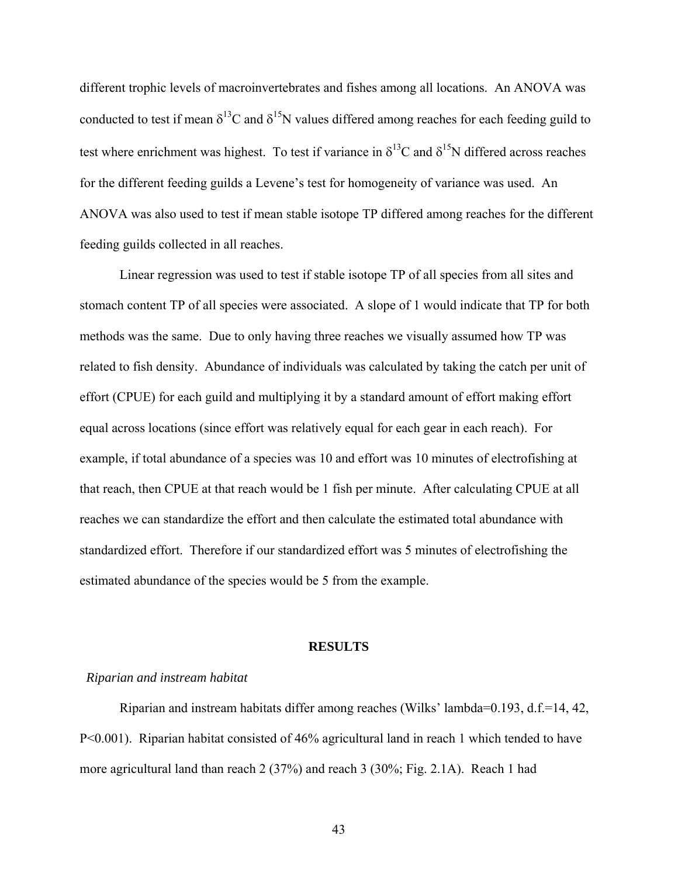different trophic levels of macroinvertebrates and fishes among all locations. An ANOVA was conducted to test if mean  $\delta^{13}$ C and  $\delta^{15}$ N values differed among reaches for each feeding guild to test where enrichment was highest. To test if variance in  $\delta^{13}$ C and  $\delta^{15}$ N differed across reaches for the different feeding guilds a Levene's test for homogeneity of variance was used. An ANOVA was also used to test if mean stable isotope TP differed among reaches for the different feeding guilds collected in all reaches.

Linear regression was used to test if stable isotope TP of all species from all sites and stomach content TP of all species were associated. A slope of 1 would indicate that TP for both methods was the same. Due to only having three reaches we visually assumed how TP was related to fish density. Abundance of individuals was calculated by taking the catch per unit of effort (CPUE) for each guild and multiplying it by a standard amount of effort making effort equal across locations (since effort was relatively equal for each gear in each reach). For example, if total abundance of a species was 10 and effort was 10 minutes of electrofishing at that reach, then CPUE at that reach would be 1 fish per minute. After calculating CPUE at all reaches we can standardize the effort and then calculate the estimated total abundance with standardized effort. Therefore if our standardized effort was 5 minutes of electrofishing the estimated abundance of the species would be 5 from the example.

#### **RESULTS**

# *Riparian and instream habitat*

Riparian and instream habitats differ among reaches (Wilks' lambda=0.193, d.f.=14, 42, P<0.001). Riparian habitat consisted of 46% agricultural land in reach 1 which tended to have more agricultural land than reach 2 (37%) and reach 3 (30%; Fig. 2.1A). Reach 1 had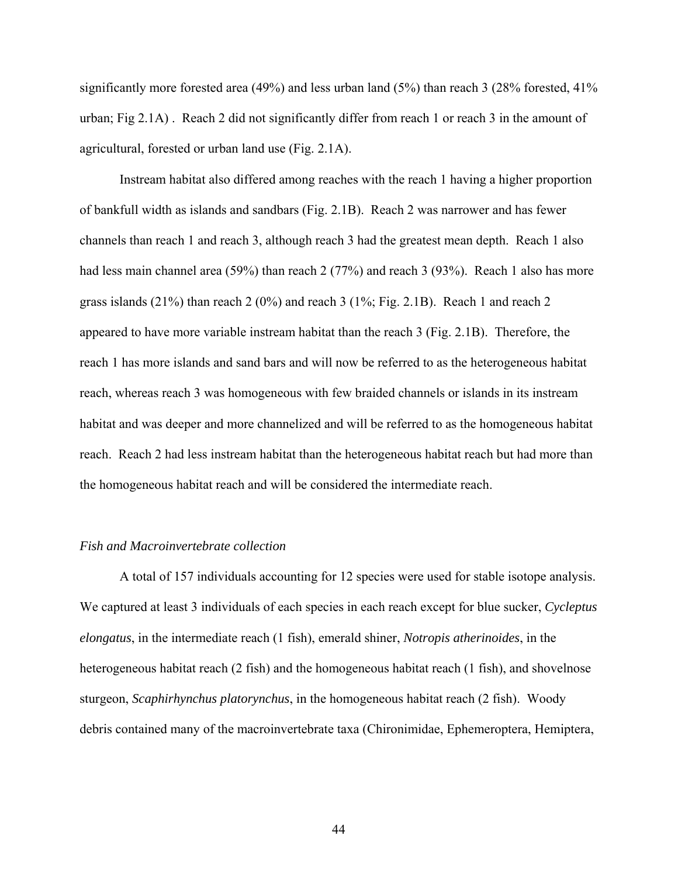significantly more forested area (49%) and less urban land (5%) than reach 3 (28% forested, 41% urban; Fig 2.1A) . Reach 2 did not significantly differ from reach 1 or reach 3 in the amount of agricultural, forested or urban land use (Fig. 2.1A).

 Instream habitat also differed among reaches with the reach 1 having a higher proportion of bankfull width as islands and sandbars (Fig. 2.1B). Reach 2 was narrower and has fewer channels than reach 1 and reach 3, although reach 3 had the greatest mean depth. Reach 1 also had less main channel area (59%) than reach 2 (77%) and reach 3 (93%). Reach 1 also has more grass islands (21%) than reach 2 (0%) and reach 3 (1%; Fig. 2.1B). Reach 1 and reach 2 appeared to have more variable instream habitat than the reach 3 (Fig. 2.1B). Therefore, the reach 1 has more islands and sand bars and will now be referred to as the heterogeneous habitat reach, whereas reach 3 was homogeneous with few braided channels or islands in its instream habitat and was deeper and more channelized and will be referred to as the homogeneous habitat reach. Reach 2 had less instream habitat than the heterogeneous habitat reach but had more than the homogeneous habitat reach and will be considered the intermediate reach.

# *Fish and Macroinvertebrate collection*

A total of 157 individuals accounting for 12 species were used for stable isotope analysis. We captured at least 3 individuals of each species in each reach except for blue sucker, *Cycleptus elongatus*, in the intermediate reach (1 fish), emerald shiner, *Notropis atherinoides*, in the heterogeneous habitat reach (2 fish) and the homogeneous habitat reach (1 fish), and shovelnose sturgeon, *Scaphirhynchus platorynchus*, in the homogeneous habitat reach (2 fish). Woody debris contained many of the macroinvertebrate taxa (Chironimidae, Ephemeroptera, Hemiptera,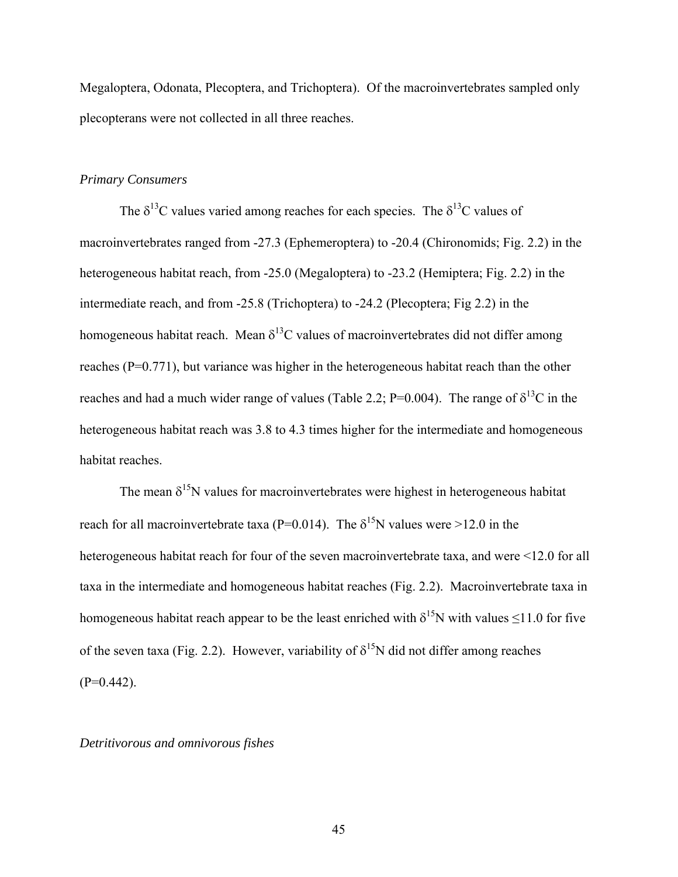Megaloptera, Odonata, Plecoptera, and Trichoptera). Of the macroinvertebrates sampled only plecopterans were not collected in all three reaches.

# *Primary Consumers*

The  $\delta^{13}$ C values varied among reaches for each species. The  $\delta^{13}$ C values of macroinvertebrates ranged from -27.3 (Ephemeroptera) to -20.4 (Chironomids; Fig. 2.2) in the heterogeneous habitat reach, from -25.0 (Megaloptera) to -23.2 (Hemiptera; Fig. 2.2) in the intermediate reach, and from -25.8 (Trichoptera) to -24.2 (Plecoptera; Fig 2.2) in the homogeneous habitat reach. Mean  $\delta^{13}$ C values of macroinvertebrates did not differ among reaches (P=0.771), but variance was higher in the heterogeneous habitat reach than the other reaches and had a much wider range of values (Table 2.2; P=0.004). The range of  $\delta^{13}$ C in the heterogeneous habitat reach was 3.8 to 4.3 times higher for the intermediate and homogeneous habitat reaches.

The mean  $\delta^{15}N$  values for macroinvertebrates were highest in heterogeneous habitat reach for all macroinvertebrate taxa ( $P=0.014$ ). The  $\delta^{15}N$  values were >12.0 in the heterogeneous habitat reach for four of the seven macroinvertebrate taxa, and were <12.0 for all taxa in the intermediate and homogeneous habitat reaches (Fig. 2.2). Macroinvertebrate taxa in homogeneous habitat reach appear to be the least enriched with  $\delta^{15}N$  with values ≤11.0 for five of the seven taxa (Fig. 2.2). However, variability of  $\delta^{15}N$  did not differ among reaches  $(P=0.442)$ .

# *Detritivorous and omnivorous fishes*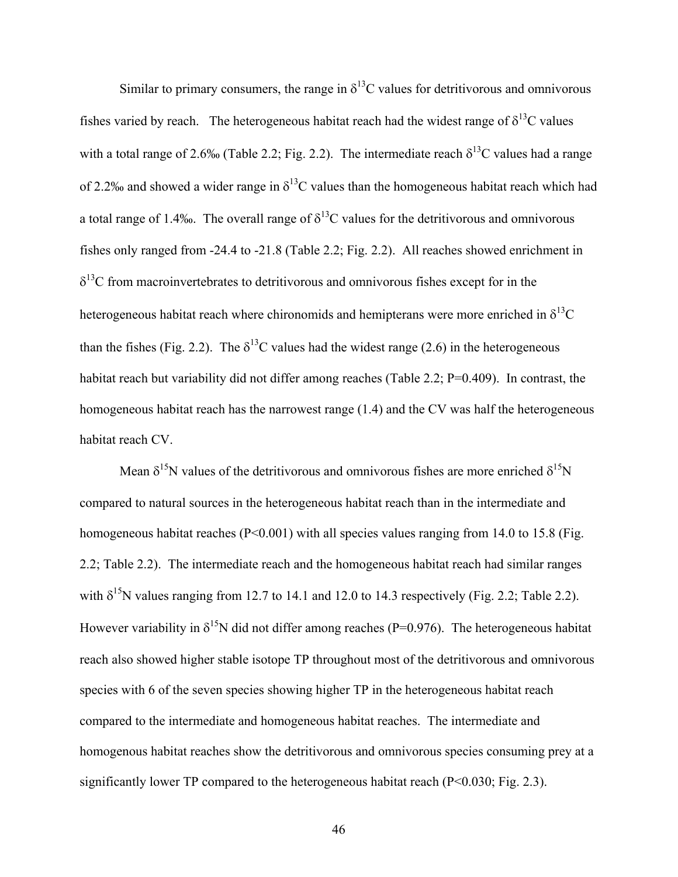Similar to primary consumers, the range in  $\delta^{13}$ C values for detritivorous and omnivorous fishes varied by reach. The heterogeneous habitat reach had the widest range of  $\delta^{13}C$  values with a total range of 2.6‰ (Table 2.2; Fig. 2.2). The intermediate reach  $\delta^{13}$ C values had a range of 2.2‰ and showed a wider range in  $\delta^{13}$ C values than the homogeneous habitat reach which had a total range of 1.4‰. The overall range of  $\delta^{13}C$  values for the detritivorous and omnivorous fishes only ranged from -24.4 to -21.8 (Table 2.2; Fig. 2.2). All reaches showed enrichment in  $\delta^{13}$ C from macroinvertebrates to detritivorous and omnivorous fishes except for in the heterogeneous habitat reach where chironomids and hemipterans were more enriched in  $\delta^{13}C$ than the fishes (Fig. 2.2). The  $\delta^{13}$ C values had the widest range (2.6) in the heterogeneous habitat reach but variability did not differ among reaches (Table 2.2; P=0.409). In contrast, the homogeneous habitat reach has the narrowest range (1.4) and the CV was half the heterogeneous habitat reach CV.

Mean  $\delta^{15}N$  values of the detritivorous and omnivorous fishes are more enriched  $\delta^{15}N$ compared to natural sources in the heterogeneous habitat reach than in the intermediate and homogeneous habitat reaches (P<0.001) with all species values ranging from 14.0 to 15.8 (Fig. 2.2; Table 2.2). The intermediate reach and the homogeneous habitat reach had similar ranges with  $\delta^{15}N$  values ranging from 12.7 to 14.1 and 12.0 to 14.3 respectively (Fig. 2.2; Table 2.2). However variability in  $\delta^{15}N$  did not differ among reaches (P=0.976). The heterogeneous habitat reach also showed higher stable isotope TP throughout most of the detritivorous and omnivorous species with 6 of the seven species showing higher TP in the heterogeneous habitat reach compared to the intermediate and homogeneous habitat reaches. The intermediate and homogenous habitat reaches show the detritivorous and omnivorous species consuming prey at a significantly lower TP compared to the heterogeneous habitat reach (P<0.030; Fig. 2.3).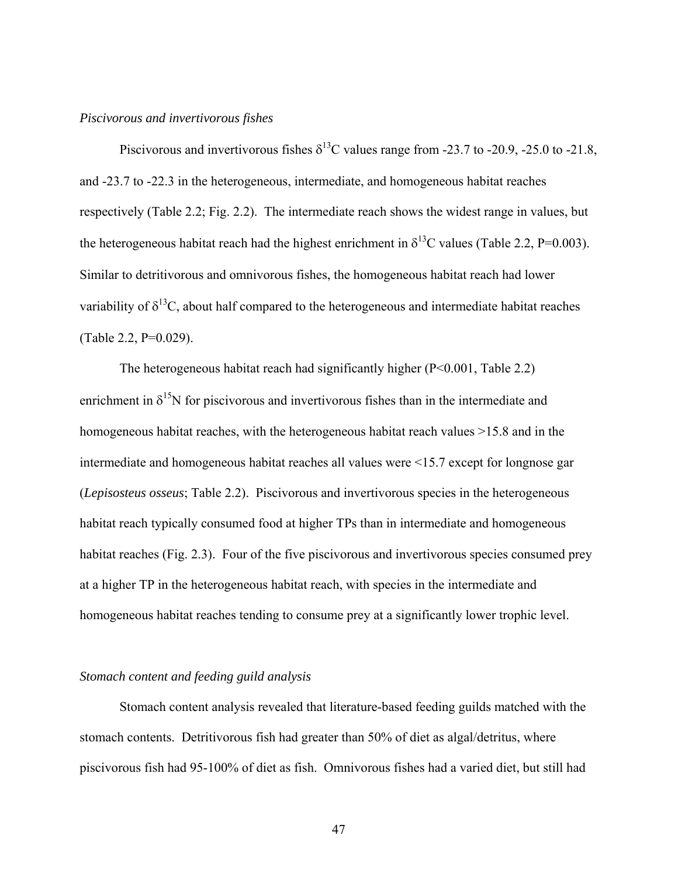#### *Piscivorous and invertivorous fishes*

Piscivorous and invertivorous fishes  $\delta^{13}$ C values range from -23.7 to -20.9, -25.0 to -21.8, and -23.7 to -22.3 in the heterogeneous, intermediate, and homogeneous habitat reaches respectively (Table 2.2; Fig. 2.2). The intermediate reach shows the widest range in values, but the heterogeneous habitat reach had the highest enrichment in  $\delta^{13}$ C values (Table 2.2, P=0.003). Similar to detritivorous and omnivorous fishes, the homogeneous habitat reach had lower variability of  $\delta^{13}$ C, about half compared to the heterogeneous and intermediate habitat reaches (Table 2.2, P=0.029).

 The heterogeneous habitat reach had significantly higher (P<0.001, Table 2.2) enrichment in  $\delta^{15}N$  for piscivorous and invertivorous fishes than in the intermediate and homogeneous habitat reaches, with the heterogeneous habitat reach values  $>15.8$  and in the intermediate and homogeneous habitat reaches all values were <15.7 except for longnose gar (*Lepisosteus osseus*; Table 2.2). Piscivorous and invertivorous species in the heterogeneous habitat reach typically consumed food at higher TPs than in intermediate and homogeneous habitat reaches (Fig. 2.3). Four of the five piscivorous and invertivorous species consumed prey at a higher TP in the heterogeneous habitat reach, with species in the intermediate and homogeneous habitat reaches tending to consume prey at a significantly lower trophic level.

### *Stomach content and feeding guild analysis*

Stomach content analysis revealed that literature-based feeding guilds matched with the stomach contents. Detritivorous fish had greater than 50% of diet as algal/detritus, where piscivorous fish had 95-100% of diet as fish. Omnivorous fishes had a varied diet, but still had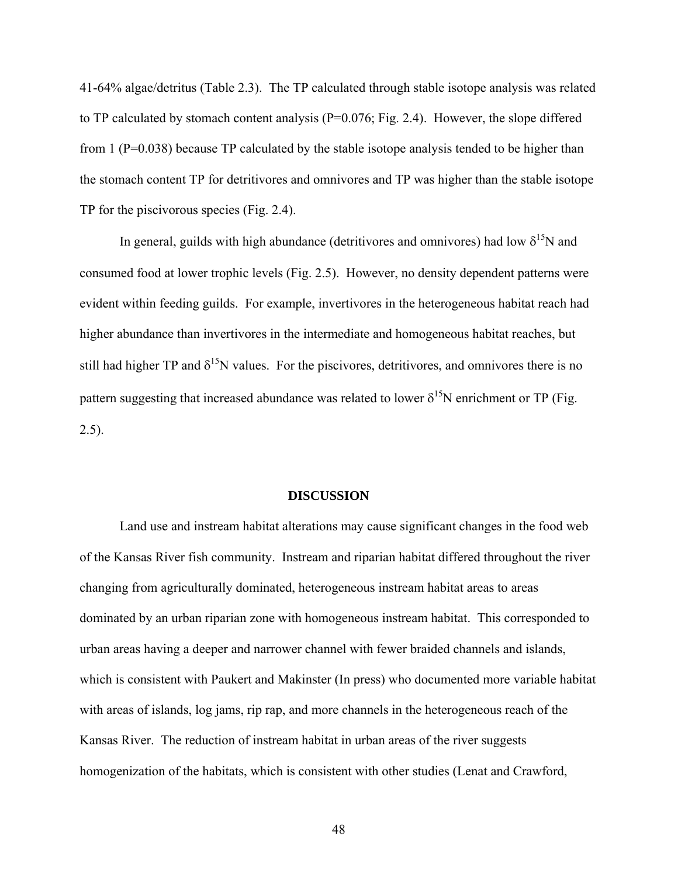41-64% algae/detritus (Table 2.3). The TP calculated through stable isotope analysis was related to TP calculated by stomach content analysis (P=0.076; Fig. 2.4). However, the slope differed from 1 ( $P=0.038$ ) because TP calculated by the stable isotope analysis tended to be higher than the stomach content TP for detritivores and omnivores and TP was higher than the stable isotope TP for the piscivorous species (Fig. 2.4).

In general, guilds with high abundance (detritivores and omnivores) had low  $\delta^{15}N$  and consumed food at lower trophic levels (Fig. 2.5). However, no density dependent patterns were evident within feeding guilds. For example, invertivores in the heterogeneous habitat reach had higher abundance than invertivores in the intermediate and homogeneous habitat reaches, but still had higher TP and  $\delta^{15}N$  values. For the piscivores, detritivores, and omnivores there is no pattern suggesting that increased abundance was related to lower  $\delta^{15}N$  enrichment or TP (Fig. 2.5).

# **DISCUSSION**

Land use and instream habitat alterations may cause significant changes in the food web of the Kansas River fish community. Instream and riparian habitat differed throughout the river changing from agriculturally dominated, heterogeneous instream habitat areas to areas dominated by an urban riparian zone with homogeneous instream habitat. This corresponded to urban areas having a deeper and narrower channel with fewer braided channels and islands, which is consistent with Paukert and Makinster (In press) who documented more variable habitat with areas of islands, log jams, rip rap, and more channels in the heterogeneous reach of the Kansas River. The reduction of instream habitat in urban areas of the river suggests homogenization of the habitats, which is consistent with other studies (Lenat and Crawford,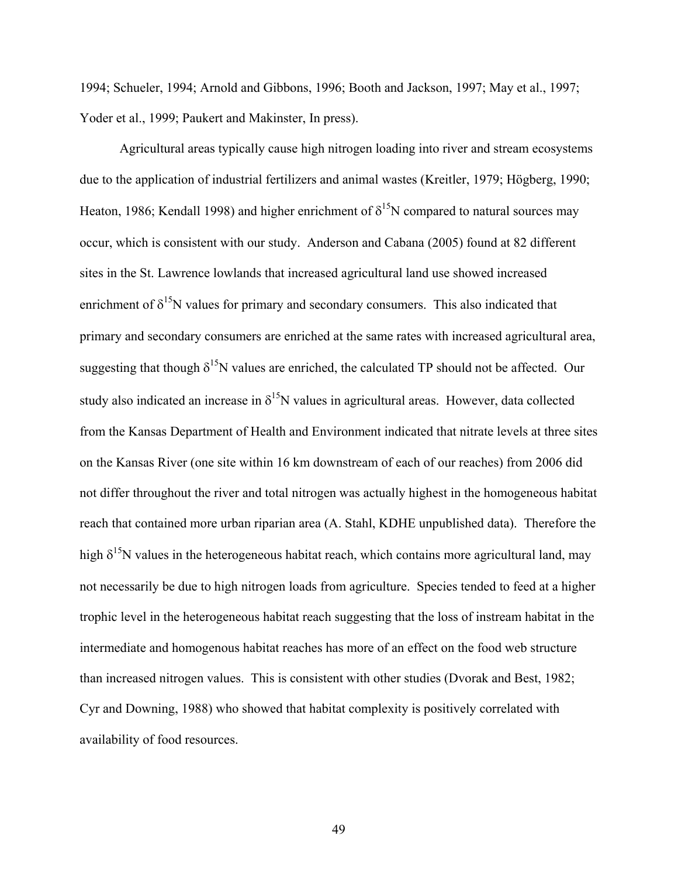1994; Schueler, 1994; Arnold and Gibbons, 1996; Booth and Jackson, 1997; May et al., 1997; Yoder et al., 1999; Paukert and Makinster, In press).

 Agricultural areas typically cause high nitrogen loading into river and stream ecosystems due to the application of industrial fertilizers and animal wastes (Kreitler, 1979; Högberg, 1990; Heaton, 1986; Kendall 1998) and higher enrichment of  $\delta^{15}N$  compared to natural sources may occur, which is consistent with our study. Anderson and Cabana (2005) found at 82 different sites in the St. Lawrence lowlands that increased agricultural land use showed increased enrichment of  $\delta^{15}N$  values for primary and secondary consumers. This also indicated that primary and secondary consumers are enriched at the same rates with increased agricultural area, suggesting that though  $\delta^{15}N$  values are enriched, the calculated TP should not be affected. Our study also indicated an increase in  $\delta^{15}N$  values in agricultural areas. However, data collected from the Kansas Department of Health and Environment indicated that nitrate levels at three sites on the Kansas River (one site within 16 km downstream of each of our reaches) from 2006 did not differ throughout the river and total nitrogen was actually highest in the homogeneous habitat reach that contained more urban riparian area (A. Stahl, KDHE unpublished data). Therefore the high  $\delta^{15}N$  values in the heterogeneous habitat reach, which contains more agricultural land, may not necessarily be due to high nitrogen loads from agriculture. Species tended to feed at a higher trophic level in the heterogeneous habitat reach suggesting that the loss of instream habitat in the intermediate and homogenous habitat reaches has more of an effect on the food web structure than increased nitrogen values. This is consistent with other studies (Dvorak and Best, 1982; Cyr and Downing, 1988) who showed that habitat complexity is positively correlated with availability of food resources.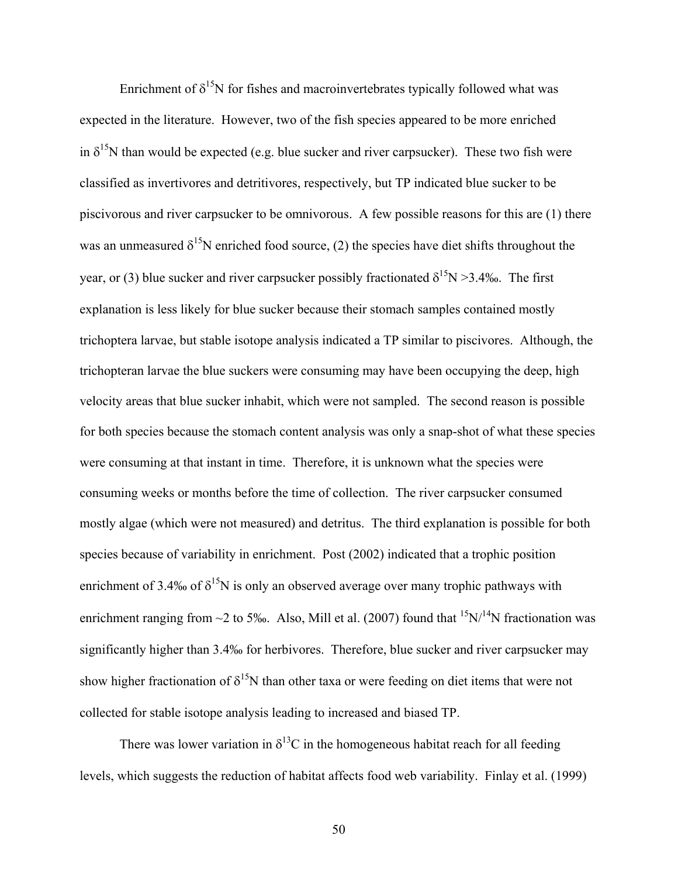Enrichment of  $\delta^{15}N$  for fishes and macroinvertebrates typically followed what was expected in the literature. However, two of the fish species appeared to be more enriched in  $\delta^{15}N$  than would be expected (e.g. blue sucker and river carpsucker). These two fish were classified as invertivores and detritivores, respectively, but TP indicated blue sucker to be piscivorous and river carpsucker to be omnivorous. A few possible reasons for this are (1) there was an unmeasured  $\delta^{15}N$  enriched food source, (2) the species have diet shifts throughout the year, or (3) blue sucker and river carpsucker possibly fractionated  $\delta^{15}N > 3.4\%$ . The first explanation is less likely for blue sucker because their stomach samples contained mostly trichoptera larvae, but stable isotope analysis indicated a TP similar to piscivores. Although, the trichopteran larvae the blue suckers were consuming may have been occupying the deep, high velocity areas that blue sucker inhabit, which were not sampled. The second reason is possible for both species because the stomach content analysis was only a snap-shot of what these species were consuming at that instant in time. Therefore, it is unknown what the species were consuming weeks or months before the time of collection. The river carpsucker consumed mostly algae (which were not measured) and detritus. The third explanation is possible for both species because of variability in enrichment. Post (2002) indicated that a trophic position enrichment of 3.4‰ of  $\delta^{15}N$  is only an observed average over many trophic pathways with enrichment ranging from  $\sim$ 2 to 5‰. Also, Mill et al. (2007) found that  $15N/14N$  fractionation was significantly higher than 3.4‰ for herbivores. Therefore, blue sucker and river carpsucker may show higher fractionation of  $\delta^{15}N$  than other taxa or were feeding on diet items that were not collected for stable isotope analysis leading to increased and biased TP.

There was lower variation in  $\delta^{13}$ C in the homogeneous habitat reach for all feeding levels, which suggests the reduction of habitat affects food web variability. Finlay et al. (1999)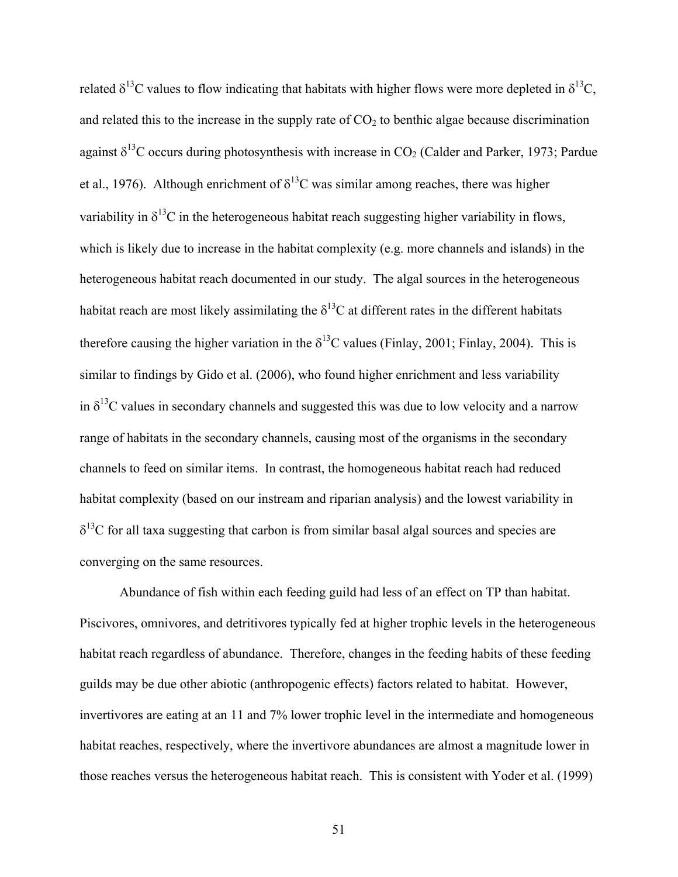related  $\delta^{13}$ C values to flow indicating that habitats with higher flows were more depleted in  $\delta^{13}$ C, and related this to the increase in the supply rate of  $CO<sub>2</sub>$  to benthic algae because discrimination against  $\delta^{13}$ C occurs during photosynthesis with increase in CO<sub>2</sub> (Calder and Parker, 1973; Pardue et al., 1976). Although enrichment of  $\delta^{13}$ C was similar among reaches, there was higher variability in  $\delta^{13}$ C in the heterogeneous habitat reach suggesting higher variability in flows, which is likely due to increase in the habitat complexity (e.g. more channels and islands) in the heterogeneous habitat reach documented in our study. The algal sources in the heterogeneous habitat reach are most likely assimilating the  $\delta^{13}$ C at different rates in the different habitats therefore causing the higher variation in the  $\delta^{13}$ C values (Finlay, 2001; Finlay, 2004). This is similar to findings by Gido et al. (2006), who found higher enrichment and less variability in  $\delta^{13}$ C values in secondary channels and suggested this was due to low velocity and a narrow range of habitats in the secondary channels, causing most of the organisms in the secondary channels to feed on similar items. In contrast, the homogeneous habitat reach had reduced habitat complexity (based on our instream and riparian analysis) and the lowest variability in  $\delta^{13}$ C for all taxa suggesting that carbon is from similar basal algal sources and species are converging on the same resources.

 Abundance of fish within each feeding guild had less of an effect on TP than habitat. Piscivores, omnivores, and detritivores typically fed at higher trophic levels in the heterogeneous habitat reach regardless of abundance. Therefore, changes in the feeding habits of these feeding guilds may be due other abiotic (anthropogenic effects) factors related to habitat. However, invertivores are eating at an 11 and 7% lower trophic level in the intermediate and homogeneous habitat reaches, respectively, where the invertivore abundances are almost a magnitude lower in those reaches versus the heterogeneous habitat reach. This is consistent with Yoder et al. (1999)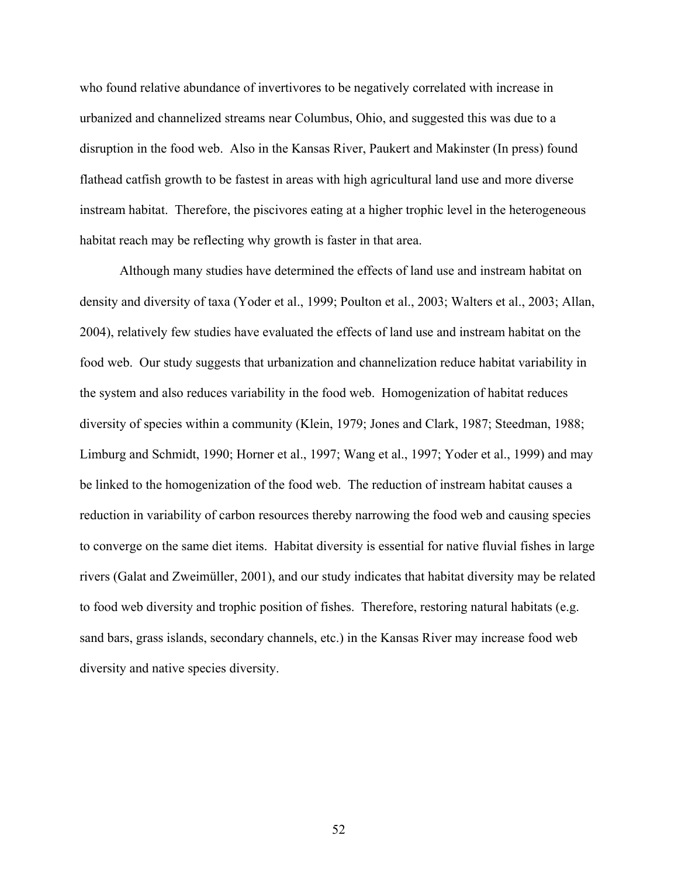who found relative abundance of invertivores to be negatively correlated with increase in urbanized and channelized streams near Columbus, Ohio, and suggested this was due to a disruption in the food web. Also in the Kansas River, Paukert and Makinster (In press) found flathead catfish growth to be fastest in areas with high agricultural land use and more diverse instream habitat. Therefore, the piscivores eating at a higher trophic level in the heterogeneous habitat reach may be reflecting why growth is faster in that area.

 Although many studies have determined the effects of land use and instream habitat on density and diversity of taxa (Yoder et al., 1999; Poulton et al., 2003; Walters et al., 2003; Allan, 2004), relatively few studies have evaluated the effects of land use and instream habitat on the food web. Our study suggests that urbanization and channelization reduce habitat variability in the system and also reduces variability in the food web. Homogenization of habitat reduces diversity of species within a community (Klein, 1979; Jones and Clark, 1987; Steedman, 1988; Limburg and Schmidt, 1990; Horner et al., 1997; Wang et al., 1997; Yoder et al., 1999) and may be linked to the homogenization of the food web. The reduction of instream habitat causes a reduction in variability of carbon resources thereby narrowing the food web and causing species to converge on the same diet items. Habitat diversity is essential for native fluvial fishes in large rivers (Galat and Zweimüller, 2001), and our study indicates that habitat diversity may be related to food web diversity and trophic position of fishes. Therefore, restoring natural habitats (e.g. sand bars, grass islands, secondary channels, etc.) in the Kansas River may increase food web diversity and native species diversity.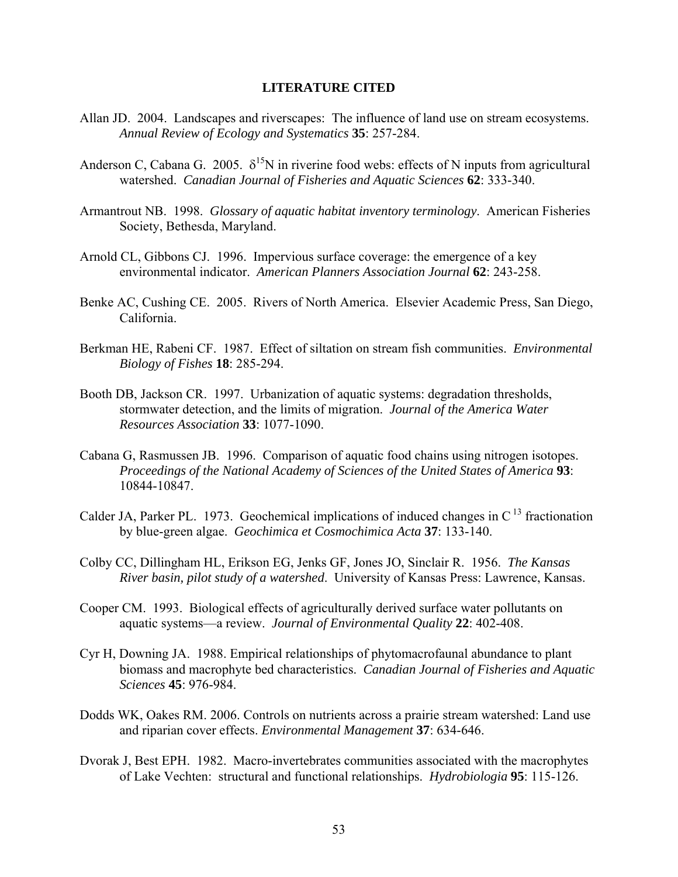# **LITERATURE CITED**

- Allan JD. 2004. Landscapes and riverscapes: The influence of land use on stream ecosystems. *Annual Review of Ecology and Systematics* **35**: 257-284.
- Anderson C, Cabana G. 2005.  $\delta^{15}N$  in riverine food webs: effects of N inputs from agricultural watershed. *Canadian Journal of Fisheries and Aquatic Sciences* **62**: 333-340.
- Armantrout NB. 1998. *Glossary of aquatic habitat inventory terminology*. American Fisheries Society, Bethesda, Maryland.
- Arnold CL, Gibbons CJ. 1996. Impervious surface coverage: the emergence of a key environmental indicator. *American Planners Association Journal* **62**: 243-258.
- Benke AC, Cushing CE. 2005. Rivers of North America. Elsevier Academic Press, San Diego, California.
- Berkman HE, Rabeni CF. 1987. Effect of siltation on stream fish communities. *Environmental Biology of Fishes* **18**: 285-294.
- Booth DB, Jackson CR. 1997. Urbanization of aquatic systems: degradation thresholds, stormwater detection, and the limits of migration. *Journal of the America Water Resources Association* **33**: 1077-1090.
- Cabana G, Rasmussen JB. 1996. Comparison of aquatic food chains using nitrogen isotopes. *Proceedings of the National Academy of Sciences of the United States of America* **93**: 10844-10847.
- Calder JA, Parker PL. 1973. Geochemical implications of induced changes in  $C<sup>13</sup>$  fractionation by blue-green algae. *Geochimica et Cosmochimica Acta* **37**: 133-140.
- Colby CC, Dillingham HL, Erikson EG, Jenks GF, Jones JO, Sinclair R. 1956. *The Kansas River basin, pilot study of a watershed*. University of Kansas Press: Lawrence, Kansas.
- Cooper CM. 1993. Biological effects of agriculturally derived surface water pollutants on aquatic systems—a review. *Journal of Environmental Quality* **22**: 402-408.
- Cyr H, Downing JA. 1988. Empirical relationships of phytomacrofaunal abundance to plant biomass and macrophyte bed characteristics. *Canadian Journal of Fisheries and Aquatic Sciences* **45**: 976-984.
- Dodds WK, Oakes RM. 2006. Controls on nutrients across a prairie stream watershed: Land use and riparian cover effects. *Environmental Management* **37**: 634-646.
- Dvorak J, Best EPH. 1982. Macro-invertebrates communities associated with the macrophytes of Lake Vechten: structural and functional relationships. *Hydrobiologia* **95**: 115-126.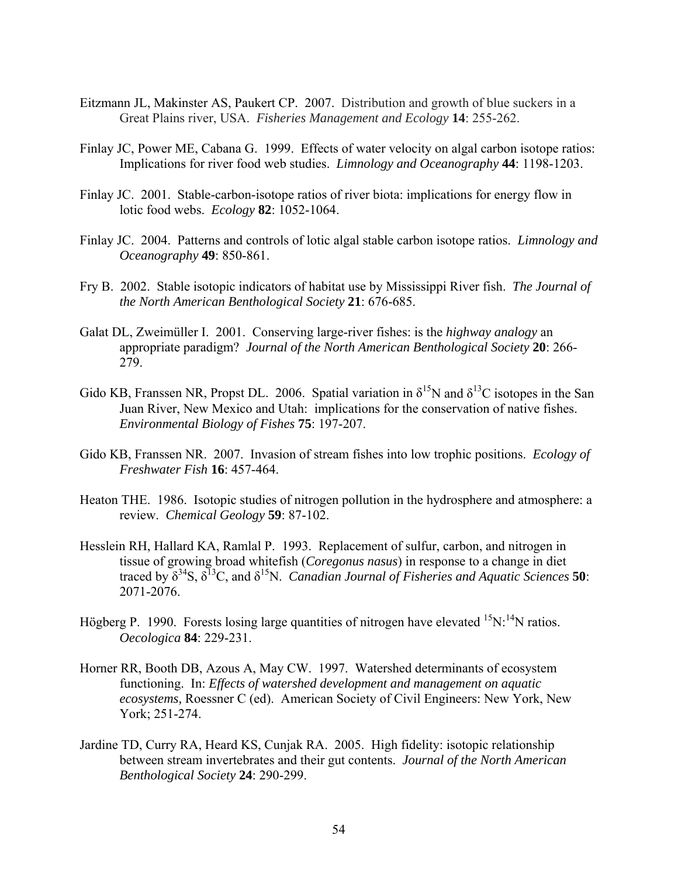- Eitzmann JL, Makinster AS, Paukert CP. 2007. Distribution and growth of blue suckers in a Great Plains river, USA. *Fisheries Management and Ecology* **14**: 255-262.
- Finlay JC, Power ME, Cabana G. 1999. Effects of water velocity on algal carbon isotope ratios: Implications for river food web studies. *Limnology and Oceanography* **44**: 1198-1203.
- Finlay JC. 2001. Stable-carbon-isotope ratios of river biota: implications for energy flow in lotic food webs. *Ecology* **82**: 1052-1064.
- Finlay JC. 2004. Patterns and controls of lotic algal stable carbon isotope ratios. *Limnology and Oceanography* **49**: 850-861.
- Fry B. 2002. Stable isotopic indicators of habitat use by Mississippi River fish. *The Journal of the North American Benthological Society* **21**: 676-685.
- Galat DL, Zweimüller I. 2001. Conserving large-river fishes: is the *highway analogy* an appropriate paradigm? *Journal of the North American Benthological Society* **20**: 266- 279.
- Gido KB, Franssen NR, Propst DL. 2006. Spatial variation in  $\delta^{15}N$  and  $\delta^{13}C$  isotopes in the San Juan River, New Mexico and Utah: implications for the conservation of native fishes. *Environmental Biology of Fishes* **75**: 197-207.
- Gido KB, Franssen NR. 2007. Invasion of stream fishes into low trophic positions. *Ecology of Freshwater Fish* **16**: 457-464.
- Heaton THE. 1986. Isotopic studies of nitrogen pollution in the hydrosphere and atmosphere: a review. *Chemical Geology* **59**: 87-102.
- Hesslein RH, Hallard KA, Ramlal P. 1993. Replacement of sulfur, carbon, and nitrogen in tissue of growing broad whitefish (*Coregonus nasus*) in response to a change in diet traced by  $\delta^{34}S$ ,  $\delta^{13}C$ , and  $\delta^{15}N$ . *Canadian Journal of Fisheries and Aquatic Sciences* **50**: 2071-2076.
- Högberg P. 1990. Forests losing large quantities of nitrogen have elevated  ${}^{15}N$ : <sup>14</sup>N ratios. *Oecologica* **84**: 229-231.
- Horner RR, Booth DB, Azous A, May CW. 1997. Watershed determinants of ecosystem functioning. In: *Effects of watershed development and management on aquatic ecosystems,* Roessner C (ed). American Society of Civil Engineers: New York, New York; 251-274.
- Jardine TD, Curry RA, Heard KS, Cunjak RA. 2005. High fidelity: isotopic relationship between stream invertebrates and their gut contents. *Journal of the North American Benthological Society* **24**: 290-299.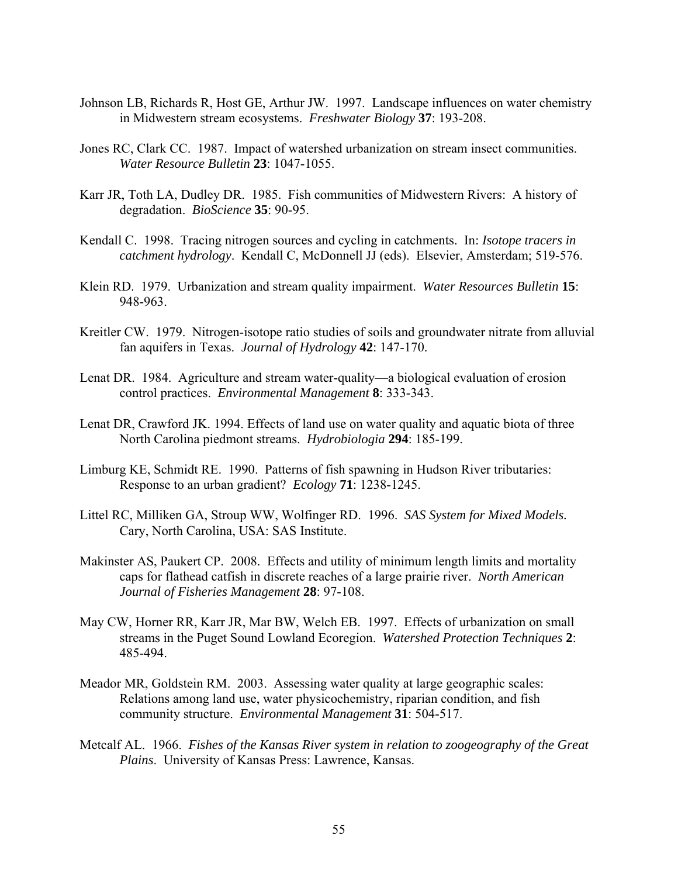- Johnson LB, Richards R, Host GE, Arthur JW. 1997. Landscape influences on water chemistry in Midwestern stream ecosystems. *Freshwater Biology* **37**: 193-208.
- Jones RC, Clark CC. 1987. Impact of watershed urbanization on stream insect communities. *Water Resource Bulletin* **23**: 1047-1055.
- Karr JR, Toth LA, Dudley DR. 1985. Fish communities of Midwestern Rivers: A history of degradation. *BioScience* **35**: 90-95.
- Kendall C. 1998. Tracing nitrogen sources and cycling in catchments. In: *Isotope tracers in catchment hydrology*. Kendall C, McDonnell JJ (eds). Elsevier, Amsterdam; 519-576.
- Klein RD. 1979. Urbanization and stream quality impairment. *Water Resources Bulletin* **15**: 948-963.
- Kreitler CW. 1979. Nitrogen-isotope ratio studies of soils and groundwater nitrate from alluvial fan aquifers in Texas. *Journal of Hydrology* **42**: 147-170.
- Lenat DR. 1984. Agriculture and stream water-quality—a biological evaluation of erosion control practices. *Environmental Management* **8**: 333-343.
- Lenat DR, Crawford JK. 1994. Effects of land use on water quality and aquatic biota of three North Carolina piedmont streams. *Hydrobiologia* **294**: 185-199.
- Limburg KE, Schmidt RE. 1990. Patterns of fish spawning in Hudson River tributaries: Response to an urban gradient? *Ecology* **71**: 1238-1245.
- Littel RC, Milliken GA, Stroup WW, Wolfinger RD. 1996. *SAS System for Mixed Models.* Cary, North Carolina, USA: SAS Institute.
- Makinster AS, Paukert CP. 2008. Effects and utility of minimum length limits and mortality caps for flathead catfish in discrete reaches of a large prairie river. *North American Journal of Fisheries Management* **28**: 97-108.
- May CW, Horner RR, Karr JR, Mar BW, Welch EB. 1997. Effects of urbanization on small streams in the Puget Sound Lowland Ecoregion. *Watershed Protection Techniques* **2**: 485-494.
- Meador MR, Goldstein RM. 2003. Assessing water quality at large geographic scales: Relations among land use, water physicochemistry, riparian condition, and fish community structure. *Environmental Management* **31**: 504-517.
- Metcalf AL. 1966. *Fishes of the Kansas River system in relation to zoogeography of the Great Plains*. University of Kansas Press: Lawrence, Kansas.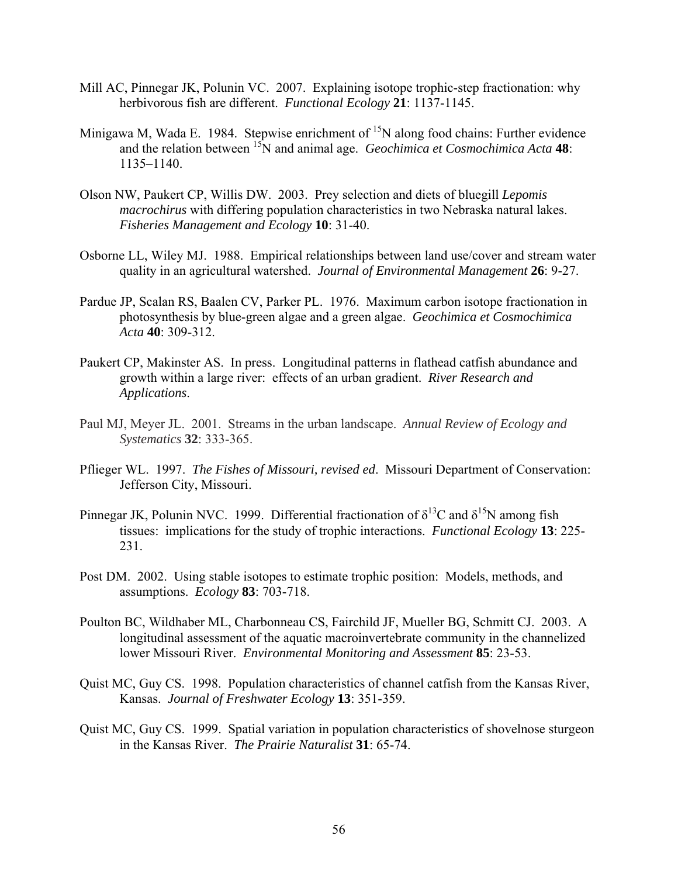- Mill AC, Pinnegar JK, Polunin VC. 2007. Explaining isotope trophic-step fractionation: why herbivorous fish are different. *Functional Ecology* **21**: 1137-1145.
- Minigawa M, Wada E. 1984. Stepwise enrichment of  ${}^{15}N$  along food chains: Further evidence and the relation between <sup>15</sup>N and animal age. *Geochimica et Cosmochimica Acta* 48: 1135–1140.
- Olson NW, Paukert CP, Willis DW. 2003. Prey selection and diets of bluegill *Lepomis macrochirus* with differing population characteristics in two Nebraska natural lakes. *Fisheries Management and Ecology* **10**: 31-40.
- Osborne LL, Wiley MJ. 1988. Empirical relationships between land use/cover and stream water quality in an agricultural watershed. *Journal of Environmental Management* **26**: 9-27.
- Pardue JP, Scalan RS, Baalen CV, Parker PL. 1976. Maximum carbon isotope fractionation in photosynthesis by blue-green algae and a green algae. *Geochimica et Cosmochimica Acta* **40**: 309-312.
- Paukert CP, Makinster AS. In press. Longitudinal patterns in flathead catfish abundance and growth within a large river: effects of an urban gradient. *River Research and Applications*.
- Paul MJ, Meyer JL. 2001. Streams in the urban landscape. *Annual Review of Ecology and Systematics* **32**: 333-365.
- Pflieger WL. 1997. *The Fishes of Missouri, revised ed*. Missouri Department of Conservation: Jefferson City, Missouri.
- Pinnegar JK, Polunin NVC. 1999. Differential fractionation of  $\delta^{13}C$  and  $\delta^{15}N$  among fish tissues: implications for the study of trophic interactions. *Functional Ecology* **13**: 225- 231.
- Post DM. 2002. Using stable isotopes to estimate trophic position: Models, methods, and assumptions. *Ecology* **83**: 703-718.
- Poulton BC, Wildhaber ML, Charbonneau CS, Fairchild JF, Mueller BG, Schmitt CJ. 2003. A longitudinal assessment of the aquatic macroinvertebrate community in the channelized lower Missouri River. *Environmental Monitoring and Assessment* **85**: 23-53.
- Quist MC, Guy CS. 1998. Population characteristics of channel catfish from the Kansas River, Kansas. *Journal of Freshwater Ecology* **13**: 351-359.
- Quist MC, Guy CS. 1999. Spatial variation in population characteristics of shovelnose sturgeon in the Kansas River. *The Prairie Naturalist* **31**: 65-74.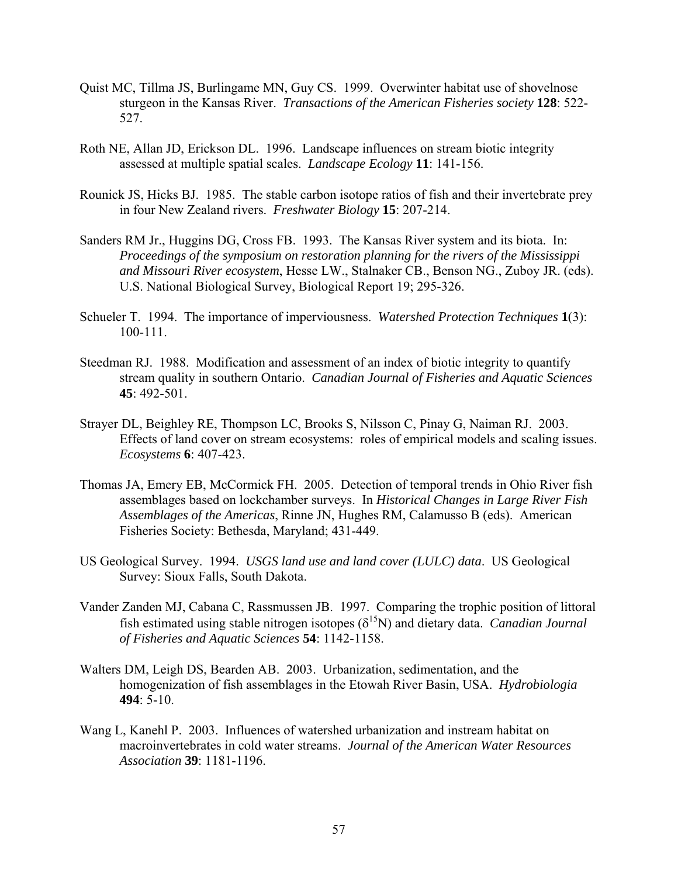- Quist MC, Tillma JS, Burlingame MN, Guy CS. 1999. Overwinter habitat use of shovelnose sturgeon in the Kansas River. *Transactions of the American Fisheries society* **128**: 522- 527.
- Roth NE, Allan JD, Erickson DL. 1996. Landscape influences on stream biotic integrity assessed at multiple spatial scales. *Landscape Ecology* **11**: 141-156.
- Rounick JS, Hicks BJ. 1985. The stable carbon isotope ratios of fish and their invertebrate prey in four New Zealand rivers. *Freshwater Biology* **15**: 207-214.
- Sanders RM Jr., Huggins DG, Cross FB. 1993. The Kansas River system and its biota. In: *Proceedings of the symposium on restoration planning for the rivers of the Mississippi and Missouri River ecosystem*, Hesse LW., Stalnaker CB., Benson NG., Zuboy JR. (eds). U.S. National Biological Survey, Biological Report 19; 295-326.
- Schueler T. 1994. The importance of imperviousness. *Watershed Protection Techniques* **1**(3): 100-111.
- Steedman RJ. 1988. Modification and assessment of an index of biotic integrity to quantify stream quality in southern Ontario. *Canadian Journal of Fisheries and Aquatic Sciences* **45**: 492-501.
- Strayer DL, Beighley RE, Thompson LC, Brooks S, Nilsson C, Pinay G, Naiman RJ. 2003. Effects of land cover on stream ecosystems: roles of empirical models and scaling issues. *Ecosystems* **6**: 407-423.
- Thomas JA, Emery EB, McCormick FH. 2005. Detection of temporal trends in Ohio River fish assemblages based on lockchamber surveys. In *Historical Changes in Large River Fish Assemblages of the Americas*, Rinne JN, Hughes RM, Calamusso B (eds). American Fisheries Society: Bethesda, Maryland; 431-449.
- US Geological Survey. 1994. *USGS land use and land cover (LULC) data*. US Geological Survey: Sioux Falls, South Dakota.
- Vander Zanden MJ, Cabana C, Rassmussen JB. 1997. Comparing the trophic position of littoral fish estimated using stable nitrogen isotopes  $(\delta^{15}N)$  and dietary data. *Canadian Journal of Fisheries and Aquatic Sciences* **54**: 1142-1158.
- Walters DM, Leigh DS, Bearden AB. 2003. Urbanization, sedimentation, and the homogenization of fish assemblages in the Etowah River Basin, USA. *Hydrobiologia* **494**: 5-10.
- Wang L, Kanehl P. 2003. Influences of watershed urbanization and instream habitat on macroinvertebrates in cold water streams. *Journal of the American Water Resources Association* **39**: 1181-1196.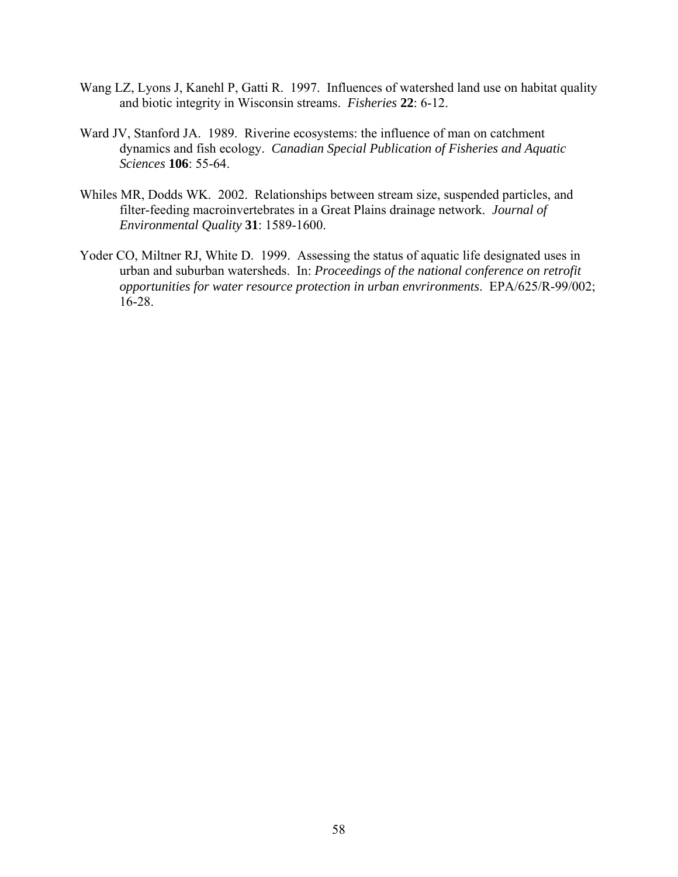- Wang LZ, Lyons J, Kanehl P, Gatti R. 1997. Influences of watershed land use on habitat quality and biotic integrity in Wisconsin streams. *Fisheries* **22**: 6-12.
- Ward JV, Stanford JA. 1989. Riverine ecosystems: the influence of man on catchment dynamics and fish ecology. *Canadian Special Publication of Fisheries and Aquatic Sciences* **106**: 55-64.
- Whiles MR, Dodds WK. 2002. Relationships between stream size, suspended particles, and filter-feeding macroinvertebrates in a Great Plains drainage network. *Journal of Environmental Quality* **31**: 1589-1600.
- Yoder CO, Miltner RJ, White D. 1999. Assessing the status of aquatic life designated uses in urban and suburban watersheds. In: *Proceedings of the national conference on retrofit opportunities for water resource protection in urban envrironments*. EPA/625/R-99/002; 16-28.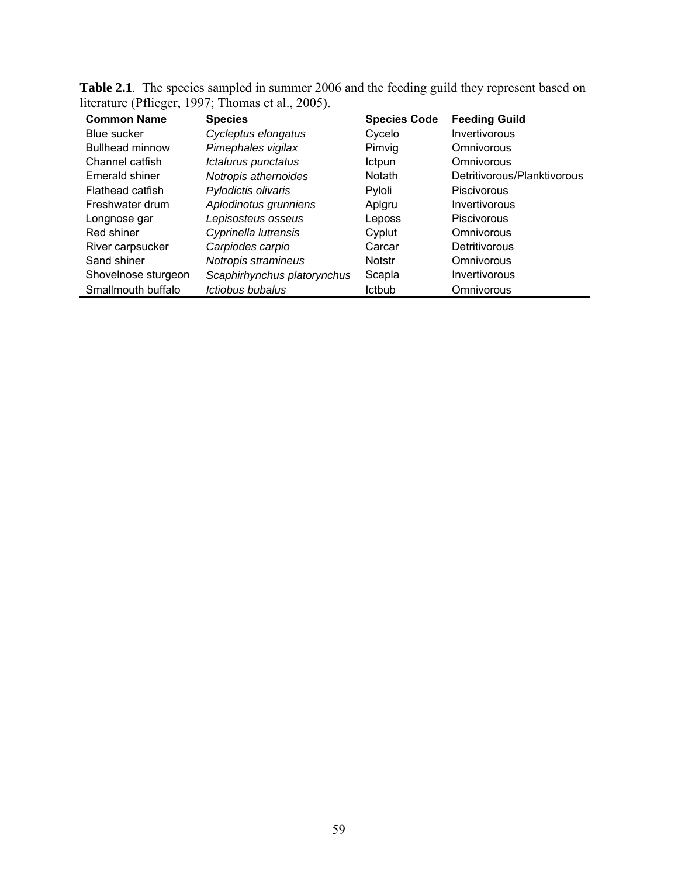| <b>Common Name</b>     | <b>Species</b>              | <b>Species Code</b> | <b>Feeding Guild</b>        |
|------------------------|-----------------------------|---------------------|-----------------------------|
| Blue sucker            | Cycleptus elongatus         | Cycelo              | Invertivorous               |
| <b>Bullhead minnow</b> | Pimephales vigilax          | Pimvig              | Omnivorous                  |
| Channel catfish        | Ictalurus punctatus         | Ictpun              | Omnivorous                  |
| Emerald shiner         | Notropis athernoides        | <b>Notath</b>       | Detritivorous/Planktivorous |
| Flathead catfish       | Pylodictis olivaris         | Pyloli              | Piscivorous                 |
| Freshwater drum        | Aplodinotus grunniens       | Aplgru              | Invertivorous               |
| Longnose gar           | Lepisosteus osseus          | Leposs              | Piscivorous                 |
| Red shiner             | Cyprinella lutrensis        | Cyplut              | Omnivorous                  |
| River carpsucker       | Carpiodes carpio            | Carcar              | Detritivorous               |
| Sand shiner            | Notropis stramineus         | <b>Notstr</b>       | Omnivorous                  |
| Shovelnose sturgeon    | Scaphirhynchus platorynchus | Scapla              | Invertivorous               |
| Smallmouth buffalo     | Ictiobus bubalus            | <b>Ictbub</b>       | Omnivorous                  |

**Table 2.1**. The species sampled in summer 2006 and the feeding guild they represent based on literature (Pflieger, 1997; Thomas et al., 2005).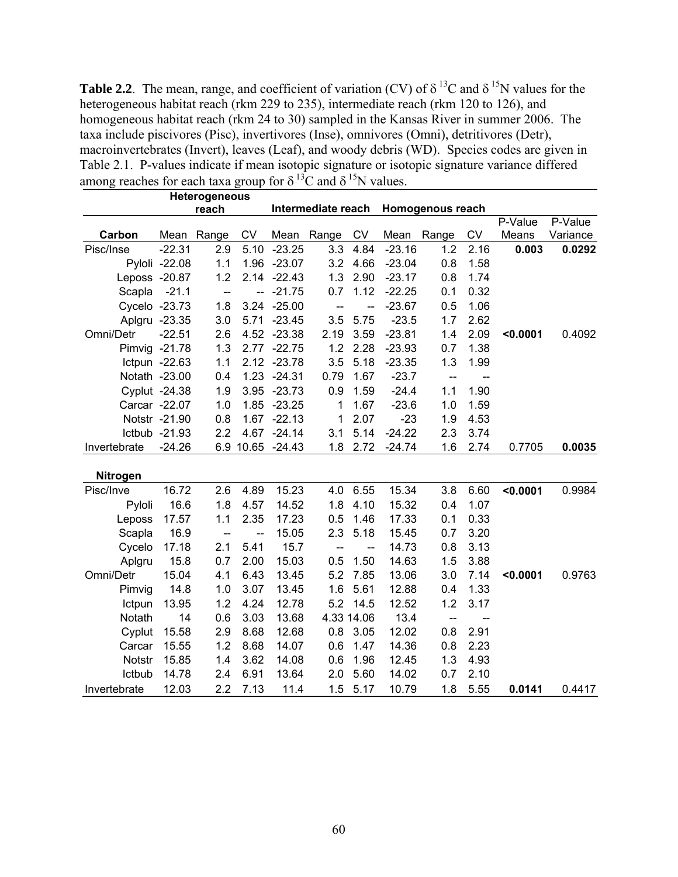**Table 2.2**. The mean, range, and coefficient of variation (CV) of  $\delta^{13}$ C and  $\delta^{15}$ N values for the heterogeneous habitat reach (rkm 229 to 235), intermediate reach (rkm 120 to 126), and homogeneous habitat reach (rkm 24 to 30) sampled in the Kansas River in summer 2006. The taxa include piscivores (Pisc), invertivores (Inse), omnivores (Omni), detritivores (Detr), macroinvertebrates (Invert), leaves (Leaf), and woody debris (WD). Species codes are given in Table 2.1. P-values indicate if mean isotopic signature or isotopic signature variance differed among reaches for each taxa group for  $\delta^{13}C$  and  $\delta^{15}N$  values.

|                     |               | Heterogeneous            |                          |                  |                                        |                          |          |                          |      |          |          |
|---------------------|---------------|--------------------------|--------------------------|------------------|----------------------------------------|--------------------------|----------|--------------------------|------|----------|----------|
|                     |               | reach                    |                          |                  | Intermediate reach<br>Homogenous reach |                          |          |                          |      |          |          |
|                     |               |                          |                          |                  |                                        |                          |          |                          |      | P-Value  | P-Value  |
| Carbon              | Mean          | Range                    | CV                       |                  | Mean Range                             | CV                       | Mean     | Range                    | CV   | Means    | Variance |
| Pisc/Inse           | $-22.31$      | 2.9                      | 5.10                     | $-23.25$         | 3.3                                    | 4.84                     | $-23.16$ | 1.2                      | 2.16 | 0.003    | 0.0292   |
|                     | Pyloli -22.08 | 1.1                      |                          | 1.96 -23.07      | 3.2                                    | 4.66                     | $-23.04$ | 0.8                      | 1.58 |          |          |
| Leposs -20.87       |               | 1.2                      |                          | $2.14 - 22.43$   | 1.3                                    | 2.90                     | $-23.17$ | 0.8                      | 1.74 |          |          |
| Scapla              | $-21.1$       | $\overline{a}$           | $\overline{\phantom{a}}$ | $-21.75$         | 0.7                                    | 1.12                     | $-22.25$ | 0.1                      | 0.32 |          |          |
|                     | Cycelo -23.73 | 1.8                      | 3.24                     | $-25.00$         | $\frac{1}{2}$                          | $\overline{\phantom{a}}$ | $-23.67$ | 0.5                      | 1.06 |          |          |
|                     | Aplgru -23.35 | 3.0                      | 5.71                     | $-23.45$         | 3.5                                    | 5.75                     | $-23.5$  | 1.7                      | 2.62 |          |          |
| Omni/Detr           | $-22.51$      | 2.6                      |                          | 4.52 -23.38      | 2.19                                   | 3.59                     | $-23.81$ | 1.4                      | 2.09 | < 0.0001 | 0.4092   |
|                     | Pimvig -21.78 | 1.3                      |                          | 2.77 -22.75      | 1.2                                    | 2.28                     | $-23.93$ | 0.7                      | 1.38 |          |          |
|                     | Ictpun -22.63 | 1.1                      |                          | 2.12 -23.78      | 3.5                                    | 5.18                     | $-23.35$ | 1.3                      | 1.99 |          |          |
|                     | Notath -23.00 | 0.4                      |                          | 1.23 -24.31      | 0.79                                   | 1.67                     | $-23.7$  | $\overline{\phantom{a}}$ | --   |          |          |
|                     | Cyplut -24.38 | 1.9                      |                          | 3.95 -23.73      | 0.9                                    | 1.59                     | $-24.4$  | 1.1                      | 1.90 |          |          |
|                     | Carcar -22.07 | 1.0                      |                          | 1.85 -23.25      | 1                                      | 1.67                     | $-23.6$  | 1.0                      | 1.59 |          |          |
|                     | Notstr -21.90 | 0.8                      |                          | $1.67 - 22.13$   | 1                                      | 2.07                     | $-23$    | 1.9                      | 4.53 |          |          |
|                     | Ictbub -21.93 | 2.2                      | 4.67                     | $-24.14$         | 3.1                                    | 5.14                     | $-24.22$ | 2.3                      | 3.74 |          |          |
| Invertebrate        | $-24.26$      |                          |                          | 6.9 10.65 -24.43 | 1.8                                    | 2.72                     | $-24.74$ | 1.6                      | 2.74 | 0.7705   | 0.0035   |
| Nitrogen            |               |                          |                          |                  |                                        |                          |          |                          |      |          |          |
| Pisc/Inve           | 16.72         | 2.6                      | 4.89                     | 15.23            | 4.0                                    | 6.55                     | 15.34    | 3.8                      | 6.60 | < 0.0001 | 0.9984   |
| Pyloli              | 16.6          | 1.8                      | 4.57                     | 14.52            | 1.8                                    | 4.10                     | 15.32    | 0.4                      | 1.07 |          |          |
| Leposs              | 17.57         | 1.1                      | 2.35                     | 17.23            | 0.5                                    | 1.46                     | 17.33    | 0.1                      | 0.33 |          |          |
| Scapla              | 16.9          | $\overline{\phantom{a}}$ | $-$                      | 15.05            | 2.3                                    | 5.18                     | 15.45    | 0.7                      | 3.20 |          |          |
| Cycelo              | 17.18         | 2.1                      | 5.41                     | 15.7             | $\overline{a}$                         |                          | 14.73    | 0.8                      | 3.13 |          |          |
|                     | 15.8          | 0.7                      | 2.00                     | 15.03            | 0.5                                    | 1.50                     | 14.63    | 1.5                      | 3.88 |          |          |
| Aplgru<br>Omni/Detr | 15.04         | 4.1                      | 6.43                     | 13.45            | 5.2                                    | 7.85                     | 13.06    | 3.0                      | 7.14 | < 0.0001 |          |
|                     |               |                          | 3.07                     |                  | 1.6                                    | 5.61                     |          | 0.4                      | 1.33 |          | 0.9763   |
| Pimvig              | 14.8          | 1.0                      |                          | 13.45            |                                        |                          | 12.88    |                          |      |          |          |
| Ictpun              | 13.95         | 1.2                      | 4.24                     | 12.78            | 5.2                                    | 14.5                     | 12.52    | 1.2                      | 3.17 |          |          |
| Notath              | 14            | 0.6                      | 3.03                     | 13.68            |                                        | 4.33 14.06               | 13.4     | $\overline{\phantom{a}}$ |      |          |          |
| Cyplut              | 15.58         | 2.9                      | 8.68                     | 12.68            | 0.8                                    | 3.05                     | 12.02    | 0.8                      | 2.91 |          |          |
| Carcar              | 15.55         | 1.2                      | 8.68                     | 14.07            | 0.6                                    | 1.47                     | 14.36    | 0.8                      | 2.23 |          |          |
| Notstr              | 15.85         | 1.4                      | 3.62                     | 14.08            | 0.6                                    | 1.96                     | 12.45    | 1.3                      | 4.93 |          |          |
| Ictbub              | 14.78         | 2.4                      | 6.91                     | 13.64            | 2.0                                    | 5.60                     | 14.02    | 0.7                      | 2.10 |          |          |
| Invertebrate        | 12.03         | 2.2                      | 7.13                     | 11.4             | 1.5                                    | 5.17                     | 10.79    | 1.8                      | 5.55 | 0.0141   | 0.4417   |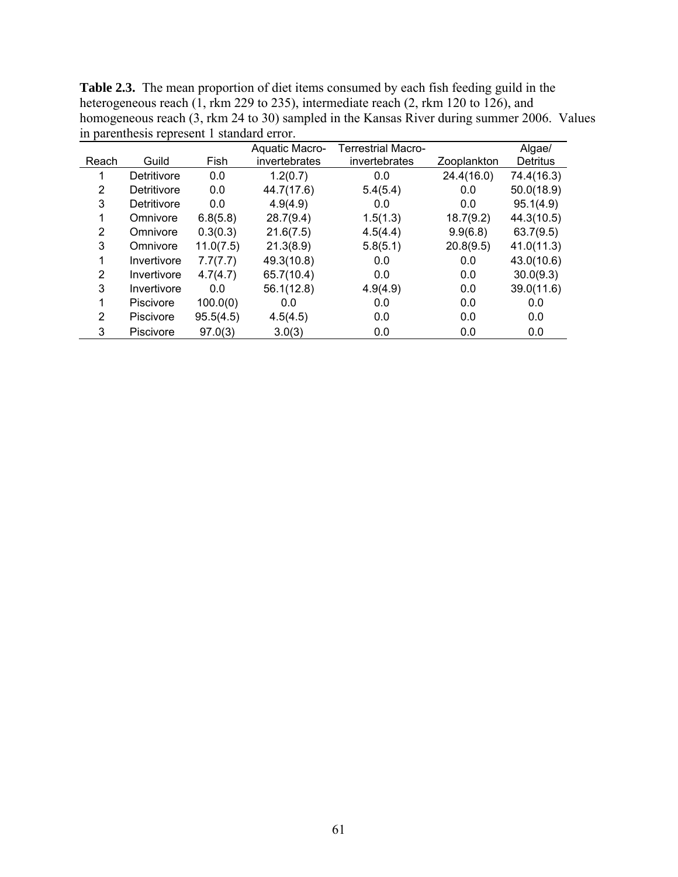|       |                  |           | Aquatic Macro- | <b>Terrestrial Macro-</b> |             | Algae/          |
|-------|------------------|-----------|----------------|---------------------------|-------------|-----------------|
| Reach | Guild            | Fish      | invertebrates  | invertebrates             | Zooplankton | <b>Detritus</b> |
|       | Detritivore      | 0.0       | 1.2(0.7)       | 0.0                       | 24.4(16.0)  | 74.4(16.3)      |
| 2     | Detritivore      | 0.0       | 44.7(17.6)     | 5.4(5.4)                  | 0.0         | 50.0(18.9)      |
| 3     | Detritivore      | 0.0       | 4.9(4.9)       | 0.0                       | 0.0         | 95.1(4.9)       |
|       | Omnivore         | 6.8(5.8)  | 28.7(9.4)      | 1.5(1.3)                  | 18.7(9.2)   | 44.3(10.5)      |
| 2     | Omnivore         | 0.3(0.3)  | 21.6(7.5)      | 4.5(4.4)                  | 9.9(6.8)    | 63.7(9.5)       |
| 3     | Omnivore         | 11.0(7.5) | 21.3(8.9)      | 5.8(5.1)                  | 20.8(9.5)   | 41.0(11.3)      |
|       | Invertivore      | 7.7(7.7)  | 49.3(10.8)     | 0.0                       | 0.0         | 43.0(10.6)      |
| 2     | Invertivore      | 4.7(4.7)  | 65.7(10.4)     | 0.0                       | 0.0         | 30.0(9.3)       |
| 3     | Invertivore      | 0.0       | 56.1(12.8)     | 4.9(4.9)                  | 0.0         | 39.0(11.6)      |
|       | <b>Piscivore</b> | 100.0(0)  | 0.0            | 0.0                       | 0.0         | 0.0             |
| 2     | <b>Piscivore</b> | 95.5(4.5) | 4.5(4.5)       | 0.0                       | 0.0         | 0.0             |
| 3     | Piscivore        | 97.0(3)   | 3.0(3)         | 0.0                       | 0.0         | 0.0             |

**Table 2.3.** The mean proportion of diet items consumed by each fish feeding guild in the heterogeneous reach (1, rkm 229 to 235), intermediate reach (2, rkm 120 to 126), and homogeneous reach (3, rkm 24 to 30) sampled in the Kansas River during summer 2006. Values in parenthesis represent 1 standard error.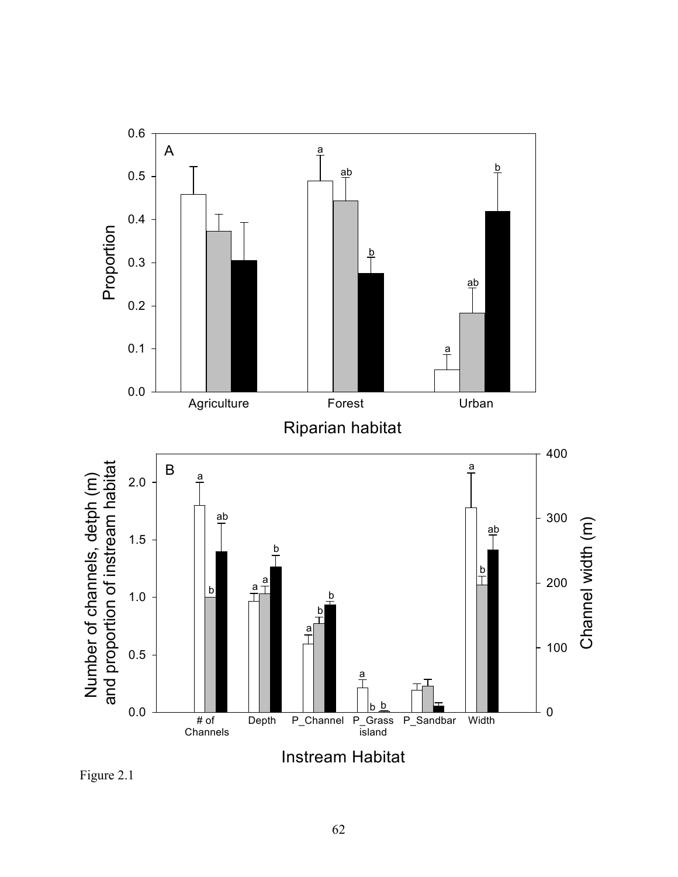

Figure 2.1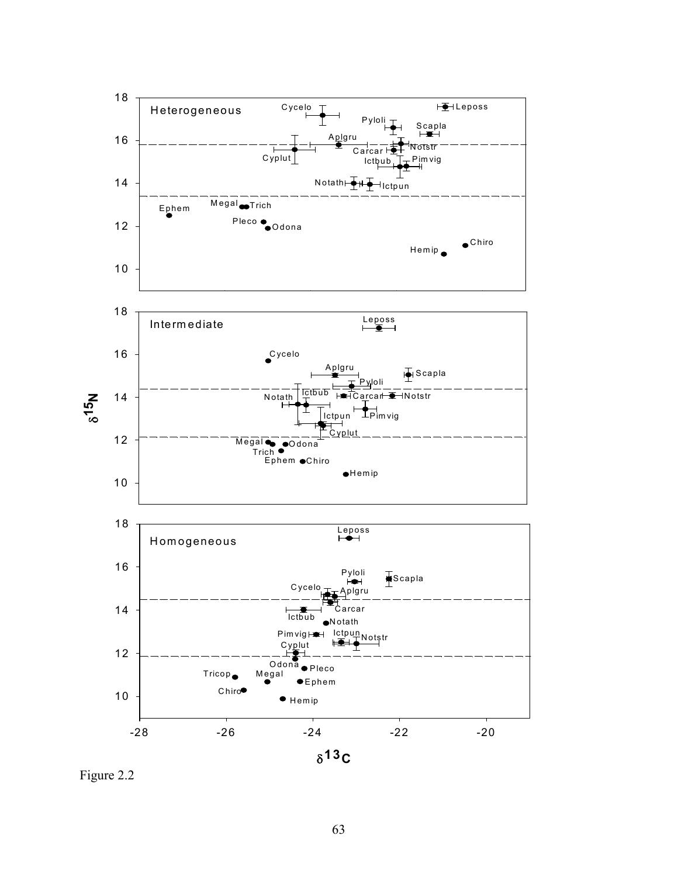

Figure 2.2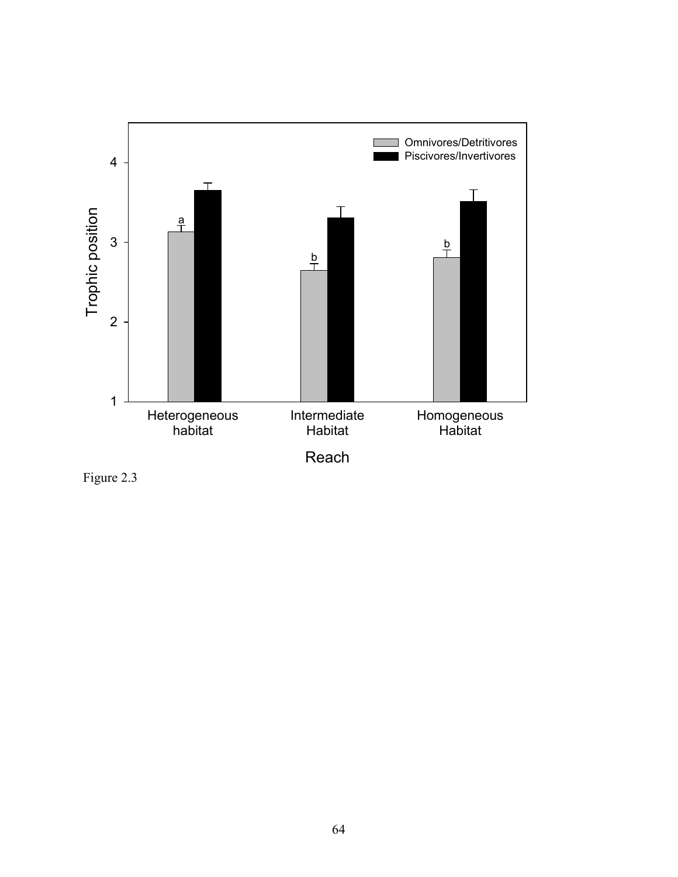

Figure 2.3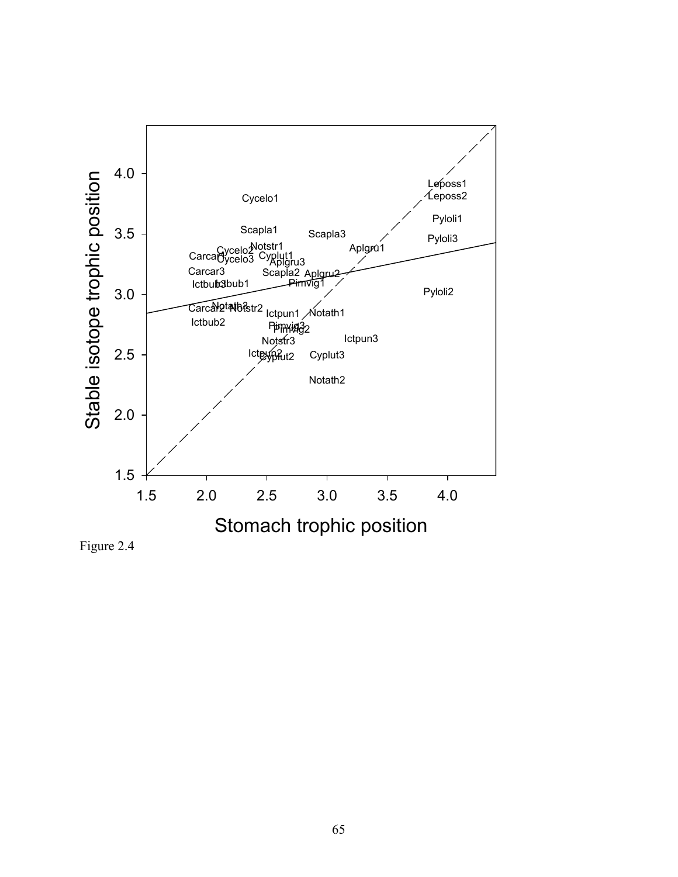

Figure 2.4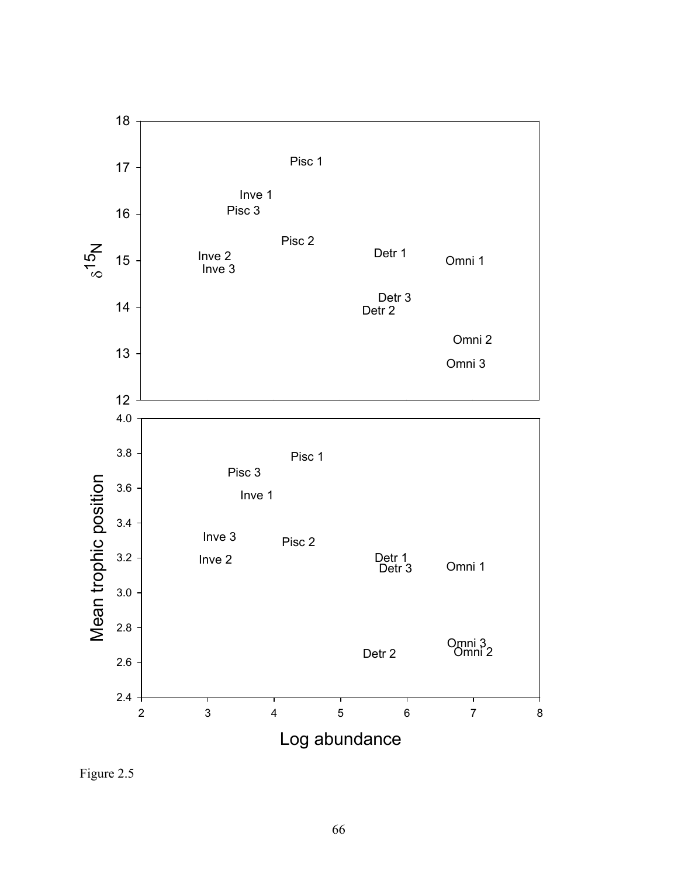

Figure 2.5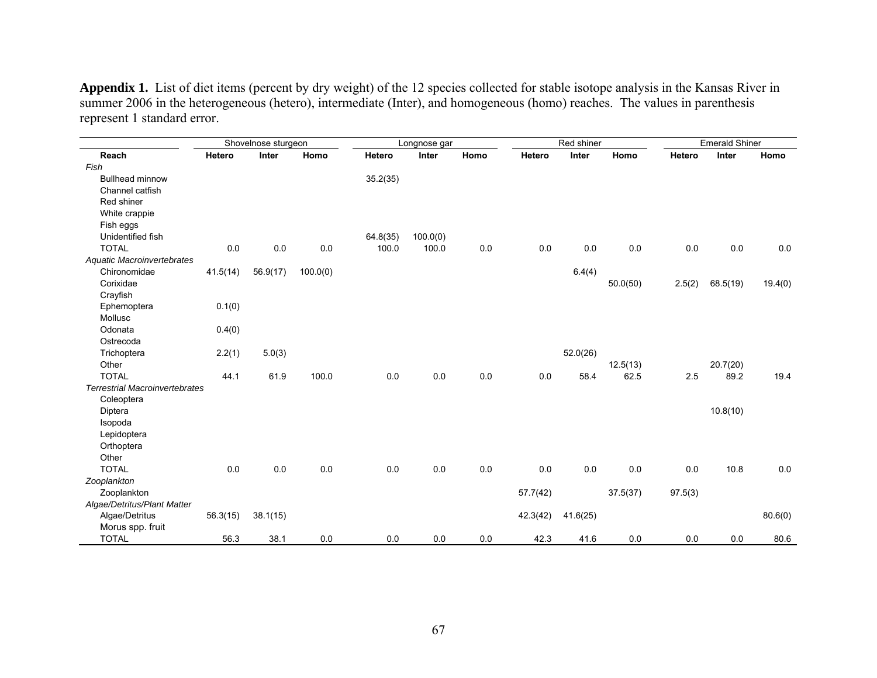**Appendix 1.** List of diet items (percent by dry weight) of the 12 species collected for stable isotope analysis in the Kansas River in summer 2006 in the heterogeneous (hetero), intermediate (Inter), and homogeneous (homo) reaches. The values in parenthesis represent 1 standard error.

|                                       | Shovelnose sturgeon |          |          | Longnose gar |          |         | Red shiner |          |          | <b>Emerald Shiner</b> |          |         |
|---------------------------------------|---------------------|----------|----------|--------------|----------|---------|------------|----------|----------|-----------------------|----------|---------|
| Reach                                 | Hetero              | Inter    | Homo     | Hetero       | Inter    | Homo    | Hetero     | Inter    | Homo     | Hetero                | Inter    | Homo    |
| Fish                                  |                     |          |          |              |          |         |            |          |          |                       |          |         |
| <b>Bullhead minnow</b>                |                     |          |          | 35.2(35)     |          |         |            |          |          |                       |          |         |
| Channel catfish                       |                     |          |          |              |          |         |            |          |          |                       |          |         |
| Red shiner                            |                     |          |          |              |          |         |            |          |          |                       |          |         |
| White crappie                         |                     |          |          |              |          |         |            |          |          |                       |          |         |
| Fish eggs                             |                     |          |          |              |          |         |            |          |          |                       |          |         |
| Unidentified fish                     |                     |          |          | 64.8(35)     | 100.0(0) |         |            |          |          |                       |          |         |
| <b>TOTAL</b>                          | 0.0                 | 0.0      | 0.0      | 100.0        | 100.0    | $0.0\,$ | 0.0        | 0.0      | 0.0      | 0.0                   | 0.0      | 0.0     |
| Aquatic Macroinvertebrates            |                     |          |          |              |          |         |            |          |          |                       |          |         |
| Chironomidae                          | 41.5(14)            | 56.9(17) | 100.0(0) |              |          |         |            | 6.4(4)   |          |                       |          |         |
| Corixidae                             |                     |          |          |              |          |         |            |          | 50.0(50) | 2.5(2)                | 68.5(19) | 19.4(0) |
| Crayfish                              |                     |          |          |              |          |         |            |          |          |                       |          |         |
| Ephemoptera                           | 0.1(0)              |          |          |              |          |         |            |          |          |                       |          |         |
| Mollusc                               |                     |          |          |              |          |         |            |          |          |                       |          |         |
| Odonata                               | 0.4(0)              |          |          |              |          |         |            |          |          |                       |          |         |
| Ostrecoda                             |                     |          |          |              |          |         |            |          |          |                       |          |         |
| Trichoptera                           | 2.2(1)              | 5.0(3)   |          |              |          |         |            | 52.0(26) |          |                       |          |         |
| Other                                 |                     |          |          |              |          |         |            |          | 12.5(13) |                       | 20.7(20) |         |
| <b>TOTAL</b>                          | 44.1                | 61.9     | 100.0    | 0.0          | 0.0      | $0.0\,$ | 0.0        | 58.4     | 62.5     | 2.5                   | 89.2     | 19.4    |
| <b>Terrestrial Macroinvertebrates</b> |                     |          |          |              |          |         |            |          |          |                       |          |         |
| Coleoptera                            |                     |          |          |              |          |         |            |          |          |                       |          |         |
| Diptera                               |                     |          |          |              |          |         |            |          |          |                       | 10.8(10) |         |
| Isopoda                               |                     |          |          |              |          |         |            |          |          |                       |          |         |
| Lepidoptera                           |                     |          |          |              |          |         |            |          |          |                       |          |         |
| Orthoptera                            |                     |          |          |              |          |         |            |          |          |                       |          |         |
| Other                                 |                     |          |          |              |          |         |            |          |          |                       |          |         |
| <b>TOTAL</b>                          | 0.0                 | 0.0      | 0.0      | 0.0          | 0.0      | $0.0\,$ | 0.0        | 0.0      | $0.0\,$  | 0.0                   | 10.8     | 0.0     |
| Zooplankton                           |                     |          |          |              |          |         |            |          |          |                       |          |         |
| Zooplankton                           |                     |          |          |              |          |         | 57.7(42)   |          | 37.5(37) | 97.5(3)               |          |         |
| Algae/Detritus/Plant Matter           |                     |          |          |              |          |         |            |          |          |                       |          |         |
| Algae/Detritus                        | 56.3(15)            | 38.1(15) |          |              |          |         | 42.3(42)   | 41.6(25) |          |                       |          | 80.6(0) |
| Morus spp. fruit                      |                     |          |          |              |          |         |            |          |          |                       |          |         |
| <b>TOTAL</b>                          | 56.3                | 38.1     | 0.0      | 0.0          | 0.0      | 0.0     | 42.3       | 41.6     | 0.0      | 0.0                   | 0.0      | 80.6    |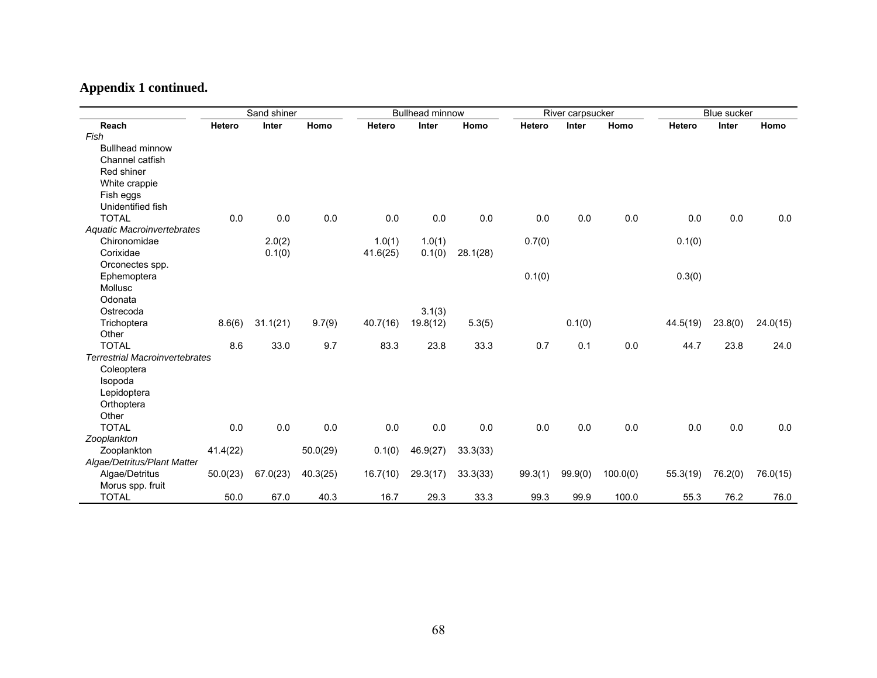## **Appendix 1 continued.**

|                                       | Sand shiner |          |          | <b>Bullhead minnow</b> |          |          | River carpsucker |              |          | <b>Blue sucker</b> |         |          |
|---------------------------------------|-------------|----------|----------|------------------------|----------|----------|------------------|--------------|----------|--------------------|---------|----------|
| Reach                                 | Hetero      | Inter    | Homo     | Hetero                 | Inter    | Homo     | Hetero           | <b>Inter</b> | Homo     | Hetero             | Inter   | Homo     |
| Fish                                  |             |          |          |                        |          |          |                  |              |          |                    |         |          |
| <b>Bullhead minnow</b>                |             |          |          |                        |          |          |                  |              |          |                    |         |          |
| Channel catfish                       |             |          |          |                        |          |          |                  |              |          |                    |         |          |
| Red shiner                            |             |          |          |                        |          |          |                  |              |          |                    |         |          |
| White crappie                         |             |          |          |                        |          |          |                  |              |          |                    |         |          |
| Fish eggs                             |             |          |          |                        |          |          |                  |              |          |                    |         |          |
| Unidentified fish                     |             |          |          |                        |          |          |                  |              |          |                    |         |          |
| <b>TOTAL</b>                          | 0.0         | 0.0      | 0.0      | 0.0                    | 0.0      | 0.0      | 0.0              | 0.0          | 0.0      | 0.0                | 0.0     | 0.0      |
| Aquatic Macroinvertebrates            |             |          |          |                        |          |          |                  |              |          |                    |         |          |
| Chironomidae                          |             | 2.0(2)   |          | 1.0(1)                 | 1.0(1)   |          | 0.7(0)           |              |          | 0.1(0)             |         |          |
| Corixidae                             |             | 0.1(0)   |          | 41.6(25)               | 0.1(0)   | 28.1(28) |                  |              |          |                    |         |          |
| Orconectes spp.                       |             |          |          |                        |          |          |                  |              |          |                    |         |          |
| Ephemoptera                           |             |          |          |                        |          |          | 0.1(0)           |              |          | 0.3(0)             |         |          |
| Mollusc                               |             |          |          |                        |          |          |                  |              |          |                    |         |          |
| Odonata                               |             |          |          |                        |          |          |                  |              |          |                    |         |          |
| Ostrecoda                             |             |          |          |                        | 3.1(3)   |          |                  |              |          |                    |         |          |
| Trichoptera                           | 8.6(6)      | 31.1(21) | 9.7(9)   | 40.7(16)               | 19.8(12) | 5.3(5)   |                  | 0.1(0)       |          | 44.5(19)           | 23.8(0) | 24.0(15) |
| Other                                 |             |          |          |                        |          |          |                  |              |          |                    |         |          |
| <b>TOTAL</b>                          | 8.6         | 33.0     | 9.7      | 83.3                   | 23.8     | 33.3     | 0.7              | 0.1          | 0.0      | 44.7               | 23.8    | 24.0     |
| <b>Terrestrial Macroinvertebrates</b> |             |          |          |                        |          |          |                  |              |          |                    |         |          |
| Coleoptera                            |             |          |          |                        |          |          |                  |              |          |                    |         |          |
| Isopoda                               |             |          |          |                        |          |          |                  |              |          |                    |         |          |
| Lepidoptera                           |             |          |          |                        |          |          |                  |              |          |                    |         |          |
| Orthoptera                            |             |          |          |                        |          |          |                  |              |          |                    |         |          |
| Other                                 |             |          |          |                        |          |          |                  |              |          |                    |         |          |
| <b>TOTAL</b>                          | 0.0         | 0.0      | 0.0      | 0.0                    | 0.0      | 0.0      | 0.0              | 0.0          | 0.0      | 0.0                | 0.0     | 0.0      |
| Zooplankton                           |             |          |          |                        |          |          |                  |              |          |                    |         |          |
| Zooplankton                           | 41.4(22)    |          | 50.0(29) | 0.1(0)                 | 46.9(27) | 33.3(33) |                  |              |          |                    |         |          |
| Algae/Detritus/Plant Matter           |             |          |          |                        |          |          |                  |              |          |                    |         |          |
| Algae/Detritus                        | 50.0(23)    | 67.0(23) | 40.3(25) | 16.7(10)               | 29.3(17) | 33.3(33) | 99.3(1)          | 99.9(0)      | 100.0(0) | 55.3(19)           | 76.2(0) | 76.0(15) |
| Morus spp. fruit                      |             |          |          |                        |          |          |                  |              |          |                    |         |          |
| <b>TOTAL</b>                          | 50.0        | 67.0     | 40.3     | 16.7                   | 29.3     | 33.3     | 99.3             | 99.9         | 100.0    | 55.3               | 76.2    | 76.0     |